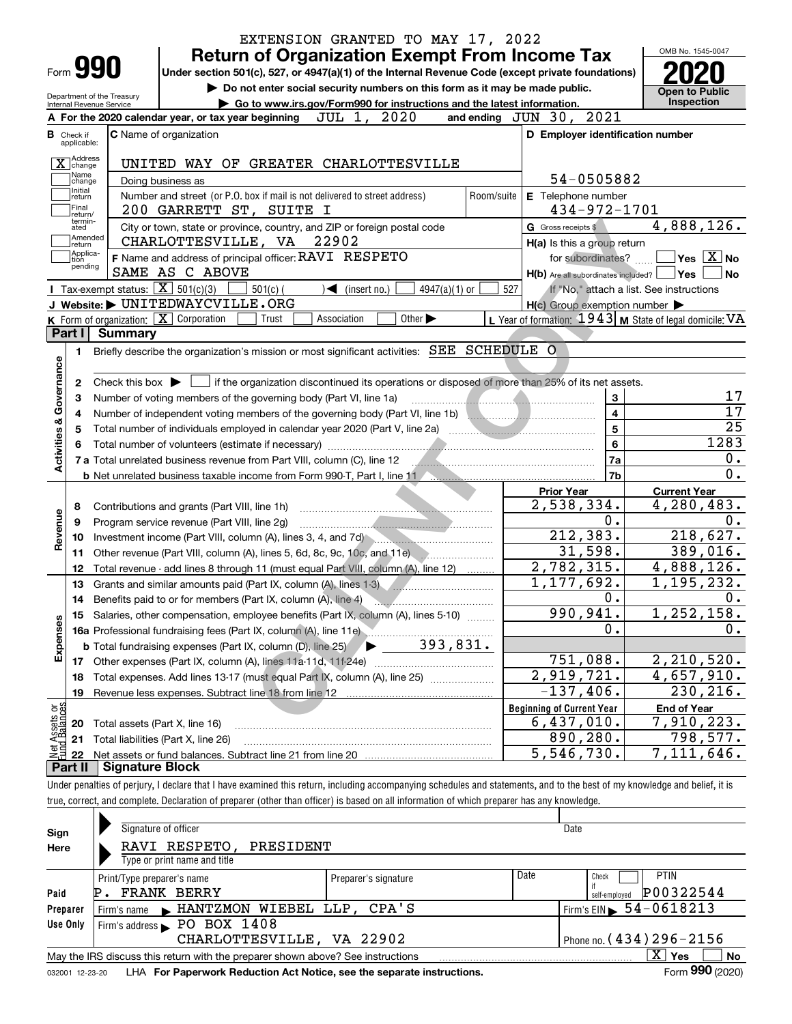|                                            | <b>Return of Organization Exempt From Income Tax</b>                                                                                                                                                                                |            |                                                             | OMB No. 1545-0047                                 |
|--------------------------------------------|-------------------------------------------------------------------------------------------------------------------------------------------------------------------------------------------------------------------------------------|------------|-------------------------------------------------------------|---------------------------------------------------|
| Form 990                                   | Under section 501(c), 527, or 4947(a)(1) of the Internal Revenue Code (except private foundations)                                                                                                                                  |            |                                                             |                                                   |
| Department of the Treasury                 | Do not enter social security numbers on this form as it may be made public.                                                                                                                                                         |            |                                                             | <b>Open to Public</b>                             |
| Internal Revenue Service                   | Go to www.irs.gov/Form990 for instructions and the latest information.                                                                                                                                                              |            |                                                             | <b>Inspection</b>                                 |
|                                            | JUL 1, 2020<br>A For the 2020 calendar year, or tax year beginning                                                                                                                                                                  |            | and ending JUN 30, 2021                                     |                                                   |
| <b>B</b> Check if<br>applicable:           | <b>C</b> Name of organization                                                                                                                                                                                                       |            | D Employer identification number                            |                                                   |
| Address                                    | UNITED WAY OF GREATER CHARLOTTESVILLE                                                                                                                                                                                               |            |                                                             |                                                   |
| $\mathbf{\Lambda}$   change<br>Name        | Doing business as                                                                                                                                                                                                                   |            | 54-0505882                                                  |                                                   |
| change<br>Initial<br>return                | Number and street (or P.O. box if mail is not delivered to street address)                                                                                                                                                          | Room/suite | E Telephone number                                          |                                                   |
| Final                                      | 200 GARRETT ST, SUITE I                                                                                                                                                                                                             |            | 434-972-1701                                                |                                                   |
| lreturn/<br>termin-<br>ated                | City or town, state or province, country, and ZIP or foreign postal code                                                                                                                                                            |            | G Gross receipts \$                                         | 4,888,126.                                        |
| Amended<br>∫return                         | CHARLOTTESVILLE, VA 22902                                                                                                                                                                                                           |            | H(a) Is this a group return                                 |                                                   |
| Applica-<br>tion                           | F Name and address of principal officer: RAVI RESPETO                                                                                                                                                                               |            | for subordinates?                                           | $\boxed{\phantom{1}}$ Yes $\boxed{\mathrm{X}}$ No |
| pending                                    | SAME AS C ABOVE                                                                                                                                                                                                                     |            | $H(b)$ Are all subordinates included? $\Box$ Yes            |                                                   |
|                                            | Tax-exempt status: $\boxed{\mathbf{X}}$ 501(c)(3)<br>$501(c)$ (<br>4947(a)(1) or<br>$\triangleleft$ (insert no.)                                                                                                                    | 527        |                                                             | If "No," attach a list. See instructions          |
|                                            | J Website: UNITEDWAYCVILLE.ORG                                                                                                                                                                                                      |            | $H(c)$ Group exemption number $\blacktriangleright$         |                                                   |
|                                            | <b>K</b> Form of organization: $\boxed{\mathbf{X}}$ Corporation<br>Other $\blacktriangleright$<br>Trust<br>Association                                                                                                              |            | L Year of formation: $1943$ M State of legal domicile: VA   |                                                   |
| Part I                                     | Summary                                                                                                                                                                                                                             |            |                                                             |                                                   |
| 1.                                         | Briefly describe the organization's mission or most significant activities: SEE SCHEDULE O                                                                                                                                          |            |                                                             |                                                   |
|                                            |                                                                                                                                                                                                                                     |            |                                                             |                                                   |
| 2                                          | Check this box $\blacktriangleright$   if the organization discontinued its operations or disposed of more than 25% of its net assets.                                                                                              |            |                                                             |                                                   |
| з                                          | Number of voting members of the governing body (Part VI, line 1a)                                                                                                                                                                   |            | 3                                                           |                                                   |
| 4                                          | Number of independent voting members of the governing body (Part VI, line 1b) [100] [100] [100] [100] [100] [100] [100] [100] [100] [100] [100] [100] [100] [100] [100] [100] [100] [100] [100] [100] [100] [100] [100] [100]       |            | $\overline{\mathbf{4}}$                                     |                                                   |
| 5                                          |                                                                                                                                                                                                                                     |            | 5                                                           |                                                   |
|                                            | Total number of volunteers (estimate if necessary) manufactured and content to the content of volunteers (estimate if necessary)                                                                                                    |            | 6                                                           | 1283                                              |
| Activities & Governance                    | 7 a Total unrelated business revenue from Part VIII, column (C), line 12 <b>2000 Collection</b> continuum continuum control of a Total and Total and Total and Total and Total and Total and Total and Total and Total and Total an |            | 7a                                                          |                                                   |
|                                            |                                                                                                                                                                                                                                     |            | 7b                                                          |                                                   |
|                                            |                                                                                                                                                                                                                                     |            | <b>Prior Year</b>                                           | <b>Current Year</b>                               |
| 8                                          | Contributions and grants (Part VIII, line 1h)                                                                                                                                                                                       |            | 2,538,334.                                                  | 4,280,483.                                        |
| Revenue<br>9                               | Program service revenue (Part VIII, line 2g)                                                                                                                                                                                        |            | 0.                                                          |                                                   |
| 10                                         | Investment income (Part VIII, column (A), lines 3, 4, and 7d)                                                                                                                                                                       |            | 212, 383.                                                   | 218,627.                                          |
| 11                                         | Other revenue (Part VIII, column (A), lines 5, 6d, 8c, 9c, 10c, and 11e)                                                                                                                                                            |            | 31,598.                                                     | 389,016.                                          |
| 12                                         | Total revenue - add lines 8 through 11 (must equal Part VIII, column (A), line 12)                                                                                                                                                  |            | $\overline{2,782,315}.$                                     | 4,888,126.                                        |
| 13                                         | Grants and similar amounts paid (Part IX, column (A), lines 1-3)                                                                                                                                                                    |            | 1,177,692.                                                  | 1,195,232.                                        |
| 14                                         |                                                                                                                                                                                                                                     |            | 0.                                                          |                                                   |
|                                            | 15 Salaries, other compensation, employee benefits (Part IX, column (A), lines 5-10)                                                                                                                                                |            | 990,941.                                                    | 1,252,158.                                        |
| Expenses                                   |                                                                                                                                                                                                                                     |            | 0.                                                          |                                                   |
|                                            | 393,831.<br><b>b</b> Total fundraising expenses (Part IX, column (D), line 25)                                                                                                                                                      |            |                                                             |                                                   |
| 17                                         | Other expenses (Part IX, column (A), lines 11a-11d, 11f-24e)                                                                                                                                                                        |            | 751,088.                                                    | 2, 210, 520.                                      |
| 18                                         | Total expenses. Add lines 13-17 (must equal Part IX, column (A), line 25)                                                                                                                                                           |            | $\overline{2,919,721.}$                                     | 4,657,910.                                        |
|                                            | Revenue less expenses. Subtract line 18 from line 12                                                                                                                                                                                |            | $-137,406.$                                                 | 230, 216.                                         |
| 19                                         |                                                                                                                                                                                                                                     |            | <b>Beginning of Current Year</b><br>$\overline{6,437},010.$ | <b>End of Year</b>                                |
|                                            |                                                                                                                                                                                                                                     |            |                                                             | 7,910,223.                                        |
| 20                                         | Total assets (Part X, line 16)                                                                                                                                                                                                      |            |                                                             |                                                   |
| t Assets or<br>d Balances<br>21<br>혏<br>22 | Total liabilities (Part X, line 26)                                                                                                                                                                                                 |            | 890,280.<br>5,546,730.                                      | 798,577.<br>7,111,646.                            |

true, correct, and complete. Declaration of preparer (other than officer) is based on all information of which preparer has any knowledge.

| Sign     | Signature of officer                                                                                         |                      |      | Date                                   |  |  |  |  |  |  |  |
|----------|--------------------------------------------------------------------------------------------------------------|----------------------|------|----------------------------------------|--|--|--|--|--|--|--|
| Here     | RAVI RESPETO,<br>PRESIDENT                                                                                   |                      |      |                                        |  |  |  |  |  |  |  |
|          | Type or print name and title                                                                                 |                      |      |                                        |  |  |  |  |  |  |  |
|          | Print/Type preparer's name                                                                                   | Preparer's signature | Date | <b>PTIN</b><br>Check                   |  |  |  |  |  |  |  |
| Paid     | <b>FRANK BERRY</b>                                                                                           |                      |      | P00322544<br>self-employed             |  |  |  |  |  |  |  |
| Preparer | Firm's name MANTZMON WIEBEL LLP, CPA'S                                                                       |                      |      | Firm's EIN $\triangleright$ 54-0618213 |  |  |  |  |  |  |  |
| Use Only | Firm's address $\blacktriangleright$ PO BOX 1408                                                             |                      |      |                                        |  |  |  |  |  |  |  |
|          | Phone no. $(434)$ $296 - 2156$<br>CHARLOTTESVILLE, VA 22902                                                  |                      |      |                                        |  |  |  |  |  |  |  |
|          | x<br>No<br>Yes<br>May the IRS discuss this return with the preparer shown above? See instructions            |                      |      |                                        |  |  |  |  |  |  |  |
|          | Form 990 (2020)<br>LHA For Paperwork Reduction Act Notice, see the separate instructions.<br>032001 12-23-20 |                      |      |                                        |  |  |  |  |  |  |  |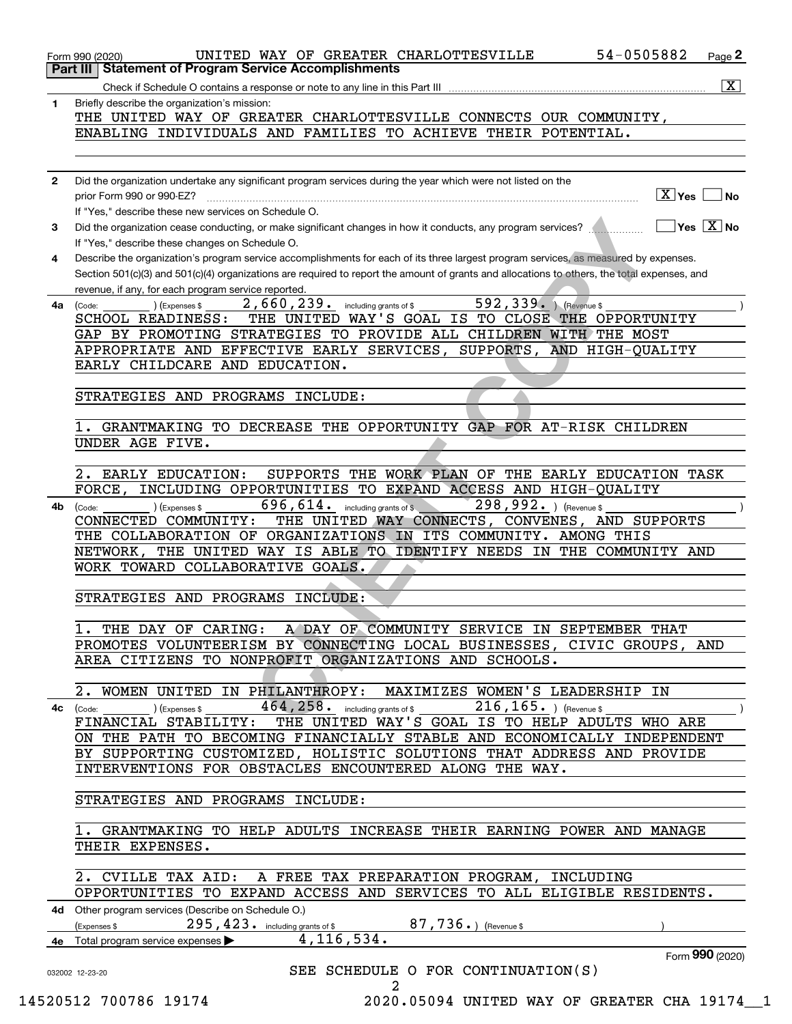|              | 54-0505882<br>UNITED WAY OF GREATER CHARLOTTESVILLE<br>$Page$ 2<br>Form 990 (2020)                                                           |
|--------------|----------------------------------------------------------------------------------------------------------------------------------------------|
|              | <b>Part III   Statement of Program Service Accomplishments</b>                                                                               |
|              | $\vert$ X $\vert$<br>Check if Schedule O contains a response or note to any line in this Part III                                            |
| 1            | Briefly describe the organization's mission:<br>THE UNITED WAY OF GREATER CHARLOTTESVILLE CONNECTS OUR COMMUNITY,                            |
|              | ENABLING INDIVIDUALS AND FAMILIES TO ACHIEVE THEIR POTENTIAL.                                                                                |
|              |                                                                                                                                              |
|              |                                                                                                                                              |
| $\mathbf{2}$ | Did the organization undertake any significant program services during the year which were not listed on the                                 |
|              | $\boxed{\text{X}}$ Yes $\boxed{\ }$<br>∣No<br>prior Form 990 or 990-EZ?                                                                      |
|              | If "Yes," describe these new services on Schedule O.                                                                                         |
| 3            | $\Box$ Yes $\Box$ No<br>Did the organization cease conducting, or make significant changes in how it conducts, any program services?         |
|              | If "Yes," describe these changes on Schedule O.                                                                                              |
| 4            | Describe the organization's program service accomplishments for each of its three largest program services, as measured by expenses.         |
|              | Section 501(c)(3) and 501(c)(4) organizations are required to report the amount of grants and allocations to others, the total expenses, and |
|              | revenue, if any, for each program service reported.                                                                                          |
| 4a           | 592, 339. (Revenue \$<br>$2$ , $660$ , $239$ or including grants of \$<br>(Expenses \$<br>(Code:                                             |
|              | SCHOOL READINESS: THE UNITED WAY'S GOAL IS TO CLOSE THE OPPORTUNITY                                                                          |
|              | GAP BY PROMOTING STRATEGIES TO PROVIDE ALL CHILDREN WITH THE MOST                                                                            |
|              | APPROPRIATE AND EFFECTIVE EARLY SERVICES, SUPPORTS, AND HIGH-QUALITY                                                                         |
|              | EARLY CHILDCARE AND EDUCATION.                                                                                                               |
|              |                                                                                                                                              |
|              | STRATEGIES AND PROGRAMS INCLUDE:                                                                                                             |
|              |                                                                                                                                              |
|              | 1. GRANTMAKING TO DECREASE THE OPPORTUNITY GAP FOR AT-RISK CHILDREN                                                                          |
|              | UNDER AGE FIVE.                                                                                                                              |
|              |                                                                                                                                              |
|              | 2. EARLY EDUCATION:<br>SUPPORTS THE WORK PLAN OF THE EARLY EDUCATION TASK                                                                    |
|              | INCLUDING OPPORTUNITIES TO EXPAND ACCESS AND HIGH-QUALITY<br>FORCE,                                                                          |
| 4b           | 298,992. Revenue \$<br>$696, 614$ . including grants of \$<br>(Expenses \$<br>(Code:                                                         |
|              | CONNECTED COMMUNITY: THE UNITED WAY CONNECTS, CONVENES, AND SUPPORTS                                                                         |
|              | THE COLLABORATION OF ORGANIZATIONS IN ITS COMMUNITY. AMONG THIS                                                                              |
|              | NETWORK, THE UNITED WAY IS ABLE TO IDENTIFY NEEDS IN THE COMMUNITY AND                                                                       |
|              | WORK TOWARD COLLABORATIVE GOALS.                                                                                                             |
|              |                                                                                                                                              |
|              | STRATEGIES AND PROGRAMS INCLUDE:                                                                                                             |
|              | 1. THE DAY OF CARING: A DAY OF COMMUNITY SERVICE IN SEPTEMBER THAT                                                                           |
|              |                                                                                                                                              |
|              | PROMOTES VOLUNTEERISM BY CONNECTING LOCAL BUSINESSES, CIVIC GROUPS, AND<br>AREA CITIZENS TO NONPROFIT ORGANIZATIONS AND SCHOOLS.             |
|              |                                                                                                                                              |
|              | 2. WOMEN UNITED IN PHILANTHROPY: MAXIMIZES WOMEN'S LEADERSHIP IN                                                                             |
|              | 464, $258.$ including grants of \$ $216, 165.$ (Revenue \$                                                                                   |
|              | FINANCIAL STABILITY: THE UNITED WAY'S GOAL IS TO HELP ADULTS WHO ARE                                                                         |
|              | ON THE PATH TO BECOMING FINANCIALLY STABLE AND ECONOMICALLY INDEPENDENT                                                                      |
|              | BY SUPPORTING CUSTOMIZED, HOLISTIC SOLUTIONS THAT ADDRESS AND PROVIDE                                                                        |
|              | INTERVENTIONS FOR OBSTACLES ENCOUNTERED ALONG THE WAY.                                                                                       |
|              |                                                                                                                                              |
|              | STRATEGIES AND PROGRAMS INCLUDE:                                                                                                             |
|              |                                                                                                                                              |
|              | 1. GRANTMAKING TO HELP ADULTS INCREASE THEIR EARNING POWER AND MANAGE                                                                        |
|              | THEIR EXPENSES.                                                                                                                              |
|              |                                                                                                                                              |
|              | 2. CVILLE TAX AID: A FREE TAX PREPARATION PROGRAM, INCLUDING                                                                                 |
|              | OPPORTUNITIES TO EXPAND ACCESS AND SERVICES TO ALL ELIGIBLE RESIDENTS.                                                                       |
|              | 4d Other program services (Describe on Schedule O.)                                                                                          |
|              | $295$ , $423$ . including grants of \$ 87, 736 . ) (Revenue \$<br>(Expenses \$                                                               |
|              | 4, 116, 534.<br>4e Total program service expenses >                                                                                          |
|              | Form 990 (2020)                                                                                                                              |
|              | SEE SCHEDULE O FOR CONTINUATION(S)<br>032002 12-23-20<br>2                                                                                   |
|              |                                                                                                                                              |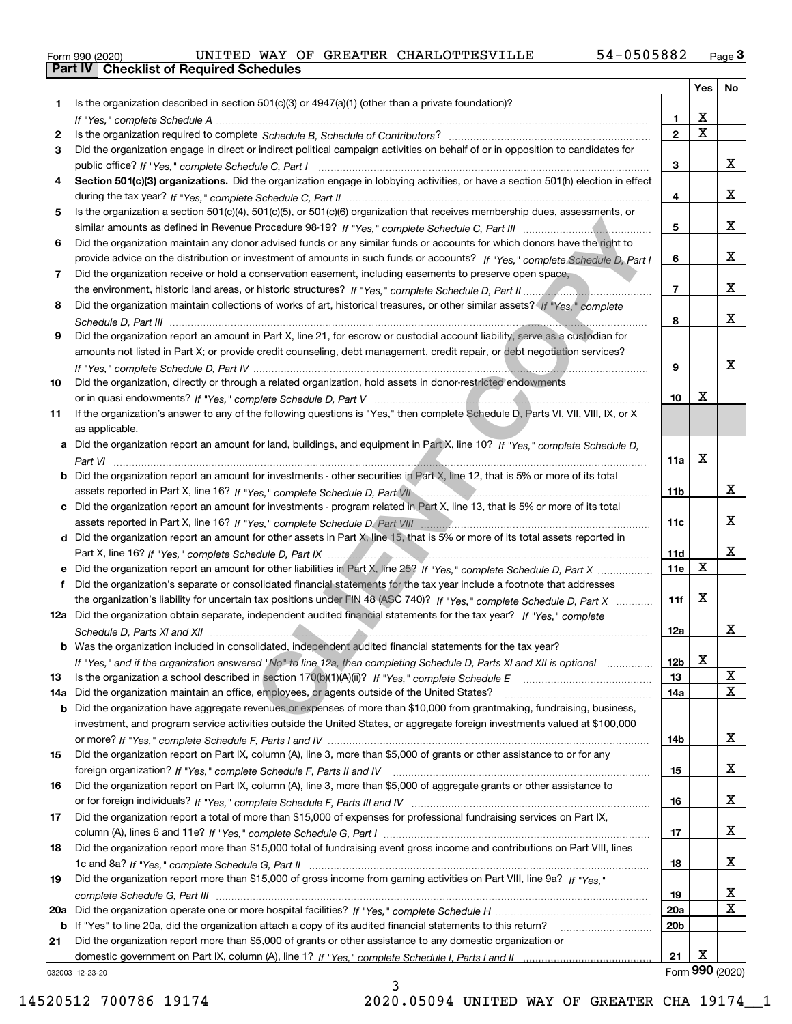|  | Form 990 (2020) |
|--|-----------------|

|     |                                                                                                                                                                                                                                           |                         | Yes                   | No              |
|-----|-------------------------------------------------------------------------------------------------------------------------------------------------------------------------------------------------------------------------------------------|-------------------------|-----------------------|-----------------|
|     | Is the organization described in section $501(c)(3)$ or $4947(a)(1)$ (other than a private foundation)?                                                                                                                                   |                         |                       |                 |
|     |                                                                                                                                                                                                                                           | 1.                      | X                     |                 |
| 2   |                                                                                                                                                                                                                                           | $\overline{\mathbf{2}}$ | $\overline{\text{x}}$ |                 |
| 3   | Did the organization engage in direct or indirect political campaign activities on behalf of or in opposition to candidates for                                                                                                           |                         |                       |                 |
|     |                                                                                                                                                                                                                                           | 3                       |                       | x               |
| 4   | Section 501(c)(3) organizations. Did the organization engage in lobbying activities, or have a section 501(h) election in effect                                                                                                          |                         |                       |                 |
|     |                                                                                                                                                                                                                                           | 4                       |                       | x               |
| 5   | Is the organization a section 501(c)(4), 501(c)(5), or 501(c)(6) organization that receives membership dues, assessments, or                                                                                                              |                         |                       |                 |
|     |                                                                                                                                                                                                                                           | 5                       |                       | x               |
| 6   | Did the organization maintain any donor advised funds or any similar funds or accounts for which donors have the right to                                                                                                                 | 6                       |                       | x               |
| 7   | provide advice on the distribution or investment of amounts in such funds or accounts? If "Yes," complete Schedule D, Part I<br>Did the organization receive or hold a conservation easement, including easements to preserve open space, |                         |                       |                 |
|     |                                                                                                                                                                                                                                           | $\overline{7}$          |                       | x               |
| 8   | Did the organization maintain collections of works of art, historical treasures, or other similar assets? (f "Yes," complete                                                                                                              |                         |                       |                 |
|     |                                                                                                                                                                                                                                           | 8                       |                       | X.              |
| 9   | Did the organization report an amount in Part X, line 21, for escrow or custodial account liability, serve as a custodian for                                                                                                             |                         |                       |                 |
|     | amounts not listed in Part X; or provide credit counseling, debt management, credit repair, or debt negotiation services?                                                                                                                 |                         |                       |                 |
|     |                                                                                                                                                                                                                                           | 9                       |                       | x               |
| 10  | Did the organization, directly or through a related organization, hold assets in donor-restricted endowments                                                                                                                              |                         |                       |                 |
|     |                                                                                                                                                                                                                                           | 10                      | х                     |                 |
| 11  | If the organization's answer to any of the following questions is "Yes," then complete Schedule D, Parts VI, VII, VIII, IX, or X                                                                                                          |                         |                       |                 |
|     | as applicable.                                                                                                                                                                                                                            |                         |                       |                 |
|     | a Did the organization report an amount for land, buildings, and equipment in Part X, line 10? If "Yes," complete Schedule D,                                                                                                             |                         |                       |                 |
|     |                                                                                                                                                                                                                                           | 11a                     | Χ                     |                 |
|     | <b>b</b> Did the organization report an amount for investments - other securities in Part X, line 12, that is 5% or more of its total                                                                                                     |                         |                       |                 |
|     | assets reported in Part X, line 16? If "Yes," complete Schedule D, Part VII manufactured in Part Milled and The                                                                                                                           | 11b                     |                       | X.              |
| c   | Did the organization report an amount for investments - program related in Part X, line 13, that is 5% or more of its total                                                                                                               |                         |                       | X.              |
|     |                                                                                                                                                                                                                                           | 11c                     |                       |                 |
|     | d Did the organization report an amount for other assets in Part X, line 15, that is 5% or more of its total assets reported in                                                                                                           |                         |                       | X.              |
|     | e Did the organization report an amount for other liabilities in Part X, line 25? If "Yes," complete Schedule D, Part X                                                                                                                   | 11d<br>11e              | $\mathbf X$           |                 |
| f   | Did the organization's separate or consolidated financial statements for the tax year include a footnote that addresses                                                                                                                   |                         |                       |                 |
|     | the organization's liability for uncertain tax positions under FIN 48 (ASC 740)? If "Yes," complete Schedule D, Part X                                                                                                                    | 11f                     | X                     |                 |
|     | 12a Did the organization obtain separate, independent audited financial statements for the tax year? If "Yes," complete                                                                                                                   |                         |                       |                 |
|     |                                                                                                                                                                                                                                           | 12a                     |                       | X.              |
|     | <b>b</b> Was the organization included in consolidated, independent audited financial statements for the tax year?                                                                                                                        |                         |                       |                 |
|     | If "Yes," and if the organization answered "No" to line 12a, then completing Schedule D, Parts XI and XII is optional                                                                                                                     | 12b                     | X                     |                 |
| 13  |                                                                                                                                                                                                                                           | 13                      |                       | X               |
| 14a | Did the organization maintain an office, employees, or agents outside of the United States?                                                                                                                                               | 14a                     |                       | $\mathbf X$     |
| b   | Did the organization have aggregate revenues or expenses of more than \$10,000 from grantmaking, fundraising, business,                                                                                                                   |                         |                       |                 |
|     | investment, and program service activities outside the United States, or aggregate foreign investments valued at \$100,000                                                                                                                |                         |                       |                 |
|     |                                                                                                                                                                                                                                           | 14b                     |                       | x               |
| 15  | Did the organization report on Part IX, column (A), line 3, more than \$5,000 of grants or other assistance to or for any                                                                                                                 |                         |                       |                 |
|     |                                                                                                                                                                                                                                           | 15                      |                       | x               |
| 16  | Did the organization report on Part IX, column (A), line 3, more than \$5,000 of aggregate grants or other assistance to                                                                                                                  |                         |                       |                 |
|     | Did the organization report a total of more than \$15,000 of expenses for professional fundraising services on Part IX,                                                                                                                   | 16                      |                       | x               |
| 17  |                                                                                                                                                                                                                                           | 17                      |                       | x               |
| 18  | Did the organization report more than \$15,000 total of fundraising event gross income and contributions on Part VIII, lines                                                                                                              |                         |                       |                 |
|     |                                                                                                                                                                                                                                           | 18                      |                       | x               |
| 19  | Did the organization report more than \$15,000 of gross income from gaming activities on Part VIII, line 9a? If "Yes."                                                                                                                    |                         |                       |                 |
|     |                                                                                                                                                                                                                                           | 19                      |                       | X               |
| 20a |                                                                                                                                                                                                                                           | 20a                     |                       | $\mathbf X$     |
| b   | If "Yes" to line 20a, did the organization attach a copy of its audited financial statements to this return?                                                                                                                              | 20b                     |                       |                 |
| 21  | Did the organization report more than \$5,000 of grants or other assistance to any domestic organization or                                                                                                                               |                         |                       |                 |
|     |                                                                                                                                                                                                                                           | 21                      | х                     |                 |
|     | 032003 12-23-20                                                                                                                                                                                                                           |                         |                       | Form 990 (2020) |

032003 12-23-20

3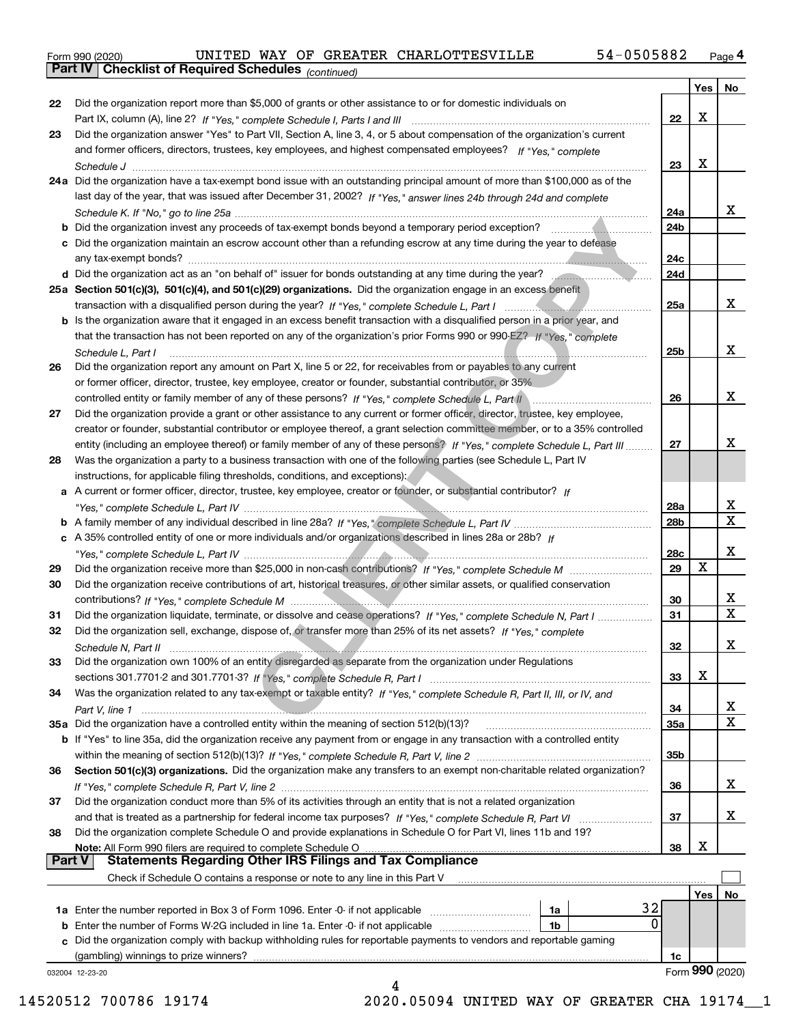|  | Form 990 (2020) |
|--|-----------------|
|  |                 |

*(continued)*

|               |                                                                                                                                                                                                                                |     | Yes | No              |
|---------------|--------------------------------------------------------------------------------------------------------------------------------------------------------------------------------------------------------------------------------|-----|-----|-----------------|
| 22            | Did the organization report more than \$5,000 of grants or other assistance to or for domestic individuals on                                                                                                                  |     |     |                 |
|               | Part IX, column (A), line 2? If "Yes," complete Schedule I, Parts I and III [11] [11] [12] [12] [12] Part IX, column (A), line 2? If "Yes," complete Schedule I, Parts I and III                                               | 22  | х   |                 |
| 23            | Did the organization answer "Yes" to Part VII, Section A, line 3, 4, or 5 about compensation of the organization's current                                                                                                     |     |     |                 |
|               | and former officers, directors, trustees, key employees, and highest compensated employees? If "Yes," complete                                                                                                                 |     |     |                 |
|               |                                                                                                                                                                                                                                | 23  | х   |                 |
|               | 24a Did the organization have a tax-exempt bond issue with an outstanding principal amount of more than \$100,000 as of the                                                                                                    |     |     |                 |
|               | last day of the year, that was issued after December 31, 2002? If "Yes," answer lines 24b through 24d and complete                                                                                                             |     |     |                 |
|               |                                                                                                                                                                                                                                | 24a |     | x               |
|               | b Did the organization invest any proceeds of tax-exempt bonds beyond a temporary period exception?                                                                                                                            | 24b |     |                 |
|               | c Did the organization maintain an escrow account other than a refunding escrow at any time during the year to defease                                                                                                         |     |     |                 |
|               |                                                                                                                                                                                                                                | 24c |     |                 |
|               | d Did the organization act as an "on behalf of" issuer for bonds outstanding at any time during the year?                                                                                                                      | 24d |     |                 |
|               | 25a Section 501(c)(3), 501(c)(4), and 501(c)(29) organizations. Did the organization engage in an excess benefit                                                                                                               |     |     |                 |
|               | transaction with a disqualified person during the year? If "Yes," complete Schedule L, Part I manuscription of the state of the state of the state of the state of the state of the state of the state of the state of the sta | 25a |     | x               |
|               | b Is the organization aware that it engaged in an excess benefit transaction with a disqualified person in a prior year, and                                                                                                   |     |     |                 |
|               | that the transaction has not been reported on any of the organization's prior Forms 990 or 990-EZ? If "Yes." complete                                                                                                          |     |     |                 |
|               |                                                                                                                                                                                                                                |     |     | x               |
|               | Schedule L. Part I                                                                                                                                                                                                             | 25b |     |                 |
| 26            | Did the organization report any amount on Part X, line 5 or 22, for receivables from or payables to any current                                                                                                                |     |     |                 |
|               | or former officer, director, trustee, key employee, creator or founder, substantial contributor, or 35%                                                                                                                        |     |     | х               |
|               |                                                                                                                                                                                                                                | 26  |     |                 |
| 27            | Did the organization provide a grant or other assistance to any current or former officer, director, trustee, key employee,                                                                                                    |     |     |                 |
|               | creator or founder, substantial contributor or employee thereof, a grant selection committee member, or to a 35% controlled                                                                                                    |     |     | х               |
|               | entity (including an employee thereof) or family member of any of these persons? If "Yes," complete Schedule L, Part III                                                                                                       | 27  |     |                 |
| 28            | Was the organization a party to a business transaction with one of the following parties (see Schedule L, Part IV                                                                                                              |     |     |                 |
|               | instructions, for applicable filing thresholds, conditions, and exceptions):                                                                                                                                                   |     |     |                 |
|               | a A current or former officer, director, trustee, key employee, creator or founder, or substantial contributor? If                                                                                                             |     |     |                 |
|               |                                                                                                                                                                                                                                | 28a |     | x<br>X          |
|               |                                                                                                                                                                                                                                | 28b |     |                 |
|               | c A 35% controlled entity of one or more individuals and/or organizations described in lines 28a or 28b? If                                                                                                                    |     |     |                 |
|               |                                                                                                                                                                                                                                | 28c | X   | х               |
| 29            |                                                                                                                                                                                                                                | 29  |     |                 |
| 30            | Did the organization receive contributions of art, historical treasures, or other similar assets, or qualified conservation                                                                                                    |     |     |                 |
|               |                                                                                                                                                                                                                                | 30  |     | х<br>X          |
| 31            | Did the organization liquidate, terminate, or dissolve and cease operations? If "Yes," complete Schedule N, Part I                                                                                                             | 31  |     |                 |
| 32            | Did the organization sell, exchange, dispose of, or transfer more than 25% of its net assets? If "Yes," complete                                                                                                               |     |     |                 |
|               | Schedule N, Part II                                                                                                                                                                                                            | 32  |     | х               |
|               | Did the organization own 100% of an entity disregarded as separate from the organization under Regulations                                                                                                                     |     |     |                 |
|               |                                                                                                                                                                                                                                | 33  | х   |                 |
| 34            | Was the organization related to any tax-exempt or taxable entity? If "Yes," complete Schedule R, Part II, III, or IV, and                                                                                                      |     |     |                 |
|               |                                                                                                                                                                                                                                | 34  |     | x               |
|               | 35a Did the organization have a controlled entity within the meaning of section 512(b)(13)?                                                                                                                                    | 35a |     | X               |
|               | <b>b</b> If "Yes" to line 35a, did the organization receive any payment from or engage in any transaction with a controlled entity                                                                                             |     |     |                 |
|               |                                                                                                                                                                                                                                | 35b |     |                 |
| 36            | Section 501(c)(3) organizations. Did the organization make any transfers to an exempt non-charitable related organization?                                                                                                     |     |     |                 |
|               |                                                                                                                                                                                                                                | 36  |     | X               |
| 37            | Did the organization conduct more than 5% of its activities through an entity that is not a related organization                                                                                                               |     |     |                 |
|               | and that is treated as a partnership for federal income tax purposes? If "Yes," complete Schedule R, Part VI                                                                                                                   | 37  |     | x               |
| 38            | Did the organization complete Schedule O and provide explanations in Schedule O for Part VI, lines 11b and 19?                                                                                                                 |     |     |                 |
|               | Note: All Form 990 filers are required to complete Schedule O                                                                                                                                                                  | 38  | x   |                 |
| <b>Part V</b> | <b>Statements Regarding Other IRS Filings and Tax Compliance</b>                                                                                                                                                               |     |     |                 |
|               | Check if Schedule O contains a response or note to any line in this Part V                                                                                                                                                     |     |     |                 |
|               |                                                                                                                                                                                                                                |     | Yes | No.             |
|               | 32<br>1a Enter the number reported in Box 3 of Form 1096. Enter -0- if not applicable<br>1a                                                                                                                                    |     |     |                 |
| b             | $\Omega$<br>Enter the number of Forms W-2G included in line 1a. Enter -0- if not applicable <i>manumumumum</i><br>1b                                                                                                           |     |     |                 |
| c             | Did the organization comply with backup withholding rules for reportable payments to vendors and reportable gaming                                                                                                             |     |     |                 |
|               | (gambling) winnings to prize winners?                                                                                                                                                                                          | 1c  |     |                 |
|               | 032004 12-23-20                                                                                                                                                                                                                |     |     | Form 990 (2020) |
|               | Δ                                                                                                                                                                                                                              |     |     |                 |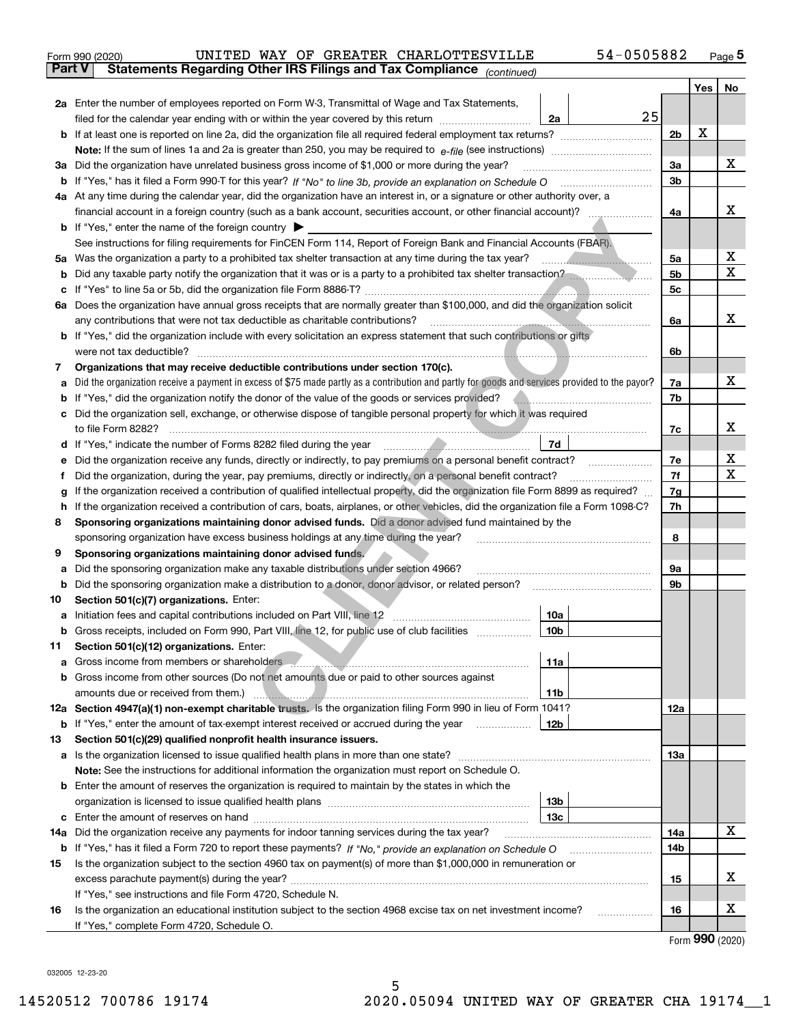|               | 54-0505882<br>UNITED WAY OF GREATER CHARLOTTESVILLE<br>Form 990 (2020)                                                                                                                                                                     |                |     | <u>Page</u> 5    |  |  |  |
|---------------|--------------------------------------------------------------------------------------------------------------------------------------------------------------------------------------------------------------------------------------------|----------------|-----|------------------|--|--|--|
| <b>Part V</b> | Statements Regarding Other IRS Filings and Tax Compliance (continued)                                                                                                                                                                      |                |     |                  |  |  |  |
|               |                                                                                                                                                                                                                                            |                | Yes | No               |  |  |  |
|               | 2a Enter the number of employees reported on Form W-3, Transmittal of Wage and Tax Statements,                                                                                                                                             |                |     |                  |  |  |  |
|               | 25<br>filed for the calendar year ending with or within the year covered by this return <i>manumumumum</i><br>2a                                                                                                                           |                |     |                  |  |  |  |
|               |                                                                                                                                                                                                                                            | 2 <sub>b</sub> | X   |                  |  |  |  |
|               |                                                                                                                                                                                                                                            |                |     |                  |  |  |  |
|               | 3a Did the organization have unrelated business gross income of \$1,000 or more during the year?                                                                                                                                           | 3a             |     | x                |  |  |  |
|               |                                                                                                                                                                                                                                            | 3b             |     |                  |  |  |  |
|               | 4a At any time during the calendar year, did the organization have an interest in, or a signature or other authority over, a                                                                                                               |                |     |                  |  |  |  |
|               | financial account in a foreign country (such as a bank account, securities account, or other financial account)?                                                                                                                           | 4a             |     | х                |  |  |  |
|               | <b>b</b> If "Yes," enter the name of the foreign country $\blacktriangleright$                                                                                                                                                             |                |     |                  |  |  |  |
|               | See instructions for filing requirements for FinCEN Form 114, Report of Foreign Bank and Financial Accounts (FBAR).                                                                                                                        |                |     |                  |  |  |  |
|               |                                                                                                                                                                                                                                            | 5a             |     | x                |  |  |  |
| b             | Did any taxable party notify the organization that it was or is a party to a prohibited tax shelter transaction?                                                                                                                           | 5b             |     | х                |  |  |  |
| с             |                                                                                                                                                                                                                                            | 5с             |     |                  |  |  |  |
|               | 6a Does the organization have annual gross receipts that are normally greater than \$100,000, and did the organization solicit                                                                                                             |                |     |                  |  |  |  |
|               |                                                                                                                                                                                                                                            | 6a             |     | х                |  |  |  |
|               | <b>b</b> If "Yes," did the organization include with every solicitation an express statement that such contributions or gifts                                                                                                              |                |     |                  |  |  |  |
|               |                                                                                                                                                                                                                                            | 6b             |     |                  |  |  |  |
| 7             | Organizations that may receive deductible contributions under section 170(c).                                                                                                                                                              |                |     |                  |  |  |  |
| а             | Did the organization receive a payment in excess of \$75 made partly as a contribution and partly for goods and services provided to the payor?                                                                                            | 7a             |     | х                |  |  |  |
|               | <b>b</b> If "Yes," did the organization notify the donor of the value of the goods or services provided?                                                                                                                                   | 7b             |     |                  |  |  |  |
|               | c Did the organization sell, exchange, or otherwise dispose of tangible personal property for which it was required                                                                                                                        |                |     |                  |  |  |  |
|               |                                                                                                                                                                                                                                            | 7с             |     | х                |  |  |  |
|               | 7d                                                                                                                                                                                                                                         |                |     |                  |  |  |  |
| е             | Did the organization receive any funds, directly or indirectly, to pay premiums on a personal benefit contract?                                                                                                                            | 7e<br>7f       |     | x<br>X           |  |  |  |
|               | Did the organization, during the year, pay premiums, directly or indirectly, on a personal benefit contract?<br>f                                                                                                                          |                |     |                  |  |  |  |
|               | If the organization received a contribution of qualified intellectual property, did the organization file Form 8899 as required?<br>g                                                                                                      |                |     |                  |  |  |  |
| h.            | If the organization received a contribution of cars, boats, airplanes, or other vehicles, did the organization file a Form 1098-C?                                                                                                         | 7h             |     |                  |  |  |  |
| 8             | Sponsoring organizations maintaining donor advised funds. Did a donor advised fund maintained by the                                                                                                                                       |                |     |                  |  |  |  |
|               | sponsoring organization have excess business holdings at any time during the year?                                                                                                                                                         | 8              |     |                  |  |  |  |
| 9             | Sponsoring organizations maintaining donor advised funds.                                                                                                                                                                                  |                |     |                  |  |  |  |
| а             | Did the sponsoring organization make any taxable distributions under section 4966?                                                                                                                                                         | 9а<br>9b       |     |                  |  |  |  |
| b             | Did the sponsoring organization make a distribution to a donor, donor advisor, or related person?<br>Section 501(c)(7) organizations. Enter:                                                                                               |                |     |                  |  |  |  |
| 10            | 10a                                                                                                                                                                                                                                        |                |     |                  |  |  |  |
|               | 10b <br>Gross receipts, included on Form 990, Part VIII, line 12, for public use of club facilities                                                                                                                                        |                |     |                  |  |  |  |
| 11            | Section 501(c)(12) organizations. Enter:                                                                                                                                                                                                   |                |     |                  |  |  |  |
| a             | Gross income from members or shareholders <b>comes and continuum and continuum continuum</b> contact to the state of the state of the state of the state of the state of the state of the state of the state of the state of the st<br>11a |                |     |                  |  |  |  |
| b             | Gross income from other sources (Do not net amounts due or paid to other sources against                                                                                                                                                   |                |     |                  |  |  |  |
|               | 11b                                                                                                                                                                                                                                        |                |     |                  |  |  |  |
|               | 12a Section 4947(a)(1) non-exempt charitable trusts. Is the organization filing Form 990 in lieu of Form 1041?                                                                                                                             | 12a            |     |                  |  |  |  |
|               | <b>b</b> If "Yes," enter the amount of tax-exempt interest received or accrued during the year<br>12b                                                                                                                                      |                |     |                  |  |  |  |
| 13            | Section 501(c)(29) qualified nonprofit health insurance issuers.                                                                                                                                                                           |                |     |                  |  |  |  |
|               | a Is the organization licensed to issue qualified health plans in more than one state?                                                                                                                                                     | 13а            |     |                  |  |  |  |
|               | Note: See the instructions for additional information the organization must report on Schedule O.                                                                                                                                          |                |     |                  |  |  |  |
|               | <b>b</b> Enter the amount of reserves the organization is required to maintain by the states in which the                                                                                                                                  |                |     |                  |  |  |  |
|               | 13b                                                                                                                                                                                                                                        |                |     |                  |  |  |  |
|               | 13с                                                                                                                                                                                                                                        |                |     |                  |  |  |  |
|               | 14a Did the organization receive any payments for indoor tanning services during the tax year?                                                                                                                                             | 14a            |     | x                |  |  |  |
|               | <b>b</b> If "Yes," has it filed a Form 720 to report these payments? If "No," provide an explanation on Schedule O                                                                                                                         | 14b            |     |                  |  |  |  |
| 15            | Is the organization subject to the section 4960 tax on payment(s) of more than \$1,000,000 in remuneration or                                                                                                                              |                |     |                  |  |  |  |
|               |                                                                                                                                                                                                                                            | 15             |     | x                |  |  |  |
|               | If "Yes," see instructions and file Form 4720, Schedule N.                                                                                                                                                                                 |                |     |                  |  |  |  |
| 16            | Is the organization an educational institution subject to the section 4968 excise tax on net investment income?                                                                                                                            | 16             |     | х                |  |  |  |
|               | If "Yes," complete Form 4720, Schedule O.                                                                                                                                                                                                  |                |     | $000 \times 000$ |  |  |  |

Form (2020) **990**

032005 12-23-20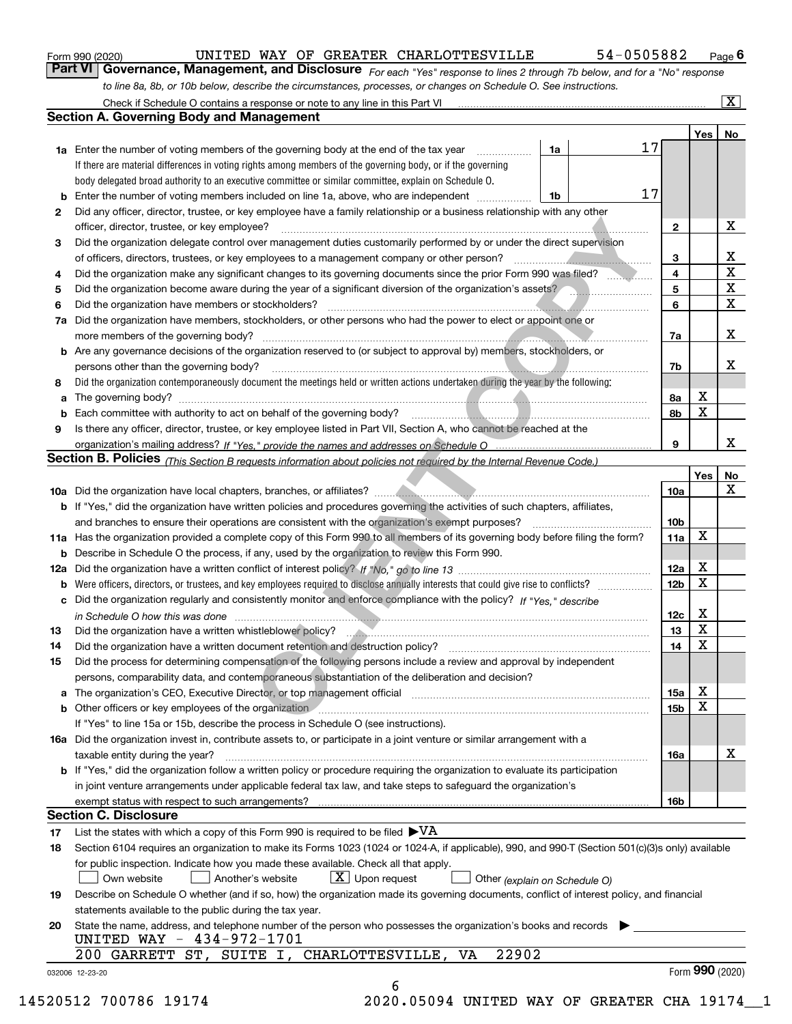|  | Form 990 (2020) |
|--|-----------------|
|  |                 |

*For each "Yes" response to lines 2 through 7b below, and for a "No" response to line 8a, 8b, or 10b below, describe the circumstances, processes, or changes on Schedule O. See instructions.* Form 990 (2020) **CONVICTED WAY OF GREATER CHARLOTTESVILLE** 54 – 0505882 Page 6<br>**Part VI Governance, Management, and Disclosure** For each "Yes" response to lines 2 through 7b below, and for a "No" response

|     | Check if Schedule O contains a response or note to any line in this Part VI<br><b>Section A. Governing Body and Management</b>                                             |                 |                 |                         |  |  |  |  |  |  |
|-----|----------------------------------------------------------------------------------------------------------------------------------------------------------------------------|-----------------|-----------------|-------------------------|--|--|--|--|--|--|
|     |                                                                                                                                                                            |                 | Yes             | No                      |  |  |  |  |  |  |
|     | 17<br>1a<br><b>1a</b> Enter the number of voting members of the governing body at the end of the tax year<br>.                                                             |                 |                 |                         |  |  |  |  |  |  |
|     | If there are material differences in voting rights among members of the governing body, or if the governing                                                                |                 |                 |                         |  |  |  |  |  |  |
|     | body delegated broad authority to an executive committee or similar committee, explain on Schedule O.                                                                      |                 |                 |                         |  |  |  |  |  |  |
|     | 17<br><b>b</b> Enter the number of voting members included on line 1a, above, who are independent <i>manumum</i><br>1b                                                     |                 |                 |                         |  |  |  |  |  |  |
| 2   | Did any officer, director, trustee, or key employee have a family relationship or a business relationship with any other                                                   |                 |                 |                         |  |  |  |  |  |  |
|     | officer, director, trustee, or key employee?                                                                                                                               | $\mathbf{2}$    |                 | X                       |  |  |  |  |  |  |
| 3   | Did the organization delegate control over management duties customarily performed by or under the direct supervision                                                      |                 |                 |                         |  |  |  |  |  |  |
|     |                                                                                                                                                                            | 3               |                 | х                       |  |  |  |  |  |  |
| 4   | Did the organization make any significant changes to its governing documents since the prior Form 990 was filed?                                                           | 4               |                 | $\overline{\texttt{x}}$ |  |  |  |  |  |  |
| 5   | Did the organization become aware during the year of a significant diversion of the organization's assets?                                                                 | 5               |                 | $\overline{\mathbf{x}}$ |  |  |  |  |  |  |
|     |                                                                                                                                                                            | 6               |                 | $\overline{\mathbf{x}}$ |  |  |  |  |  |  |
| 6   | Did the organization have members or stockholders?                                                                                                                         |                 |                 |                         |  |  |  |  |  |  |
| 7a  | Did the organization have members, stockholders, or other persons who had the power to elect or appoint one or                                                             |                 |                 |                         |  |  |  |  |  |  |
|     |                                                                                                                                                                            | 7a              |                 | X                       |  |  |  |  |  |  |
|     | <b>b</b> Are any governance decisions of the organization reserved to (or subject to approval by) members, stockholders, or                                                |                 |                 |                         |  |  |  |  |  |  |
|     | persons other than the governing body?                                                                                                                                     | 7b              |                 | x                       |  |  |  |  |  |  |
| 8   | Did the organization contemporaneously document the meetings held or written actions undertaken during the year by the following:                                          |                 |                 |                         |  |  |  |  |  |  |
| a   |                                                                                                                                                                            | 8а              | х               |                         |  |  |  |  |  |  |
|     |                                                                                                                                                                            | 8b              | X               |                         |  |  |  |  |  |  |
| 9   | Is there any officer, director, trustee, or key employee listed in Part VII, Section A, who cannot be reached at the                                                       |                 |                 |                         |  |  |  |  |  |  |
|     |                                                                                                                                                                            | 9               |                 | x                       |  |  |  |  |  |  |
|     | Section B. Policies (This Section B requests information about policies not required by the Internal Revenue Code.)                                                        |                 |                 |                         |  |  |  |  |  |  |
|     |                                                                                                                                                                            |                 | Yes             | No                      |  |  |  |  |  |  |
|     |                                                                                                                                                                            | 10a             |                 | $\mathbf X$             |  |  |  |  |  |  |
|     | b If "Yes," did the organization have written policies and procedures governing the activities of such chapters, affiliates,                                               |                 |                 |                         |  |  |  |  |  |  |
|     |                                                                                                                                                                            | 10 <sub>b</sub> |                 |                         |  |  |  |  |  |  |
|     | 11a Has the organization provided a complete copy of this Form 990 to all members of its governing body before filing the form?                                            | 11a             | X               |                         |  |  |  |  |  |  |
|     | <b>b</b> Describe in Schedule O the process, if any, used by the organization to review this Form 990.                                                                     |                 |                 |                         |  |  |  |  |  |  |
| 12a |                                                                                                                                                                            | 12a             | х               |                         |  |  |  |  |  |  |
| b   |                                                                                                                                                                            | 12 <sub>b</sub> | $\mathbf X$     |                         |  |  |  |  |  |  |
|     | c Did the organization regularly and consistently monitor and enforce compliance with the policy? If "Yes." describe                                                       |                 |                 |                         |  |  |  |  |  |  |
|     |                                                                                                                                                                            | 12c             | х               |                         |  |  |  |  |  |  |
|     | in Schedule O how this was done measurements and an arrangement of the state of the state of the state of the                                                              |                 | X               |                         |  |  |  |  |  |  |
| 13  |                                                                                                                                                                            | 13              | $\mathbf X$     |                         |  |  |  |  |  |  |
| 14  | Did the organization have a written document retention and destruction policy? manufactured and the organization have a written document retention and destruction policy? | 14              |                 |                         |  |  |  |  |  |  |
| 15  | Did the process for determining compensation of the following persons include a review and approval by independent                                                         |                 |                 |                         |  |  |  |  |  |  |
|     | persons, comparability data, and contemporaneous substantiation of the deliberation and decision?                                                                          |                 |                 |                         |  |  |  |  |  |  |
|     |                                                                                                                                                                            | 15a             | х               |                         |  |  |  |  |  |  |
|     | <b>b</b> Other officers or key employees of the organization                                                                                                               | 15 <sub>b</sub> | X               |                         |  |  |  |  |  |  |
|     | If "Yes" to line 15a or 15b, describe the process in Schedule O (see instructions).                                                                                        |                 |                 |                         |  |  |  |  |  |  |
|     | 16a Did the organization invest in, contribute assets to, or participate in a joint venture or similar arrangement with a                                                  |                 |                 |                         |  |  |  |  |  |  |
|     | taxable entity during the year?                                                                                                                                            | 16a             |                 | х                       |  |  |  |  |  |  |
|     | <b>b</b> If "Yes," did the organization follow a written policy or procedure requiring the organization to evaluate its participation                                      |                 |                 |                         |  |  |  |  |  |  |
|     | in joint venture arrangements under applicable federal tax law, and take steps to safeguard the organization's                                                             |                 |                 |                         |  |  |  |  |  |  |
|     | exempt status with respect to such arrangements?                                                                                                                           | 16b             |                 |                         |  |  |  |  |  |  |
|     | <b>Section C. Disclosure</b>                                                                                                                                               |                 |                 |                         |  |  |  |  |  |  |
| 17  | List the states with which a copy of this Form 990 is required to be filed $\blacktriangleright\text{VA}$                                                                  |                 |                 |                         |  |  |  |  |  |  |
| 18  | Section 6104 requires an organization to make its Forms 1023 (1024 or 1024-A, if applicable), 990, and 990-T (Section 501(c)(3)s only) available                           |                 |                 |                         |  |  |  |  |  |  |
|     | for public inspection. Indicate how you made these available. Check all that apply.                                                                                        |                 |                 |                         |  |  |  |  |  |  |
|     | $X$ Upon request<br>Own website<br>Another's website<br>Other (explain on Schedule O)                                                                                      |                 |                 |                         |  |  |  |  |  |  |
| 19  | Describe on Schedule O whether (and if so, how) the organization made its governing documents, conflict of interest policy, and financial                                  |                 |                 |                         |  |  |  |  |  |  |
|     | statements available to the public during the tax year.                                                                                                                    |                 |                 |                         |  |  |  |  |  |  |
|     |                                                                                                                                                                            |                 |                 |                         |  |  |  |  |  |  |
|     | State the name, address, and telephone number of the person who possesses the organization's books and records                                                             |                 |                 |                         |  |  |  |  |  |  |
| 20  |                                                                                                                                                                            |                 |                 |                         |  |  |  |  |  |  |
|     | UNITED WAY - 434-972-1701                                                                                                                                                  |                 |                 |                         |  |  |  |  |  |  |
|     | 22902<br>GARRETT ST, SUITE I, CHARLOTTESVILLE, VA<br>200-<br>032006 12-23-20                                                                                               |                 | Form 990 (2020) |                         |  |  |  |  |  |  |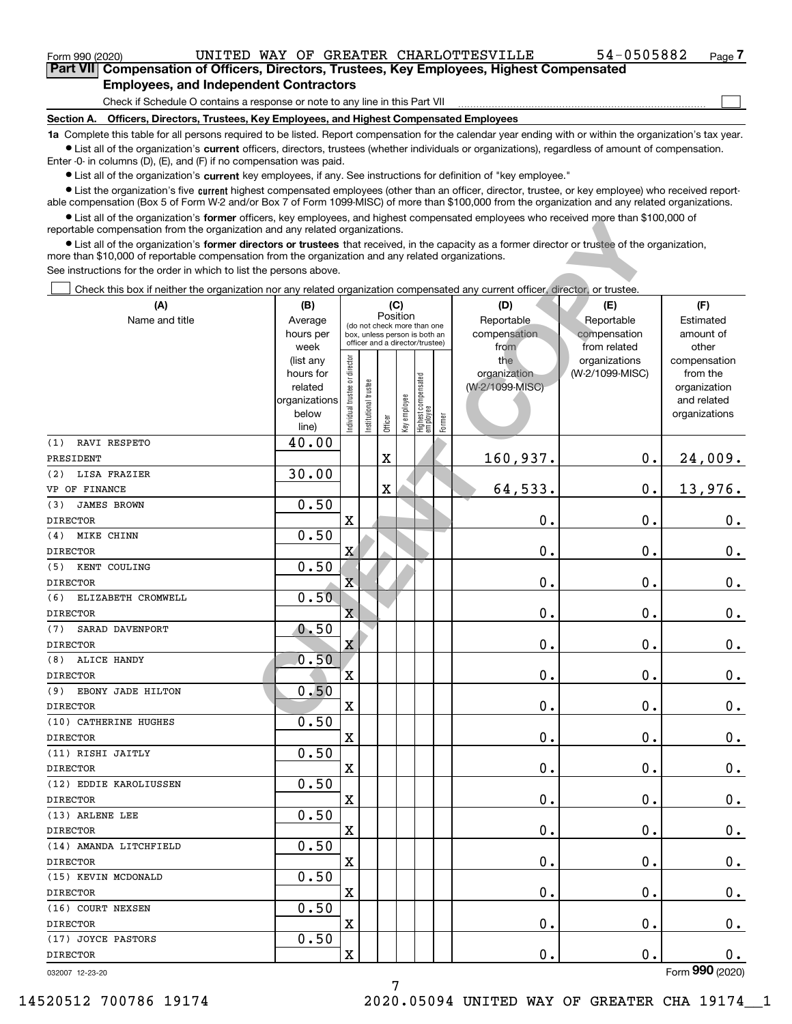$\mathcal{L}^{\text{max}}$ 

| Form 990 (2020) |                                               |  |  | UNITED WAY OF GREATER CHARLOTTESVILLE                                                      | 54-0505882 | Page <i>I</i> |
|-----------------|-----------------------------------------------|--|--|--------------------------------------------------------------------------------------------|------------|---------------|
|                 |                                               |  |  | Part VII Compensation of Officers, Directors, Trustees, Key Employees, Highest Compensated |            |               |
|                 | <b>Employees, and Independent Contractors</b> |  |  |                                                                                            |            |               |

Check if Schedule O contains a response or note to any line in this Part VII

**Section A. Officers, Directors, Trustees, Key Employees, and Highest Compensated Employees**

**1a**  Complete this table for all persons required to be listed. Report compensation for the calendar year ending with or within the organization's tax year. **•** List all of the organization's current officers, directors, trustees (whether individuals or organizations), regardless of amount of compensation.

Enter -0- in columns (D), (E), and (F) if no compensation was paid.

 $\bullet$  List all of the organization's  $\,$ current key employees, if any. See instructions for definition of "key employee."

**•** List the organization's five current highest compensated employees (other than an officer, director, trustee, or key employee) who received reportable compensation (Box 5 of Form W-2 and/or Box 7 of Form 1099-MISC) of more than \$100,000 from the organization and any related organizations.

**•** List all of the organization's former officers, key employees, and highest compensated employees who received more than \$100,000 of reportable compensation from the organization and any related organizations.

| ■ List all of the organization's <b>former</b> officers, key employees, and highest compensated employees who received more than \$100,000 of<br>reportable compensation from the organization and any related organizations. |                        |                               |                       |                                                                  |              |                                   |        |                 |                               |                         |
|-------------------------------------------------------------------------------------------------------------------------------------------------------------------------------------------------------------------------------|------------------------|-------------------------------|-----------------------|------------------------------------------------------------------|--------------|-----------------------------------|--------|-----------------|-------------------------------|-------------------------|
| • List all of the organization's former directors or trustees that received, in the capacity as a former director or trustee of the organization,                                                                             |                        |                               |                       |                                                                  |              |                                   |        |                 |                               |                         |
| more than \$10,000 of reportable compensation from the organization and any related organizations.                                                                                                                            |                        |                               |                       |                                                                  |              |                                   |        |                 |                               |                         |
| See instructions for the order in which to list the persons above.                                                                                                                                                            |                        |                               |                       |                                                                  |              |                                   |        |                 |                               |                         |
| Check this box if neither the organization nor any related organization compensated any current officer, director, or trustee.                                                                                                |                        |                               |                       |                                                                  |              |                                   |        |                 |                               |                         |
| (A)                                                                                                                                                                                                                           | (B)                    |                               |                       | (C)                                                              |              |                                   |        | (D)             | (E)                           | (F)                     |
| Name and title                                                                                                                                                                                                                | Average                |                               |                       | Position<br>(do not check more than one                          |              |                                   |        | Reportable      | Reportable                    | Estimated               |
|                                                                                                                                                                                                                               | hours per              |                               |                       | box, unless person is both an<br>officer and a director/trustee) |              |                                   |        | compensation    | compensation                  | amount of               |
|                                                                                                                                                                                                                               | week                   |                               |                       |                                                                  |              |                                   |        | from<br>the     | from related<br>organizations | other<br>compensation   |
|                                                                                                                                                                                                                               | (list any<br>hours for |                               |                       |                                                                  |              |                                   |        | organization    | (W-2/1099-MISC)               | from the                |
|                                                                                                                                                                                                                               | related                |                               |                       |                                                                  |              |                                   |        | (W-2/1099-MISC) |                               | organization            |
|                                                                                                                                                                                                                               | organizations          |                               |                       |                                                                  |              |                                   |        |                 |                               | and related             |
|                                                                                                                                                                                                                               | below                  | ndividual trustee or director | Institutional trustee | Officer                                                          | Key employee | Highest compensated<br>  employee | Former |                 |                               | organizations           |
|                                                                                                                                                                                                                               | line)                  |                               |                       |                                                                  |              |                                   |        |                 |                               |                         |
| RAVI RESPETO<br>(1)                                                                                                                                                                                                           | 40.00                  |                               |                       |                                                                  |              |                                   |        |                 |                               |                         |
| PRESIDENT                                                                                                                                                                                                                     |                        |                               |                       | $\overline{\textbf{X}}$                                          |              |                                   |        | 160,937.        | $\mathbf 0$ .                 | 24,009.                 |
| LISA FRAZIER<br>(2)                                                                                                                                                                                                           | 30.00                  |                               |                       |                                                                  |              |                                   |        |                 |                               |                         |
| VP OF FINANCE                                                                                                                                                                                                                 |                        |                               |                       | X                                                                |              |                                   |        | 64,533.         | 0.                            | 13,976.                 |
| <b>JAMES BROWN</b><br>(3)<br><b>DIRECTOR</b>                                                                                                                                                                                  | 0.50                   | X                             |                       |                                                                  |              |                                   |        | 0.              | 0.                            |                         |
| MIKE CHINN<br>(4)                                                                                                                                                                                                             | 0.50                   |                               |                       |                                                                  |              |                                   |        |                 |                               | 0.                      |
| <b>DIRECTOR</b>                                                                                                                                                                                                               |                        | X                             |                       |                                                                  |              |                                   |        | 0.              | 0.                            | $\mathbf 0$ .           |
| KENT COULING<br>(5)                                                                                                                                                                                                           | 0.50                   |                               |                       |                                                                  |              |                                   |        |                 |                               |                         |
| <b>DIRECTOR</b>                                                                                                                                                                                                               |                        | $\overline{\textbf{X}}$       |                       |                                                                  |              |                                   |        | 0.              | 0.                            | 0.                      |
| (6)<br>ELIZABETH CROMWELL                                                                                                                                                                                                     | 0.50                   |                               |                       |                                                                  |              |                                   |        |                 |                               |                         |
| <b>DIRECTOR</b>                                                                                                                                                                                                               |                        | X                             |                       |                                                                  |              |                                   |        | 0.              | 0.                            | $0_{.}$                 |
| SARAD DAVENPORT<br>(7)                                                                                                                                                                                                        | 0.50                   |                               |                       |                                                                  |              |                                   |        |                 |                               |                         |
| <b>DIRECTOR</b>                                                                                                                                                                                                               |                        | X                             |                       |                                                                  |              |                                   |        | 0.              | 0.                            | 0.                      |
| ALICE HANDY<br>(8)                                                                                                                                                                                                            | 0.50                   |                               |                       |                                                                  |              |                                   |        |                 |                               |                         |
| <b>DIRECTOR</b>                                                                                                                                                                                                               |                        | X                             |                       |                                                                  |              |                                   |        | 0.              | 0.                            | 0.                      |
| EBONY JADE HILTON<br>(9)                                                                                                                                                                                                      | 0.50                   |                               |                       |                                                                  |              |                                   |        |                 |                               |                         |
| <b>DIRECTOR</b>                                                                                                                                                                                                               |                        | X                             |                       |                                                                  |              |                                   |        | 0.              | 0.                            | 0.                      |
| (10) CATHERINE HUGHES<br><b>DIRECTOR</b>                                                                                                                                                                                      | 0.50                   | X                             |                       |                                                                  |              |                                   |        | 0.              | $\mathbf 0$ .                 |                         |
| (11) RISHI JAITLY                                                                                                                                                                                                             | 0.50                   |                               |                       |                                                                  |              |                                   |        |                 |                               | 0.                      |
| <b>DIRECTOR</b>                                                                                                                                                                                                               |                        | X                             |                       |                                                                  |              |                                   |        | 0.              | Ο.                            | 0.                      |
| (12) EDDIE KAROLIUSSEN                                                                                                                                                                                                        | 0.50                   |                               |                       |                                                                  |              |                                   |        |                 |                               |                         |
| <b>DIRECTOR</b>                                                                                                                                                                                                               |                        | X                             |                       |                                                                  |              |                                   |        | $\mathbf 0$ .   | $\mathbf 0$ .                 | $\mathbf 0$ .           |
| (13) ARLENE LEE                                                                                                                                                                                                               | 0.50                   |                               |                       |                                                                  |              |                                   |        |                 |                               |                         |
| <b>DIRECTOR</b>                                                                                                                                                                                                               |                        | X                             |                       |                                                                  |              |                                   |        | 0.              | $\mathbf 0$ .                 | $0\cdot$                |
| (14) AMANDA LITCHFIELD                                                                                                                                                                                                        | 0.50                   |                               |                       |                                                                  |              |                                   |        |                 |                               |                         |
| <b>DIRECTOR</b>                                                                                                                                                                                                               |                        | X                             |                       |                                                                  |              |                                   |        | 0.              | $\mathbf 0$ .                 | 0.                      |
| (15) KEVIN MCDONALD                                                                                                                                                                                                           | 0.50                   |                               |                       |                                                                  |              |                                   |        |                 |                               |                         |
| <b>DIRECTOR</b>                                                                                                                                                                                                               |                        | X                             |                       |                                                                  |              |                                   |        | 0.              | $\mathbf 0$ .                 | 0.                      |
| (16) COURT NEXSEN                                                                                                                                                                                                             | 0.50                   |                               |                       |                                                                  |              |                                   |        |                 |                               |                         |
| <b>DIRECTOR</b>                                                                                                                                                                                                               |                        | X                             |                       |                                                                  |              |                                   |        | 0.              | $\mathbf 0$ .                 | 0.                      |
| (17) JOYCE PASTORS                                                                                                                                                                                                            | 0.50                   |                               |                       |                                                                  |              |                                   |        |                 |                               |                         |
| <b>DIRECTOR</b>                                                                                                                                                                                                               |                        | X                             |                       |                                                                  |              |                                   |        | 0.              | 0.                            | 0.<br>$000 \text{ mas}$ |

7

032007 12-23-20

Form (2020) **990**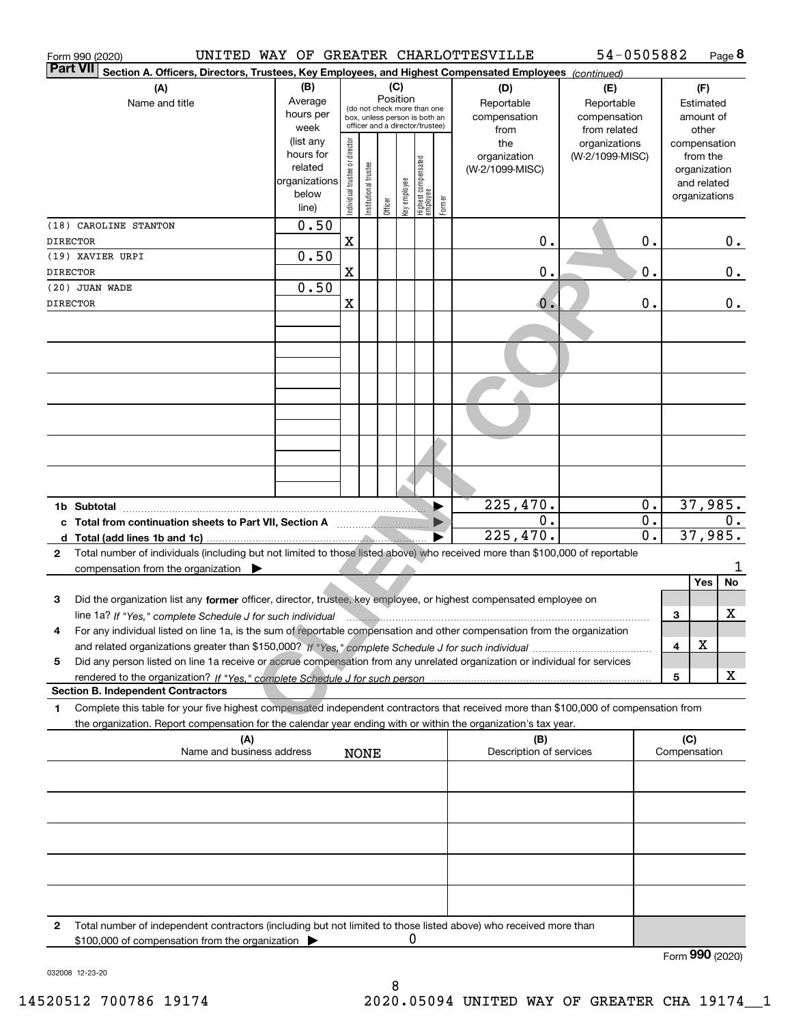|                 | Form 990 (2020)                                                                                                                                | UNITED WAY OF GREATER CHARLOTTESVILLE |                                |                                                              |          |              |                                  |        |                         | 54-0505882      |    |   |               | Page 8    |
|-----------------|------------------------------------------------------------------------------------------------------------------------------------------------|---------------------------------------|--------------------------------|--------------------------------------------------------------|----------|--------------|----------------------------------|--------|-------------------------|-----------------|----|---|---------------|-----------|
| <b>Part VII</b> | Section A. Officers, Directors, Trustees, Key Employees, and Highest Compensated Employees (continued)                                         |                                       |                                |                                                              |          |              |                                  |        |                         |                 |    |   |               |           |
|                 | (A)                                                                                                                                            | (B)                                   |                                |                                                              | (C)      |              |                                  |        | (D)                     | (E)             |    |   | (F)           |           |
|                 | Name and title                                                                                                                                 | Average                               |                                |                                                              | Position |              |                                  |        | Reportable              | Reportable      |    |   | Estimated     |           |
|                 |                                                                                                                                                | hours per                             |                                | (do not check more than one<br>box, unless person is both an |          |              |                                  |        | compensation            | compensation    |    |   | amount of     |           |
|                 |                                                                                                                                                | week                                  |                                | officer and a director/trustee)                              |          |              |                                  |        | from                    | from related    |    |   | other         |           |
|                 |                                                                                                                                                | (list any                             |                                |                                                              |          |              |                                  |        | the                     | organizations   |    |   | compensation  |           |
|                 |                                                                                                                                                | hours for                             |                                |                                                              |          |              |                                  |        | organization            | (W-2/1099-MISC) |    |   | from the      |           |
|                 |                                                                                                                                                | related                               |                                |                                                              |          |              |                                  |        | (W-2/1099-MISC)         |                 |    |   | organization  |           |
|                 |                                                                                                                                                | organizations<br>below                |                                |                                                              |          |              |                                  |        |                         |                 |    |   | and related   |           |
|                 |                                                                                                                                                | line)                                 | Individual trustee or director | Institutional trustee                                        | Officer  | Key employee | Highest compensated<br> employee | Former |                         |                 |    |   | organizations |           |
|                 | (18) CAROLINE STANTON                                                                                                                          | 0.50                                  |                                |                                                              |          |              |                                  |        |                         |                 |    |   |               |           |
| <b>DIRECTOR</b> |                                                                                                                                                |                                       | X                              |                                                              |          |              |                                  |        | 0.                      |                 | 0. |   |               | 0.        |
|                 | (19) XAVIER URPI                                                                                                                               | 0.50                                  |                                |                                                              |          |              |                                  |        |                         |                 |    |   |               |           |
| <b>DIRECTOR</b> |                                                                                                                                                |                                       | X                              |                                                              |          |              |                                  |        | 0.                      |                 | 0. |   |               | 0.        |
|                 | (20) JUAN WADE                                                                                                                                 | 0.50                                  |                                |                                                              |          |              |                                  |        |                         |                 |    |   |               |           |
| <b>DIRECTOR</b> |                                                                                                                                                |                                       | X                              |                                                              |          |              |                                  |        | $\mathbf 0$ .           |                 | 0. |   |               | 0.        |
|                 |                                                                                                                                                |                                       |                                |                                                              |          |              |                                  |        |                         |                 |    |   |               |           |
|                 |                                                                                                                                                |                                       |                                |                                                              |          |              |                                  |        |                         |                 |    |   |               |           |
|                 |                                                                                                                                                |                                       |                                |                                                              |          |              |                                  |        |                         |                 |    |   |               |           |
|                 |                                                                                                                                                |                                       |                                |                                                              |          |              |                                  |        |                         |                 |    |   |               |           |
|                 |                                                                                                                                                |                                       |                                |                                                              |          |              |                                  |        |                         |                 |    |   |               |           |
|                 |                                                                                                                                                |                                       |                                |                                                              |          |              |                                  |        |                         |                 |    |   |               |           |
|                 |                                                                                                                                                |                                       |                                |                                                              |          |              |                                  |        |                         |                 |    |   |               |           |
|                 |                                                                                                                                                |                                       |                                |                                                              |          |              |                                  |        |                         |                 |    |   |               |           |
|                 |                                                                                                                                                |                                       |                                |                                                              |          |              |                                  |        |                         |                 |    |   |               |           |
|                 |                                                                                                                                                |                                       |                                |                                                              |          |              |                                  |        |                         |                 |    |   |               |           |
|                 |                                                                                                                                                |                                       |                                |                                                              |          |              |                                  |        |                         |                 |    |   |               |           |
|                 |                                                                                                                                                |                                       |                                |                                                              |          |              |                                  |        |                         |                 |    |   |               |           |
|                 |                                                                                                                                                |                                       |                                |                                                              |          |              |                                  |        | 225,470.                |                 | 0. |   | 37,985.       |           |
|                 |                                                                                                                                                |                                       |                                |                                                              |          |              |                                  |        | 0.                      |                 | 0. |   |               | 0.        |
|                 |                                                                                                                                                |                                       |                                |                                                              |          |              |                                  |        | 225,470.                |                 | 0. |   | 37,985.       |           |
| $\mathbf{2}$    | Total number of individuals (including but not limited to those listed above) who received more than \$100,000 of reportable                   |                                       |                                |                                                              |          |              |                                  |        |                         |                 |    |   |               |           |
|                 | compensation from the organization $\blacktriangleright$                                                                                       |                                       |                                |                                                              |          |              |                                  |        |                         |                 |    |   |               |           |
|                 |                                                                                                                                                |                                       |                                |                                                              |          |              |                                  |        |                         |                 |    |   | Yes           | No        |
| 3               | Did the organization list any former officer, director, trustee, key employee, or highest compensated employee on                              |                                       |                                |                                                              |          |              |                                  |        |                         |                 |    |   |               |           |
|                 | line 1a? If "Yes," complete Schedule J for such individual manufactured contains and the 1a? If "Yes," complete Schedule J for such individual |                                       |                                |                                                              |          |              |                                  |        |                         |                 |    | З |               | X         |
|                 | For any individual listed on line 1a, is the sum of reportable compensation and other compensation from the organization                       |                                       |                                |                                                              |          |              |                                  |        |                         |                 |    |   |               |           |
|                 |                                                                                                                                                |                                       |                                |                                                              |          |              |                                  |        |                         |                 |    | 4 | X             |           |
| 5               | Did any person listed on line 1a receive or accrue compensation from any unrelated organization or individual for services                     |                                       |                                |                                                              |          |              |                                  |        |                         |                 |    |   |               |           |
|                 |                                                                                                                                                |                                       |                                |                                                              |          |              |                                  |        |                         |                 |    | 5 |               | x         |
|                 | <b>Section B. Independent Contractors</b>                                                                                                      |                                       |                                |                                                              |          |              |                                  |        |                         |                 |    |   |               |           |
| 1               | Complete this table for your five highest compensated independent contractors that received more than \$100,000 of compensation from           |                                       |                                |                                                              |          |              |                                  |        |                         |                 |    |   |               |           |
|                 | the organization. Report compensation for the calendar year ending with or within the organization's tax year.                                 |                                       |                                |                                                              |          |              |                                  |        |                         |                 |    |   |               |           |
|                 | (A)                                                                                                                                            |                                       |                                |                                                              |          |              |                                  |        | (B)                     |                 |    |   | (C)           |           |
|                 | Name and business address                                                                                                                      |                                       |                                | <b>NONE</b>                                                  |          |              |                                  |        | Description of services |                 |    |   | Compensation  |           |
|                 |                                                                                                                                                |                                       |                                |                                                              |          |              |                                  |        |                         |                 |    |   |               |           |
|                 |                                                                                                                                                |                                       |                                |                                                              |          |              |                                  |        |                         |                 |    |   |               |           |
|                 |                                                                                                                                                |                                       |                                |                                                              |          |              |                                  |        |                         |                 |    |   |               |           |
|                 |                                                                                                                                                |                                       |                                |                                                              |          |              |                                  |        |                         |                 |    |   |               |           |
|                 |                                                                                                                                                |                                       |                                |                                                              |          |              |                                  |        |                         |                 |    |   |               |           |
|                 |                                                                                                                                                |                                       |                                |                                                              |          |              |                                  |        |                         |                 |    |   |               |           |
|                 |                                                                                                                                                |                                       |                                |                                                              |          |              |                                  |        |                         |                 |    |   |               |           |
|                 |                                                                                                                                                |                                       |                                |                                                              |          |              |                                  |        |                         |                 |    |   |               |           |
| 2               | Total number of independent contractors (including but not limited to those listed above) who received more than                               |                                       |                                |                                                              |          |              |                                  |        |                         |                 |    |   |               |           |
|                 | \$100,000 of compensation from the organization                                                                                                |                                       |                                |                                                              |          | 0            |                                  |        |                         |                 |    |   |               |           |
|                 |                                                                                                                                                |                                       |                                |                                                              |          |              |                                  |        |                         |                 |    |   |               | $QQ$ $QQ$ |

Form (2020) **990**

032008 12-23-20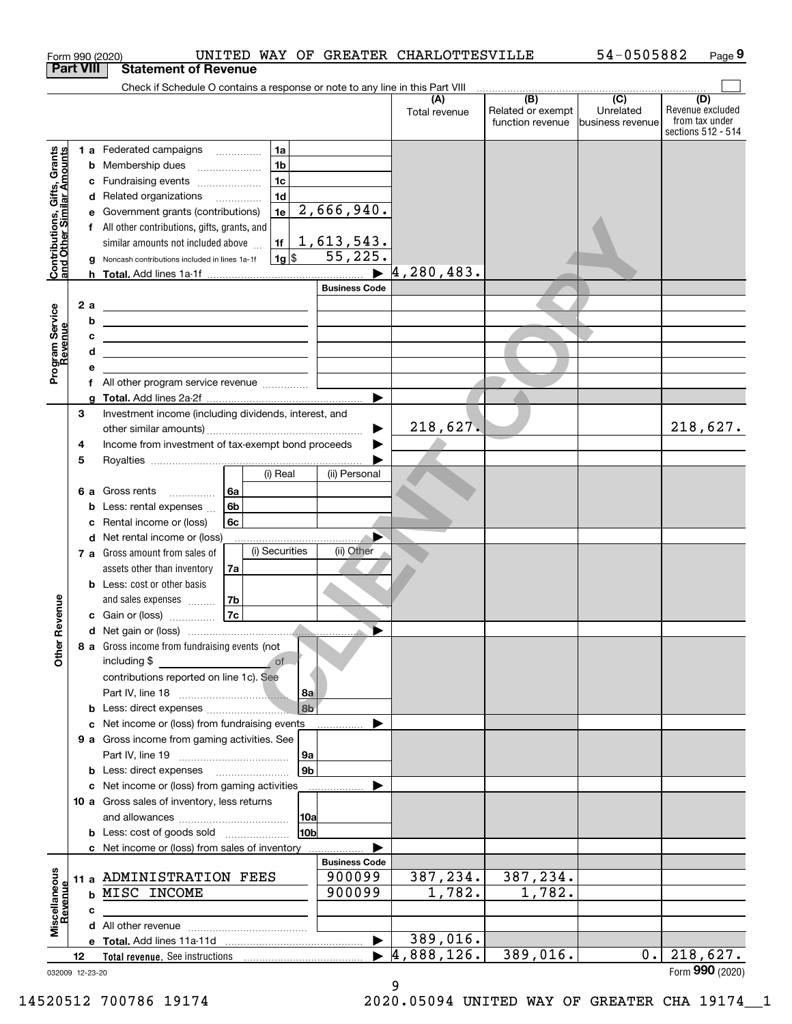|                                                           | Form 990 (2020)  | UNITED WAY OF GREATER CHARLOTTESVILLE                                                                                  |                                |                      |                                                                                                | 54-0505882                    | Page 9                                                          |
|-----------------------------------------------------------|------------------|------------------------------------------------------------------------------------------------------------------------|--------------------------------|----------------------|------------------------------------------------------------------------------------------------|-------------------------------|-----------------------------------------------------------------|
|                                                           | <b>Part VIII</b> | <b>Statement of Revenue</b>                                                                                            |                                |                      |                                                                                                |                               |                                                                 |
|                                                           |                  | Check if Schedule O contains a response or note to any line in this Part VIII                                          |                                |                      | $\begin{array}{c c c c c c} \hline \text{ } & \text{(B)} & \text{ (C)} & \text{ } \end{array}$ |                               |                                                                 |
|                                                           |                  |                                                                                                                        |                                | (A)<br>Total revenue | Related or exempt<br>function revenue                                                          | Unrelated<br>business revenue | (D)<br>Revenue excluded<br>from tax under<br>sections 512 - 514 |
|                                                           |                  | 1 a Federated campaigns<br>1a                                                                                          |                                |                      |                                                                                                |                               |                                                                 |
|                                                           | b                | 1 <sub>b</sub><br>Membership dues                                                                                      |                                |                      |                                                                                                |                               |                                                                 |
| Contributions, Gifts, Grants<br>and Other Similar Amounts | с                | 1 <sub>c</sub><br>Fundraising events                                                                                   |                                |                      |                                                                                                |                               |                                                                 |
|                                                           | d                | 1 <sub>d</sub><br>Related organizations                                                                                |                                |                      |                                                                                                |                               |                                                                 |
|                                                           | е                | 1e<br>Government grants (contributions)                                                                                | 2,666,940.                     |                      |                                                                                                |                               |                                                                 |
|                                                           | f                | All other contributions, gifts, grants, and                                                                            |                                |                      |                                                                                                |                               |                                                                 |
|                                                           |                  | similar amounts not included above<br>1f                                                                               | 1,613,543.<br>55,225.          |                      |                                                                                                |                               |                                                                 |
|                                                           | g                | $1g$ \$<br>Noncash contributions included in lines 1a-1f                                                               |                                | 4,280,483.           |                                                                                                |                               |                                                                 |
|                                                           |                  |                                                                                                                        | <b>Business Code</b>           |                      |                                                                                                |                               |                                                                 |
|                                                           | 2a               | <u> 2002 - John Stone, Amerikaans en Stone (</u>                                                                       |                                |                      |                                                                                                |                               |                                                                 |
| Program Service<br>Revenue                                | b                | <u> 1989 - Johann Stoff, deutscher Stoffen und der Stoffen und der Stoffen und der Stoffen und der Stoffen und der</u> |                                |                      |                                                                                                |                               |                                                                 |
|                                                           | с                | <u> 1980 - John Stone, Amerikaans en Stone (</u>                                                                       |                                |                      |                                                                                                |                               |                                                                 |
|                                                           | d                | <u> 1989 - Johann Barn, amerikansk politiker (d. 1989)</u>                                                             |                                |                      |                                                                                                |                               |                                                                 |
|                                                           | е                |                                                                                                                        |                                |                      |                                                                                                |                               |                                                                 |
|                                                           |                  | f All other program service revenue                                                                                    |                                |                      |                                                                                                |                               |                                                                 |
|                                                           | g                |                                                                                                                        |                                |                      |                                                                                                |                               |                                                                 |
|                                                           | 3                | Investment income (including dividends, interest, and                                                                  |                                |                      |                                                                                                |                               |                                                                 |
|                                                           |                  |                                                                                                                        |                                | 218,627.             |                                                                                                |                               | 218,627.                                                        |
|                                                           | 4                | Income from investment of tax-exempt bond proceeds                                                                     |                                |                      |                                                                                                |                               |                                                                 |
|                                                           | 5                | (i) Real                                                                                                               | (ii) Personal                  |                      |                                                                                                |                               |                                                                 |
|                                                           |                  | 6a<br>6 a Gross rents                                                                                                  |                                |                      |                                                                                                |                               |                                                                 |
|                                                           | b                | 6b<br>Less: rental expenses                                                                                            |                                |                      |                                                                                                |                               |                                                                 |
|                                                           | c                | Rental income or (loss)<br>6c                                                                                          |                                |                      |                                                                                                |                               |                                                                 |
|                                                           | d                | Net rental income or (loss)                                                                                            | ▶                              |                      |                                                                                                |                               |                                                                 |
|                                                           |                  | (i) Securities<br>7 a Gross amount from sales of                                                                       | (ii) Other                     |                      |                                                                                                |                               |                                                                 |
|                                                           |                  | assets other than inventory<br>7a                                                                                      |                                |                      |                                                                                                |                               |                                                                 |
|                                                           |                  | <b>b</b> Less: cost or other basis                                                                                     |                                |                      |                                                                                                |                               |                                                                 |
|                                                           |                  | 7b<br>and sales expenses                                                                                               |                                |                      |                                                                                                |                               |                                                                 |
| evenue                                                    |                  | <b>7c</b><br>c Gain or (loss)                                                                                          |                                |                      |                                                                                                |                               |                                                                 |
|                                                           |                  | d Net gain or (loss)                                                                                                   |                                |                      |                                                                                                |                               |                                                                 |
| Other R                                                   |                  | 8 a Gross income from fundraising events (not<br>including \$<br>of<br>contributions reported on line 1c). See<br>8a   |                                |                      |                                                                                                |                               |                                                                 |
|                                                           |                  | 8 <sub>b</sub>                                                                                                         |                                |                      |                                                                                                |                               |                                                                 |
|                                                           | с                | Net income or (loss) from fundraising events                                                                           |                                |                      |                                                                                                |                               |                                                                 |
|                                                           |                  | 9 a Gross income from gaming activities. See                                                                           |                                |                      |                                                                                                |                               |                                                                 |
|                                                           |                  | 9a                                                                                                                     |                                |                      |                                                                                                |                               |                                                                 |
|                                                           |                  | 9 <sub>b</sub><br><b>b</b> Less: direct expenses <b>manually</b>                                                       |                                |                      |                                                                                                |                               |                                                                 |
|                                                           |                  | c Net income or (loss) from gaming activities                                                                          |                                |                      |                                                                                                |                               |                                                                 |
|                                                           |                  | 10 a Gross sales of inventory, less returns                                                                            |                                |                      |                                                                                                |                               |                                                                 |
|                                                           |                  | 10a                                                                                                                    |                                |                      |                                                                                                |                               |                                                                 |
|                                                           |                  | 10 <sub>b</sub><br><b>b</b> Less: cost of goods sold                                                                   |                                |                      |                                                                                                |                               |                                                                 |
|                                                           |                  | c Net income or (loss) from sales of inventory                                                                         |                                |                      |                                                                                                |                               |                                                                 |
|                                                           |                  | 11 a ADMINISTRATION FEES                                                                                               | <b>Business Code</b><br>900099 | 387,234.             | 387,234.                                                                                       |                               |                                                                 |
| Miscellaneous<br>Revenue                                  |                  | <b>b MISC INCOME</b>                                                                                                   | 900099                         | 1,782.               | 1,782.                                                                                         |                               |                                                                 |
|                                                           |                  |                                                                                                                        |                                |                      |                                                                                                |                               |                                                                 |
|                                                           | с                |                                                                                                                        |                                |                      |                                                                                                |                               |                                                                 |
|                                                           |                  |                                                                                                                        | $\blacktriangleright$          | 389,016.             |                                                                                                |                               |                                                                 |
|                                                           | 12               |                                                                                                                        | ▶                              | 4,888,126.           | 389,016.                                                                                       | $0$ .                         | 218,627.                                                        |
|                                                           | 032009 12-23-20  |                                                                                                                        |                                |                      |                                                                                                |                               | Form 990 (2020)                                                 |

9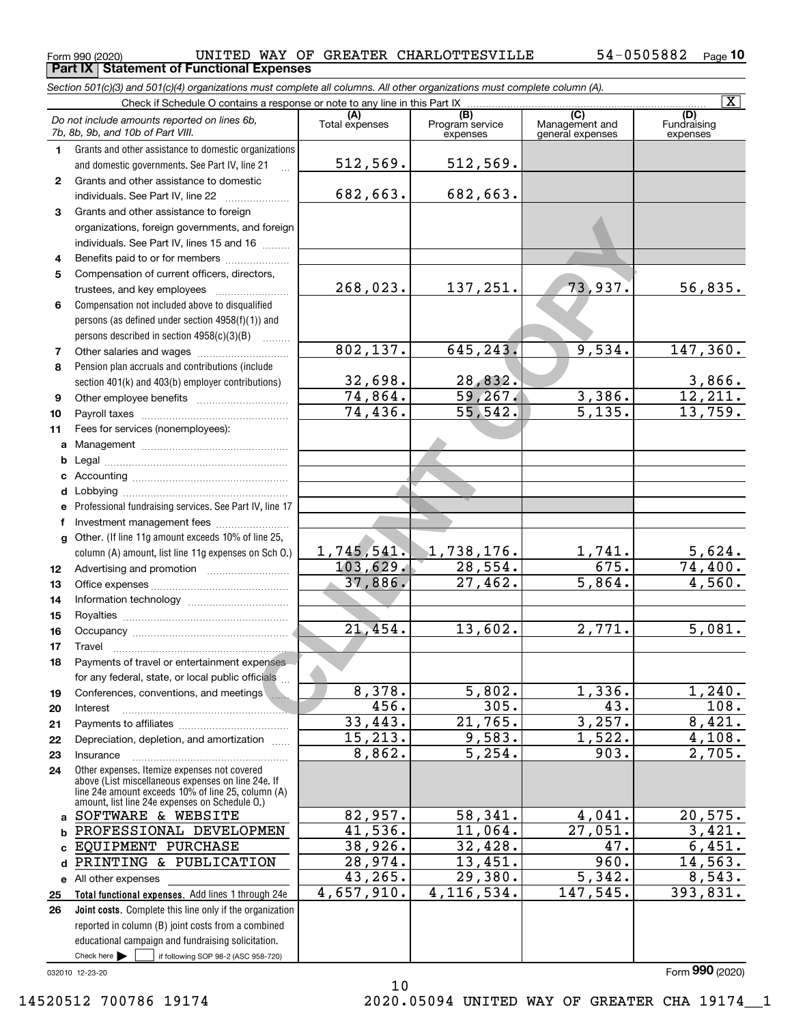**Part IX Statement of Functional Expenses**

 $_{\rm Form}$  990 (2020) UNITED WAY OF GREATER CHARLOTTESVILLE 54-0505882  $_{\rm Page}$ 

|                  | Section 501(c)(3) and 501(c)(4) organizations must complete all columns. All other organizations must complete column (A).                                                                                 |                        |                                    |                                                      |                                |
|------------------|------------------------------------------------------------------------------------------------------------------------------------------------------------------------------------------------------------|------------------------|------------------------------------|------------------------------------------------------|--------------------------------|
|                  | Check if Schedule O contains a response or note to any line in this Part IX                                                                                                                                |                        |                                    |                                                      | $\overline{\mathbf{x}}$        |
|                  | Do not include amounts reported on lines 6b,<br>7b, 8b, 9b, and 10b of Part VIII.                                                                                                                          | (A)<br>Total expenses  | (B)<br>Program service<br>expenses | $\overline{C}$<br>Management and<br>general expenses | (D)<br>Fundraising<br>expenses |
| 1.               | Grants and other assistance to domestic organizations                                                                                                                                                      |                        |                                    |                                                      |                                |
|                  | and domestic governments. See Part IV, line 21                                                                                                                                                             | 512,569.               | 512,569.                           |                                                      |                                |
| $\mathbf{2}$     | Grants and other assistance to domestic                                                                                                                                                                    |                        |                                    |                                                      |                                |
|                  | individuals. See Part IV, line 22                                                                                                                                                                          | 682,663.               | 682,663.                           |                                                      |                                |
| 3                | Grants and other assistance to foreign                                                                                                                                                                     |                        |                                    |                                                      |                                |
|                  | organizations, foreign governments, and foreign                                                                                                                                                            |                        |                                    |                                                      |                                |
|                  | individuals. See Part IV, lines 15 and 16                                                                                                                                                                  |                        |                                    |                                                      |                                |
| 4                | Benefits paid to or for members                                                                                                                                                                            |                        |                                    |                                                      |                                |
| 5                | Compensation of current officers, directors,                                                                                                                                                               |                        |                                    |                                                      |                                |
|                  |                                                                                                                                                                                                            | 268,023.               | 137,251.                           | 73,937.                                              | 56,835.                        |
| 6                | Compensation not included above to disqualified                                                                                                                                                            |                        |                                    |                                                      |                                |
|                  | persons (as defined under section 4958(f)(1)) and                                                                                                                                                          |                        |                                    |                                                      |                                |
|                  | persons described in section 4958(c)(3)(B)<br><u>.</u>                                                                                                                                                     |                        |                                    |                                                      |                                |
| 7                |                                                                                                                                                                                                            | 802, 137.              | 645, 243.                          | 9,534.                                               | 147,360.                       |
| 8                | Pension plan accruals and contributions (include                                                                                                                                                           |                        |                                    |                                                      |                                |
|                  | section 401(k) and 403(b) employer contributions)                                                                                                                                                          | 32,698.                | 28,832.                            |                                                      | $\frac{3,866}{12,211}$ .       |
| 9                |                                                                                                                                                                                                            | 74,864.                | 59,267.                            | 3,386.                                               |                                |
| 10               |                                                                                                                                                                                                            | $\overline{74, 436}$ . | 55,542.                            | 5,135.                                               | 13,759.                        |
| 11               | Fees for services (nonemployees):                                                                                                                                                                          |                        |                                    |                                                      |                                |
| a                |                                                                                                                                                                                                            |                        |                                    |                                                      |                                |
| b                |                                                                                                                                                                                                            |                        |                                    |                                                      |                                |
| c                |                                                                                                                                                                                                            |                        |                                    |                                                      |                                |
| d                |                                                                                                                                                                                                            |                        |                                    |                                                      |                                |
| е                | Professional fundraising services. See Part IV, line 17                                                                                                                                                    |                        |                                    |                                                      |                                |
| f                | Investment management fees                                                                                                                                                                                 |                        |                                    |                                                      |                                |
| g                | Other. (If line 11g amount exceeds 10% of line 25,                                                                                                                                                         |                        |                                    |                                                      |                                |
|                  | column (A) amount, list line 11g expenses on Sch O.)                                                                                                                                                       | 1,745,541.             | 1,738,176.                         | $\frac{1,741.}{675.}$                                |                                |
| 12 <sup>12</sup> |                                                                                                                                                                                                            | 103,629.               | 28,554.                            |                                                      | $\frac{5,624.74,400.74,560.5}$ |
| 13               |                                                                                                                                                                                                            | 37,886.                | 27,462.                            | 5,864.                                               |                                |
| 14               |                                                                                                                                                                                                            |                        |                                    |                                                      |                                |
| 15               |                                                                                                                                                                                                            |                        |                                    |                                                      |                                |
| 16               |                                                                                                                                                                                                            | $\overline{21,454}$ .  | 13,602.                            | 2,771.                                               | 5,081.                         |
| 17               |                                                                                                                                                                                                            |                        |                                    |                                                      |                                |
|                  | Payments of travel or entertainment expenses                                                                                                                                                               |                        |                                    |                                                      |                                |
|                  | for any federal, state, or local public officials                                                                                                                                                          |                        |                                    |                                                      |                                |
| 19               | Conferences, conventions, and meetings                                                                                                                                                                     | 8,378.                 | 5,802.                             | 1,336.                                               | 1,240.                         |
| 20               | Interest                                                                                                                                                                                                   | 456.                   | 305.                               | 43.                                                  | 108.                           |
| 21               |                                                                                                                                                                                                            | 33,443.                | 21,765.                            | 3,257.                                               | 8,421.                         |
| 22               | Depreciation, depletion, and amortization                                                                                                                                                                  | 15, 213.               | 9,583.                             | 1,522.                                               | 4,108.                         |
| 23               | Insurance                                                                                                                                                                                                  | 8,862.                 | $\overline{5,254}$ .               | 903.                                                 | 2,705.                         |
| 24               | Other expenses. Itemize expenses not covered<br>above (List miscellaneous expenses on line 24e. If<br>line 24e amount exceeds 10% of line 25, column (A)<br>amount, list line 24e expenses on Schedule 0.) |                        |                                    |                                                      |                                |
|                  | a SOFTWARE & WEBSITE                                                                                                                                                                                       | 82,957.                | 58,341.                            | 4,041.                                               | 20, 575.                       |
| b                | PROFESSIONAL DEVELOPMEN                                                                                                                                                                                    | 41,536.                | 11,064.                            | 27,051.                                              | 3,421.                         |
| C.               | EQUIPMENT PURCHASE                                                                                                                                                                                         | 38,926.                | 32,428.                            | 47.                                                  | 6,451.                         |
| d                | PRINTING & PUBLICATION                                                                                                                                                                                     | 28,974.                | 13,451.                            | 960.                                                 | 14,563.                        |
|                  | e All other expenses                                                                                                                                                                                       | $\overline{43,265}$ .  | 29,380.                            | 5,342.                                               | 8,543.                         |
| 25               | Total functional expenses. Add lines 1 through 24e                                                                                                                                                         | 4,657,910.             | 4, 116, 534.                       | 147,545.                                             | 393,831.                       |
| 26               | <b>Joint costs.</b> Complete this line only if the organization                                                                                                                                            |                        |                                    |                                                      |                                |
|                  | reported in column (B) joint costs from a combined                                                                                                                                                         |                        |                                    |                                                      |                                |
|                  | educational campaign and fundraising solicitation.                                                                                                                                                         |                        |                                    |                                                      |                                |
|                  | Check here $\blacktriangleright$<br>if following SOP 98-2 (ASC 958-720)                                                                                                                                    |                        |                                    |                                                      |                                |

10

032010 12-23-20

14520512 700786 19174 2020.05094 UNITED WAY OF GREATER CHA 19174\_\_1

Form (2020) **990**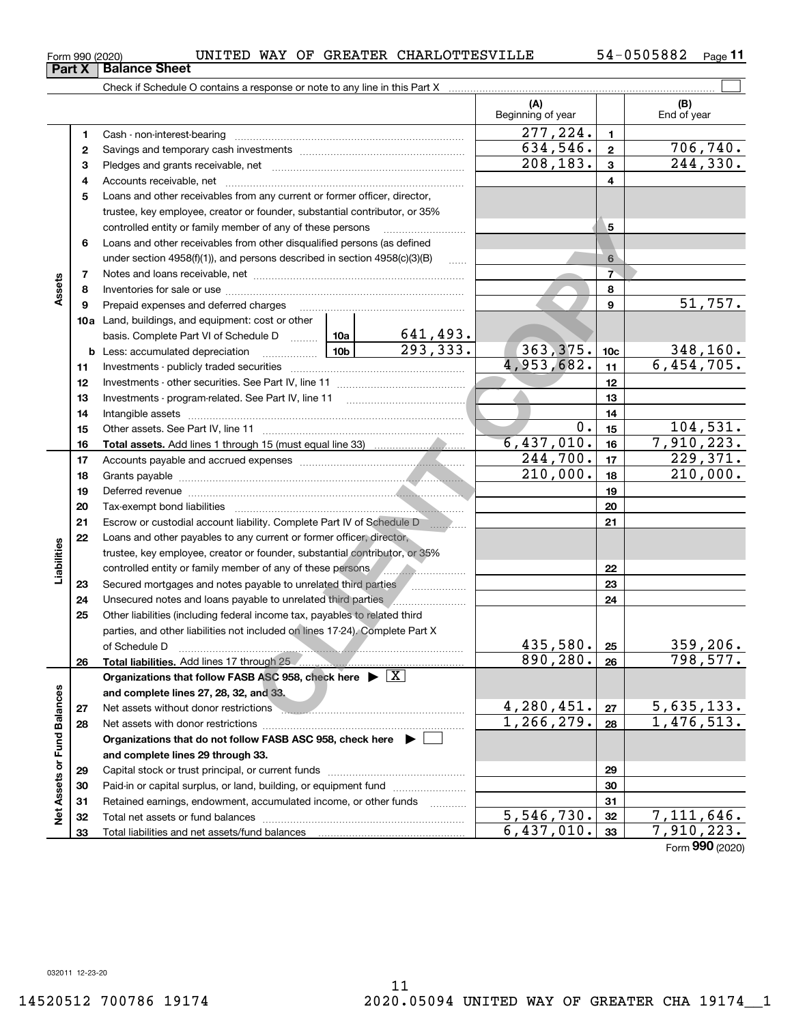**Part X Balance Sheet**<br>**Part X Balance Sheet** 

 $_{\rm Form}$  990 (2020) UNITED WAY OF GREATER CHARLOTTESVILLE 54-0505882  $_{\rm Page}$ 

**11**

|                             |          |                                                                                                                                                                                                                                      |  |                             | (A)<br>Beginning of year          |                 | (B)<br>End of year       |
|-----------------------------|----------|--------------------------------------------------------------------------------------------------------------------------------------------------------------------------------------------------------------------------------------|--|-----------------------------|-----------------------------------|-----------------|--------------------------|
|                             | 1        |                                                                                                                                                                                                                                      |  |                             | $\overline{277}, \overline{2}24.$ | $\mathbf{1}$    |                          |
|                             | 2        |                                                                                                                                                                                                                                      |  |                             | 634,546.                          | $\mathbf{2}$    | <u>706,740.</u>          |
|                             | 3        |                                                                                                                                                                                                                                      |  |                             | 208,183.                          | 3               | 244,330.                 |
|                             | 4        |                                                                                                                                                                                                                                      |  |                             |                                   | 4               |                          |
|                             | 5        | Loans and other receivables from any current or former officer, director,                                                                                                                                                            |  |                             |                                   |                 |                          |
|                             |          | trustee, key employee, creator or founder, substantial contributor, or 35%                                                                                                                                                           |  |                             |                                   |                 |                          |
|                             |          | controlled entity or family member of any of these persons                                                                                                                                                                           |  |                             |                                   | 5               |                          |
|                             | 6        | Loans and other receivables from other disqualified persons (as defined                                                                                                                                                              |  |                             |                                   |                 |                          |
|                             |          | under section $4958(f)(1)$ , and persons described in section $4958(c)(3)(B)$                                                                                                                                                        |  | $\ldots$                    |                                   | 6               |                          |
|                             | 7        |                                                                                                                                                                                                                                      |  |                             |                                   | $\overline{7}$  |                          |
| Assets                      | 8        |                                                                                                                                                                                                                                      |  |                             |                                   | 8               |                          |
|                             | 9        | Prepaid expenses and deferred charges                                                                                                                                                                                                |  |                             |                                   | 9               | 51,757.                  |
|                             |          | <b>10a</b> Land, buildings, and equipment: cost or other                                                                                                                                                                             |  |                             |                                   |                 |                          |
|                             |          | basis. Complete Part VI of Schedule D  10a                                                                                                                                                                                           |  | $\frac{641,493.}{293,333.}$ |                                   |                 |                          |
|                             |          | <b>b</b> Less: accumulated depreciation                                                                                                                                                                                              |  |                             | 363,375.                          | 10 <sub>c</sub> | <u>348,160.</u>          |
|                             | 11       |                                                                                                                                                                                                                                      |  |                             | 4,953,682.                        | 11              | 6,454,705.               |
|                             | 12       |                                                                                                                                                                                                                                      |  | 12                          |                                   |                 |                          |
|                             | 13       |                                                                                                                                                                                                                                      |  |                             |                                   | 13              |                          |
|                             | 14       |                                                                                                                                                                                                                                      |  |                             |                                   | 14              |                          |
|                             | 15       |                                                                                                                                                                                                                                      |  |                             | 0.                                | 15              | 104,531.                 |
|                             | 16       |                                                                                                                                                                                                                                      |  |                             | 6,437,010.                        | 16              | 7,910,223.               |
|                             | 17       |                                                                                                                                                                                                                                      |  |                             | 244,700.                          | 17              | 229,371.                 |
|                             | 18       |                                                                                                                                                                                                                                      |  |                             | 210,000.                          | 18              | 210,000.                 |
|                             | 19       | Deferred revenue <b>contract and the contract of the contract of the contract of the contract of the contract of the contract of the contract of the contract of the contract of the contract of the contract of the contract of</b> |  | 19                          |                                   |                 |                          |
|                             | 20       |                                                                                                                                                                                                                                      |  | 20                          |                                   |                 |                          |
|                             | 21       | Escrow or custodial account liability. Complete Part IV of Schedule D                                                                                                                                                                |  |                             | 21                                |                 |                          |
|                             | 22       | Loans and other payables to any current or former officer, director,                                                                                                                                                                 |  |                             |                                   |                 |                          |
| Liabilities                 |          | trustee, key employee, creator or founder, substantial contributor, or 35%                                                                                                                                                           |  |                             |                                   |                 |                          |
|                             |          |                                                                                                                                                                                                                                      |  |                             |                                   | 22<br>23        |                          |
|                             | 23<br>24 | Secured mortgages and notes payable to unrelated third parties<br>Unsecured notes and loans payable to unrelated third parties                                                                                                       |  |                             |                                   | 24              |                          |
|                             | 25       | Other liabilities (including federal income tax, payables to related third                                                                                                                                                           |  |                             |                                   |                 |                          |
|                             |          | parties, and other liabilities not included on lines 17-24). Complete Part X                                                                                                                                                         |  |                             |                                   |                 |                          |
|                             |          | of Schedule D                                                                                                                                                                                                                        |  |                             | 435,580.                          | 25              | 359, 206.                |
|                             | 26       | Total liabilities. Add lines 17 through 25                                                                                                                                                                                           |  |                             | 890, 280.                         | 26              | 798,577.                 |
|                             |          | Organizations that follow FASB ASC 958, check here $\triangleright \lfloor X \rfloor$                                                                                                                                                |  |                             |                                   |                 |                          |
|                             |          | and complete lines 27, 28, 32, and 33.                                                                                                                                                                                               |  |                             |                                   |                 |                          |
|                             | 27       | Net assets without donor restrictions <b>without an area controlled assets</b> without donor restrictions                                                                                                                            |  |                             | 4,280,451.                        | 27              | 5,635,133.               |
|                             | 28       |                                                                                                                                                                                                                                      |  |                             | 1,266,279.                        | 28              | $\overline{1,476,513}$ . |
|                             |          | Organizations that do not follow FASB ASC 958, check here ▶ □                                                                                                                                                                        |  |                             |                                   |                 |                          |
|                             |          | and complete lines 29 through 33.                                                                                                                                                                                                    |  |                             |                                   |                 |                          |
|                             | 29       |                                                                                                                                                                                                                                      |  |                             |                                   | 29              |                          |
| Net Assets or Fund Balances | 30       | Paid-in or capital surplus, or land, building, or equipment fund                                                                                                                                                                     |  |                             |                                   | 30              |                          |
|                             | 31       | Retained earnings, endowment, accumulated income, or other funds                                                                                                                                                                     |  |                             |                                   | 31              |                          |
|                             | 32       |                                                                                                                                                                                                                                      |  |                             | $\overline{5,546,730}$ .          | 32              | $\overline{7,111},646.$  |
|                             | 33       |                                                                                                                                                                                                                                      |  |                             | 6,437,010.                        | 33              | 7,910,223.               |

Form (2020) **990**

032011 12-23-20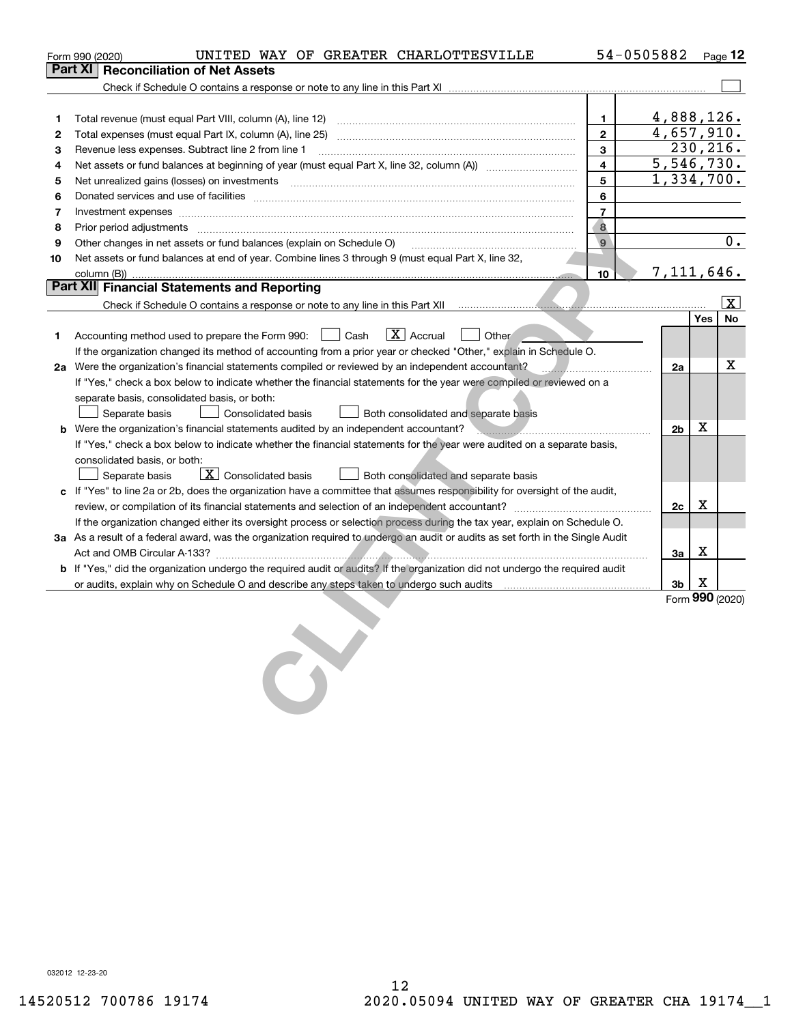|    | UNITED WAY OF GREATER CHARLOTTESVILLE<br>Form 990 (2020)                                                                                                                                                                       |                | 54-0505882 |                |            | Page 12           |
|----|--------------------------------------------------------------------------------------------------------------------------------------------------------------------------------------------------------------------------------|----------------|------------|----------------|------------|-------------------|
|    | <b>Reconciliation of Net Assets</b><br>Part XI                                                                                                                                                                                 |                |            |                |            |                   |
|    |                                                                                                                                                                                                                                |                |            |                |            |                   |
|    |                                                                                                                                                                                                                                |                |            |                |            |                   |
| 1  |                                                                                                                                                                                                                                | 1              |            |                |            | 4,888,126.        |
| 2  |                                                                                                                                                                                                                                | $\mathbf{2}$   |            |                |            | 4,657,910.        |
| з  | Revenue less expenses. Subtract line 2 from line 1                                                                                                                                                                             | 3              |            |                |            | 230, 216.         |
| 4  |                                                                                                                                                                                                                                | $\overline{4}$ |            |                |            | 5,546,730.        |
| 5  | Net unrealized gains (losses) on investments [11] matter contracts and the state of the state of the state of the state of the state of the state of the state of the state of the state of the state of the state of the stat | 5              |            |                |            | 1,334,700.        |
| 6  |                                                                                                                                                                                                                                | 6              |            |                |            |                   |
| 7  | Investment expenses www.communication.com/www.communication.com/www.communication.com/www.com                                                                                                                                  | $\overline{7}$ |            |                |            |                   |
| 8  |                                                                                                                                                                                                                                | 8              |            |                |            |                   |
| 9  | Other changes in net assets or fund balances (explain on Schedule O) [11] [11] Context Context Context Context Context Context Context Context Context Context Context Context Context Context Context Context Context Context | $\mathbf{9}$   |            |                |            | 0.                |
| 10 | Net assets or fund balances at end of year. Combine lines 3 through 9 (must equal Part X, line 32,                                                                                                                             |                |            |                |            |                   |
|    | column (B))                                                                                                                                                                                                                    | 10             |            |                |            | 7, 111, 646.      |
|    | Part XII Financial Statements and Reporting                                                                                                                                                                                    |                |            |                |            |                   |
|    |                                                                                                                                                                                                                                |                |            |                |            | $\vert$ X $\vert$ |
|    |                                                                                                                                                                                                                                |                |            |                | <b>Yes</b> | <b>No</b>         |
| 1  | $\boxed{\text{X}}$ Accrual<br>$\vert$ $\vert$ Other<br>Accounting method used to prepare the Form 990: <u>I</u> Cash                                                                                                           |                |            |                |            |                   |
|    | If the organization changed its method of accounting from a prior year or checked "Other," explain in Schedule O.                                                                                                              |                |            |                |            |                   |
|    | 2a Were the organization's financial statements compiled or reviewed by an independent accountant?                                                                                                                             |                |            | 2a             |            | х                 |
|    | If "Yes," check a box below to indicate whether the financial statements for the year were compiled or reviewed on a                                                                                                           |                |            |                |            |                   |
|    | separate basis, consolidated basis, or both:                                                                                                                                                                                   |                |            |                |            |                   |
|    | Separate basis<br>Consolidated basis<br>Both consolidated and separate basis                                                                                                                                                   |                |            |                |            |                   |
|    | b Were the organization's financial statements audited by an independent accountant?                                                                                                                                           |                |            | 2 <sub>b</sub> | X          |                   |
|    | If "Yes," check a box below to indicate whether the financial statements for the year were audited on a separate basis,                                                                                                        |                |            |                |            |                   |
|    | consolidated basis, or both:                                                                                                                                                                                                   |                |            |                |            |                   |
|    | $\boxed{\textbf{X}}$ Consolidated basis<br>Separate basis<br>Both consolidated and separate basis                                                                                                                              |                |            |                |            |                   |
|    | c If "Yes" to line 2a or 2b, does the organization have a committee that assumes responsibility for oversight of the audit,                                                                                                    |                |            |                |            |                   |
|    |                                                                                                                                                                                                                                |                |            | 2c             | х          |                   |
|    | If the organization changed either its oversight process or selection process during the tax year, explain on Schedule O.                                                                                                      |                |            |                |            |                   |
|    | 3a As a result of a federal award, was the organization required to undergo an audit or audits as set forth in the Single Audit                                                                                                |                |            |                | X          |                   |
|    |                                                                                                                                                                                                                                |                |            | 3a             |            |                   |
|    | b If "Yes," did the organization undergo the required audit or audits? If the organization did not undergo the required audit                                                                                                  |                |            |                | X          |                   |
|    |                                                                                                                                                                                                                                |                |            | 3b             |            | Form 990 (2020)   |
|    |                                                                                                                                                                                                                                |                |            |                |            |                   |
|    |                                                                                                                                                                                                                                |                |            |                |            |                   |
|    |                                                                                                                                                                                                                                |                |            |                |            |                   |
|    |                                                                                                                                                                                                                                |                |            |                |            |                   |
|    |                                                                                                                                                                                                                                |                |            |                |            |                   |
|    |                                                                                                                                                                                                                                |                |            |                |            |                   |
|    |                                                                                                                                                                                                                                |                |            |                |            |                   |
|    |                                                                                                                                                                                                                                |                |            |                |            |                   |

032012 12-23-20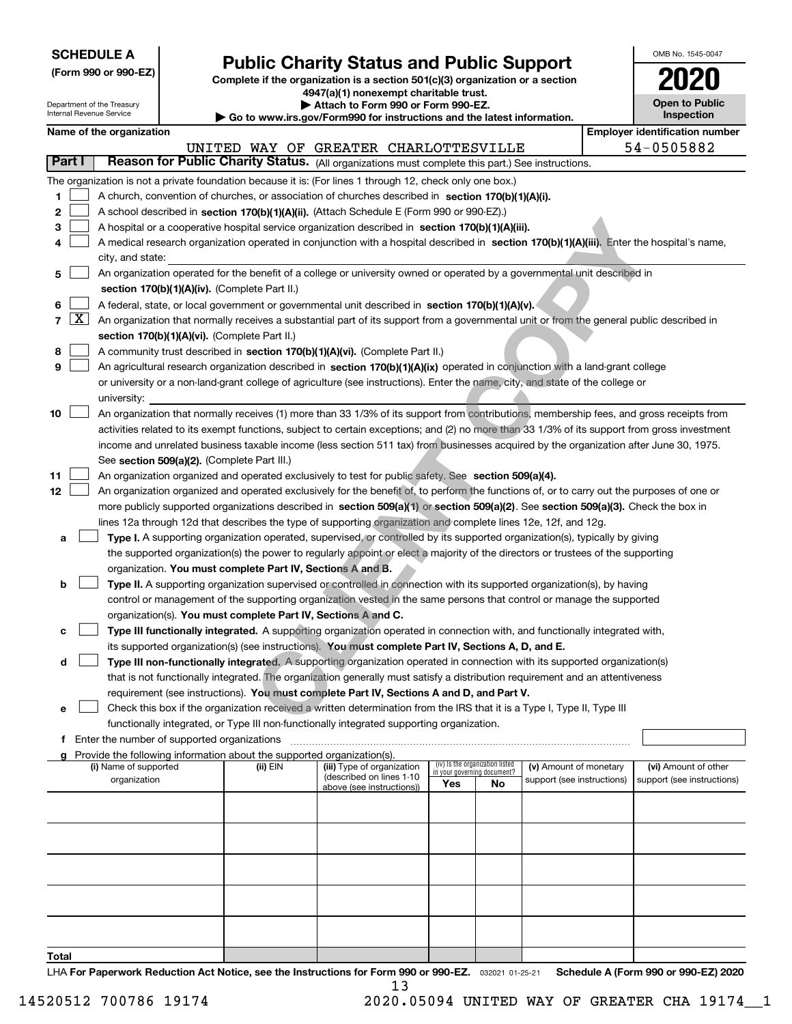| <b>SCHEDULE A</b> |
|-------------------|
|-------------------|

**(Form 990 or 990-EZ)**

# **Public Charity Status and Public Support**

**Complete if the organization is a section 501(c)(3) organization or a section 4947(a)(1) nonexempt charitable trust. | Attach to Form 990 or Form 990-EZ.** 

|    |  | OMB No. 1545-0047 |  |
|----|--|-------------------|--|
| MΠ |  |                   |  |

**Open to Public Inspection**

| Department of the Treasury<br>Internal Revenue Service |                     |                                                                                                                                              |                                             | Attach to Form 990 or Form 990-EZ.<br>$\blacktriangleright$ Go to www.irs.gov/Form990 for instructions and the latest information. |                                                                                                                                            |                             |                                 |                            |  | <b>Open to Public</b><br>Inspection |                                       |
|--------------------------------------------------------|---------------------|----------------------------------------------------------------------------------------------------------------------------------------------|---------------------------------------------|------------------------------------------------------------------------------------------------------------------------------------|--------------------------------------------------------------------------------------------------------------------------------------------|-----------------------------|---------------------------------|----------------------------|--|-------------------------------------|---------------------------------------|
|                                                        |                     | Name of the organization                                                                                                                     |                                             |                                                                                                                                    |                                                                                                                                            |                             |                                 |                            |  |                                     | <b>Employer identification number</b> |
|                                                        |                     |                                                                                                                                              |                                             |                                                                                                                                    | UNITED WAY OF GREATER CHARLOTTESVILLE                                                                                                      |                             |                                 |                            |  |                                     | 54-0505882                            |
| Part I                                                 |                     |                                                                                                                                              |                                             |                                                                                                                                    | Reason for Public Charity Status. (All organizations must complete this part.) See instructions.                                           |                             |                                 |                            |  |                                     |                                       |
|                                                        |                     |                                                                                                                                              |                                             |                                                                                                                                    | The organization is not a private foundation because it is: (For lines 1 through 12, check only one box.)                                  |                             |                                 |                            |  |                                     |                                       |
| 1.                                                     |                     |                                                                                                                                              |                                             |                                                                                                                                    | A church, convention of churches, or association of churches described in section 170(b)(1)(A)(i).                                         |                             |                                 |                            |  |                                     |                                       |
| 2                                                      |                     |                                                                                                                                              |                                             |                                                                                                                                    | A school described in section 170(b)(1)(A)(ii). (Attach Schedule E (Form 990 or 990-EZ).)                                                  |                             |                                 |                            |  |                                     |                                       |
| з                                                      |                     |                                                                                                                                              |                                             |                                                                                                                                    | A hospital or a cooperative hospital service organization described in section 170(b)(1)(A)(iii).                                          |                             |                                 |                            |  |                                     |                                       |
| 4                                                      |                     |                                                                                                                                              |                                             |                                                                                                                                    | A medical research organization operated in conjunction with a hospital described in section 170(b)(1)(A)(iii). Enter the hospital's name, |                             |                                 |                            |  |                                     |                                       |
|                                                        |                     | city, and state:                                                                                                                             |                                             |                                                                                                                                    |                                                                                                                                            |                             |                                 |                            |  |                                     |                                       |
| 5                                                      |                     |                                                                                                                                              |                                             |                                                                                                                                    | An organization operated for the benefit of a college or university owned or operated by a governmental unit described in                  |                             |                                 |                            |  |                                     |                                       |
|                                                        |                     |                                                                                                                                              |                                             | section 170(b)(1)(A)(iv). (Complete Part II.)                                                                                      |                                                                                                                                            |                             |                                 |                            |  |                                     |                                       |
| 6                                                      |                     |                                                                                                                                              |                                             |                                                                                                                                    | A federal, state, or local government or governmental unit described in section 170(b)(1)(A)(v).                                           |                             |                                 |                            |  |                                     |                                       |
| $\overline{7}$                                         | $\lfloor x \rfloor$ | An organization that normally receives a substantial part of its support from a governmental unit or from the general public described in    |                                             |                                                                                                                                    |                                                                                                                                            |                             |                                 |                            |  |                                     |                                       |
|                                                        |                     |                                                                                                                                              |                                             | section 170(b)(1)(A)(vi). (Complete Part II.)                                                                                      |                                                                                                                                            |                             |                                 |                            |  |                                     |                                       |
| 8                                                      |                     |                                                                                                                                              |                                             |                                                                                                                                    | A community trust described in section 170(b)(1)(A)(vi). (Complete Part II.)                                                               |                             |                                 |                            |  |                                     |                                       |
| 9                                                      |                     |                                                                                                                                              |                                             |                                                                                                                                    | An agricultural research organization described in section 170(b)(1)(A)(ix) operated in conjunction with a land-grant college              |                             |                                 |                            |  |                                     |                                       |
|                                                        |                     |                                                                                                                                              |                                             |                                                                                                                                    | or university or a non-land-grant college of agriculture (see instructions). Enter the name, city, and state of the college or             |                             |                                 |                            |  |                                     |                                       |
|                                                        |                     | university:                                                                                                                                  |                                             |                                                                                                                                    |                                                                                                                                            |                             |                                 |                            |  |                                     |                                       |
| 10                                                     |                     |                                                                                                                                              |                                             |                                                                                                                                    | An organization that normally receives (1) more than 33 1/3% of its support from contributions, membership fees, and gross receipts from   |                             |                                 |                            |  |                                     |                                       |
|                                                        |                     | activities related to its exempt functions, subject to certain exceptions; and (2) no more than 33 1/3% of its support from gross investment |                                             |                                                                                                                                    |                                                                                                                                            |                             |                                 |                            |  |                                     |                                       |
|                                                        |                     |                                                                                                                                              |                                             |                                                                                                                                    | income and unrelated business taxable income (less section 511 tax) from businesses acquired by the organization after June 30, 1975.      |                             |                                 |                            |  |                                     |                                       |
|                                                        |                     |                                                                                                                                              |                                             | See section 509(a)(2). (Complete Part III.)                                                                                        |                                                                                                                                            |                             |                                 |                            |  |                                     |                                       |
| 11                                                     |                     |                                                                                                                                              |                                             |                                                                                                                                    | An organization organized and operated exclusively to test for public safety. See section 509(a)(4).                                       |                             |                                 |                            |  |                                     |                                       |
| 12 <sub>2</sub>                                        |                     |                                                                                                                                              |                                             |                                                                                                                                    | An organization organized and operated exclusively for the benefit of, to perform the functions of, or to carry out the purposes of one or |                             |                                 |                            |  |                                     |                                       |
|                                                        |                     |                                                                                                                                              |                                             |                                                                                                                                    | more publicly supported organizations described in section 509(a)(1) or section 509(a)(2). See section 509(a)(3). Check the box in         |                             |                                 |                            |  |                                     |                                       |
|                                                        |                     |                                                                                                                                              |                                             |                                                                                                                                    | lines 12a through 12d that describes the type of supporting organization and complete lines 12e, 12f, and 12g.                             |                             |                                 |                            |  |                                     |                                       |
| a                                                      |                     |                                                                                                                                              |                                             |                                                                                                                                    | Type I. A supporting organization operated, supervised, or controlled by its supported organization(s), typically by giving                |                             |                                 |                            |  |                                     |                                       |
|                                                        |                     |                                                                                                                                              |                                             |                                                                                                                                    | the supported organization(s) the power to regularly appoint or elect a majority of the directors or trustees of the supporting            |                             |                                 |                            |  |                                     |                                       |
|                                                        |                     |                                                                                                                                              |                                             | organization. You must complete Part IV, Sections A and B.                                                                         |                                                                                                                                            |                             |                                 |                            |  |                                     |                                       |
| b                                                      |                     |                                                                                                                                              |                                             |                                                                                                                                    | Type II. A supporting organization supervised or controlled in connection with its supported organization(s), by having                    |                             |                                 |                            |  |                                     |                                       |
|                                                        |                     |                                                                                                                                              |                                             | organization(s). You must complete Part IV, Sections A and C.                                                                      | control or management of the supporting organization vested in the same persons that control or manage the supported                       |                             |                                 |                            |  |                                     |                                       |
|                                                        |                     |                                                                                                                                              |                                             |                                                                                                                                    | Type III functionally integrated. A supporting organization operated in connection with, and functionally integrated with,                 |                             |                                 |                            |  |                                     |                                       |
| с                                                      |                     |                                                                                                                                              |                                             |                                                                                                                                    | its supported organization(s) (see instructions). You must complete Part IV, Sections A, D, and E.                                         |                             |                                 |                            |  |                                     |                                       |
| d                                                      |                     |                                                                                                                                              |                                             |                                                                                                                                    | Type III non-functionally integrated. A supporting organization operated in connection with its supported organization(s)                  |                             |                                 |                            |  |                                     |                                       |
|                                                        |                     |                                                                                                                                              |                                             |                                                                                                                                    | that is not functionally integrated. The organization generally must satisfy a distribution requirement and an attentiveness               |                             |                                 |                            |  |                                     |                                       |
|                                                        |                     |                                                                                                                                              |                                             |                                                                                                                                    | requirement (see instructions). You must complete Part IV, Sections A and D, and Part V.                                                   |                             |                                 |                            |  |                                     |                                       |
| е                                                      |                     |                                                                                                                                              |                                             |                                                                                                                                    | Check this box if the organization received a written determination from the IRS that it is a Type I, Type II, Type III                    |                             |                                 |                            |  |                                     |                                       |
|                                                        |                     |                                                                                                                                              |                                             |                                                                                                                                    | functionally integrated, or Type III non-functionally integrated supporting organization.                                                  |                             |                                 |                            |  |                                     |                                       |
| f                                                      |                     |                                                                                                                                              | Enter the number of supported organizations |                                                                                                                                    |                                                                                                                                            |                             |                                 |                            |  |                                     |                                       |
|                                                        |                     |                                                                                                                                              |                                             | Provide the following information about the supported organization(s).                                                             |                                                                                                                                            |                             |                                 |                            |  |                                     |                                       |
|                                                        |                     | (i) Name of supported                                                                                                                        |                                             | (ii) EIN                                                                                                                           | (iii) Type of organization<br>(described on lines 1-10                                                                                     | in your governing document? | (iv) Is the organization listed | (v) Amount of monetary     |  |                                     | (vi) Amount of other                  |
|                                                        |                     | organization                                                                                                                                 |                                             |                                                                                                                                    | above (see instructions))                                                                                                                  | Yes                         | No                              | support (see instructions) |  |                                     | support (see instructions)            |
|                                                        |                     |                                                                                                                                              |                                             |                                                                                                                                    |                                                                                                                                            |                             |                                 |                            |  |                                     |                                       |
|                                                        |                     |                                                                                                                                              |                                             |                                                                                                                                    |                                                                                                                                            |                             |                                 |                            |  |                                     |                                       |
|                                                        |                     |                                                                                                                                              |                                             |                                                                                                                                    |                                                                                                                                            |                             |                                 |                            |  |                                     |                                       |
|                                                        |                     |                                                                                                                                              |                                             |                                                                                                                                    |                                                                                                                                            |                             |                                 |                            |  |                                     |                                       |
|                                                        |                     |                                                                                                                                              |                                             |                                                                                                                                    |                                                                                                                                            |                             |                                 |                            |  |                                     |                                       |
|                                                        |                     |                                                                                                                                              |                                             |                                                                                                                                    |                                                                                                                                            |                             |                                 |                            |  |                                     |                                       |
|                                                        |                     |                                                                                                                                              |                                             |                                                                                                                                    |                                                                                                                                            |                             |                                 |                            |  |                                     |                                       |
|                                                        |                     |                                                                                                                                              |                                             |                                                                                                                                    |                                                                                                                                            |                             |                                 |                            |  |                                     |                                       |
|                                                        |                     |                                                                                                                                              |                                             |                                                                                                                                    |                                                                                                                                            |                             |                                 |                            |  |                                     |                                       |
|                                                        |                     |                                                                                                                                              |                                             |                                                                                                                                    |                                                                                                                                            |                             |                                 |                            |  |                                     |                                       |
| Total                                                  |                     |                                                                                                                                              |                                             |                                                                                                                                    |                                                                                                                                            |                             |                                 |                            |  |                                     |                                       |

LHA For Paperwork Reduction Act Notice, see the Instructions for Form 990 or 990-EZ. <sub>032021</sub> o1-25-21 Schedule A (Form 990 or 990-EZ) 2020 13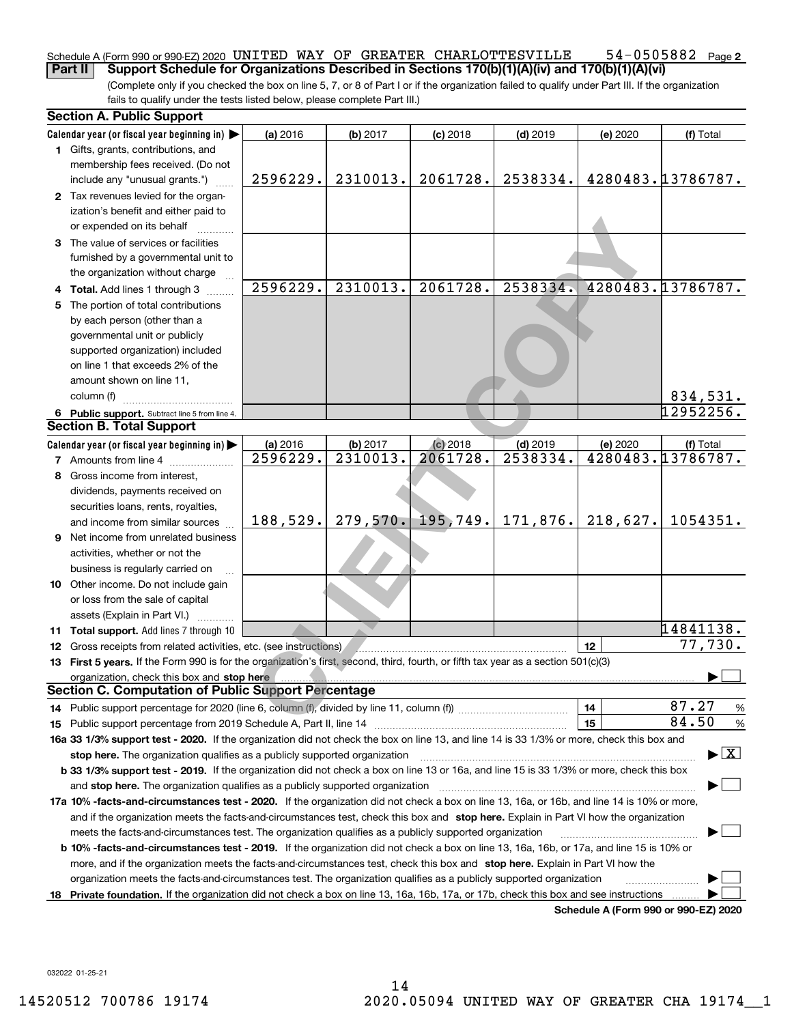### 54-0505882 Page 2 Schedule A (Form 990 or 990-EZ) 2020 <code>UNITED WAY OF GREATER CHARLOTTESVILLE</code> 54-0505882 <code>Page</code> **Part II Support Schedule for Organizations Described in Sections 170(b)(1)(A)(iv) and 170(b)(1)(A)(vi)**

(Complete only if you checked the box on line 5, 7, or 8 of Part I or if the organization failed to qualify under Part III. If the organization fails to qualify under the tests listed below, please complete Part III.)

|    | <b>Section A. Public Support</b>                                                                                                                                                                                              |                      |                      |                        |                        |          |                                          |
|----|-------------------------------------------------------------------------------------------------------------------------------------------------------------------------------------------------------------------------------|----------------------|----------------------|------------------------|------------------------|----------|------------------------------------------|
|    | Calendar year (or fiscal year beginning in) $\blacktriangleright$                                                                                                                                                             | (a) 2016             | (b) 2017             | $(c)$ 2018             | $(d)$ 2019             | (e) 2020 | (f) Total                                |
|    | 1 Gifts, grants, contributions, and                                                                                                                                                                                           |                      |                      |                        |                        |          |                                          |
|    | membership fees received. (Do not                                                                                                                                                                                             |                      |                      |                        |                        |          |                                          |
|    | include any "unusual grants.")                                                                                                                                                                                                | 2596229.             | 2310013.             | 2061728.               | 2538334.               |          | 4280483.13786787.                        |
|    | 2 Tax revenues levied for the organ-                                                                                                                                                                                          |                      |                      |                        |                        |          |                                          |
|    | ization's benefit and either paid to                                                                                                                                                                                          |                      |                      |                        |                        |          |                                          |
|    | or expended on its behalf                                                                                                                                                                                                     |                      |                      |                        |                        |          |                                          |
|    | 3 The value of services or facilities                                                                                                                                                                                         |                      |                      |                        |                        |          |                                          |
|    | furnished by a governmental unit to                                                                                                                                                                                           |                      |                      |                        |                        |          |                                          |
|    | the organization without charge                                                                                                                                                                                               | 2596229.             | 2310013.             | 2061728.               | 2538334.               |          | 4280483.13786787.                        |
|    | 4 Total. Add lines 1 through 3                                                                                                                                                                                                |                      |                      |                        |                        |          |                                          |
| 5. | The portion of total contributions                                                                                                                                                                                            |                      |                      |                        |                        |          |                                          |
|    | by each person (other than a                                                                                                                                                                                                  |                      |                      |                        |                        |          |                                          |
|    | governmental unit or publicly                                                                                                                                                                                                 |                      |                      |                        |                        |          |                                          |
|    | supported organization) included                                                                                                                                                                                              |                      |                      |                        |                        |          |                                          |
|    | on line 1 that exceeds 2% of the                                                                                                                                                                                              |                      |                      |                        |                        |          |                                          |
|    | amount shown on line 11,                                                                                                                                                                                                      |                      |                      |                        |                        |          |                                          |
|    | column (f)                                                                                                                                                                                                                    |                      |                      |                        |                        |          | 834,531.<br>12952256.                    |
|    | 6 Public support. Subtract line 5 from line 4.<br><b>Section B. Total Support</b>                                                                                                                                             |                      |                      |                        |                        |          |                                          |
|    |                                                                                                                                                                                                                               |                      |                      |                        |                        |          |                                          |
|    | Calendar year (or fiscal year beginning in)<br><b>7</b> Amounts from line 4                                                                                                                                                   | (a) 2016<br>2596229. | (b) 2017<br>2310013. | $(c)$ 2018<br>2061728. | $(d)$ 2019<br>2538334. | (e) 2020 | (f) Total<br>4280483.13786787.           |
|    | Gross income from interest,                                                                                                                                                                                                   |                      |                      |                        |                        |          |                                          |
| 8  |                                                                                                                                                                                                                               |                      |                      |                        |                        |          |                                          |
|    | dividends, payments received on                                                                                                                                                                                               |                      |                      |                        |                        |          |                                          |
|    | securities loans, rents, royalties,                                                                                                                                                                                           | 188,529.             | 279,570.             | 195,749.               | 171,876.               | 218,627. | 1054351.                                 |
|    | and income from similar sources                                                                                                                                                                                               |                      |                      |                        |                        |          |                                          |
|    | <b>9</b> Net income from unrelated business                                                                                                                                                                                   |                      |                      |                        |                        |          |                                          |
|    | activities, whether or not the                                                                                                                                                                                                |                      |                      |                        |                        |          |                                          |
|    | business is regularly carried on                                                                                                                                                                                              |                      |                      |                        |                        |          |                                          |
|    | 10 Other income. Do not include gain                                                                                                                                                                                          |                      |                      |                        |                        |          |                                          |
|    | or loss from the sale of capital                                                                                                                                                                                              |                      |                      |                        |                        |          |                                          |
|    | assets (Explain in Part VI.)<br>11 Total support. Add lines 7 through 10                                                                                                                                                      |                      |                      |                        |                        |          | 14841138.                                |
|    | 12 Gross receipts from related activities, etc. (see instructions)                                                                                                                                                            |                      |                      |                        |                        | 12       | $\overline{77,730}$ .                    |
|    | 13 First 5 years. If the Form 990 is for the organization's first, second, third, fourth, or fifth tax year as a section 501(c)(3)                                                                                            |                      |                      |                        |                        |          |                                          |
|    | organization, check this box and stop here with the contract of the contract of the state of the contract of the state of the contract of the contract of the contract of the contract of the contract of the contract of the |                      |                      |                        |                        |          |                                          |
|    | <b>Section C. Computation of Public Support Percentage</b>                                                                                                                                                                    |                      |                      |                        |                        |          |                                          |
|    |                                                                                                                                                                                                                               |                      |                      |                        |                        | 14       | 87.27<br>%                               |
|    |                                                                                                                                                                                                                               |                      |                      |                        |                        | 15       | 84.50<br>$\%$                            |
|    | 16a 33 1/3% support test - 2020. If the organization did not check the box on line 13, and line 14 is 33 1/3% or more, check this box and                                                                                     |                      |                      |                        |                        |          |                                          |
|    | stop here. The organization qualifies as a publicly supported organization                                                                                                                                                    |                      |                      |                        |                        |          | $\blacktriangleright$ $\boxed{\text{X}}$ |
|    | b 33 1/3% support test - 2019. If the organization did not check a box on line 13 or 16a, and line 15 is 33 1/3% or more, check this box                                                                                      |                      |                      |                        |                        |          |                                          |
|    | and stop here. The organization qualifies as a publicly supported organization                                                                                                                                                |                      |                      |                        |                        |          |                                          |
|    | 17a 10% -facts-and-circumstances test - 2020. If the organization did not check a box on line 13, 16a, or 16b, and line 14 is 10% or more,                                                                                    |                      |                      |                        |                        |          |                                          |
|    | and if the organization meets the facts-and-circumstances test, check this box and stop here. Explain in Part VI how the organization                                                                                         |                      |                      |                        |                        |          |                                          |
|    | meets the facts-and-circumstances test. The organization qualifies as a publicly supported organization                                                                                                                       |                      |                      |                        |                        |          |                                          |
|    | <b>b 10% -facts-and-circumstances test - 2019.</b> If the organization did not check a box on line 13, 16a, 16b, or 17a, and line 15 is 10% or                                                                                |                      |                      |                        |                        |          |                                          |
|    | more, and if the organization meets the facts-and-circumstances test, check this box and stop here. Explain in Part VI how the                                                                                                |                      |                      |                        |                        |          |                                          |
|    | organization meets the facts-and-circumstances test. The organization qualifies as a publicly supported organization                                                                                                          |                      |                      |                        |                        |          |                                          |
| 18 | Private foundation. If the organization did not check a box on line 13, 16a, 16b, 17a, or 17b, check this box and see instructions                                                                                            |                      |                      |                        |                        |          |                                          |
|    |                                                                                                                                                                                                                               |                      |                      |                        |                        |          | Schedule A (Form 990 or 990-EZ) 2020     |

032022 01-25-21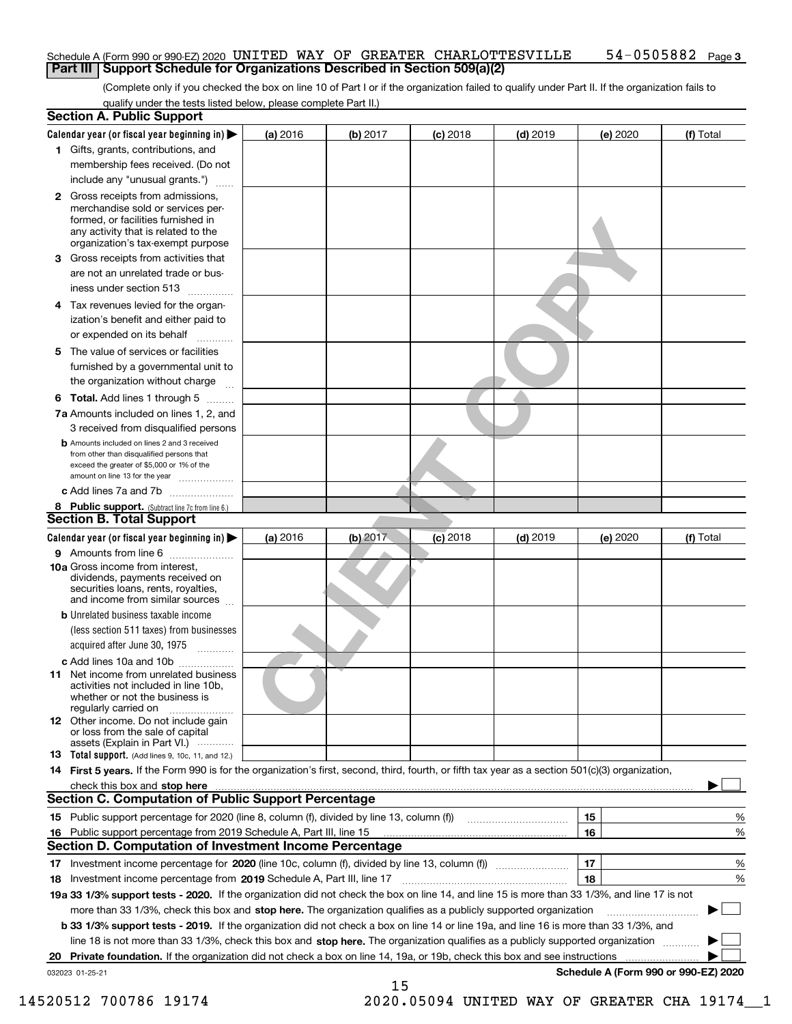## Schedule A (Form 990 or 990-EZ) 2020 <code>UNITED WAY OF GREATER CHARLOTTESVILLE</code> 54-0505882 <code>Page</code> **Part III Support Schedule for Organizations Described in Section 509(a)(2)**

(Complete only if you checked the box on line 10 of Part I or if the organization failed to qualify under Part II. If the organization fails to qualify under the tests listed below, please complete Part II.)

**3**

| <b>Section A. Public Support</b>                                                                                                                                                                |            |          |            |            |          |                                      |
|-------------------------------------------------------------------------------------------------------------------------------------------------------------------------------------------------|------------|----------|------------|------------|----------|--------------------------------------|
| Calendar year (or fiscal year beginning in) $\blacktriangleright$                                                                                                                               | $(a)$ 2016 | (b) 2017 | $(c)$ 2018 | $(d)$ 2019 | (e) 2020 | (f) Total                            |
| 1 Gifts, grants, contributions, and                                                                                                                                                             |            |          |            |            |          |                                      |
| membership fees received. (Do not                                                                                                                                                               |            |          |            |            |          |                                      |
| include any "unusual grants.")                                                                                                                                                                  |            |          |            |            |          |                                      |
| <b>2</b> Gross receipts from admissions,<br>merchandise sold or services per-<br>formed, or facilities furnished in<br>any activity that is related to the<br>organization's tax-exempt purpose |            |          |            |            |          |                                      |
| 3 Gross receipts from activities that<br>are not an unrelated trade or bus-                                                                                                                     |            |          |            |            |          |                                      |
| iness under section 513                                                                                                                                                                         |            |          |            |            |          |                                      |
| 4 Tax revenues levied for the organ-<br>ization's benefit and either paid to<br>or expended on its behalf                                                                                       |            |          |            |            |          |                                      |
| 5 The value of services or facilities<br>furnished by a governmental unit to<br>the organization without charge                                                                                 |            |          |            |            |          |                                      |
|                                                                                                                                                                                                 |            |          |            |            |          |                                      |
| <b>6 Total.</b> Add lines 1 through 5<br>7a Amounts included on lines 1, 2, and<br>3 received from disqualified persons                                                                         |            |          |            |            |          |                                      |
| <b>b</b> Amounts included on lines 2 and 3 received<br>from other than disqualified persons that<br>exceed the greater of \$5,000 or 1% of the<br>amount on line 13 for the year                |            |          |            |            |          |                                      |
| c Add lines 7a and 7b                                                                                                                                                                           |            |          |            |            |          |                                      |
| 8 Public support. (Subtract line 7c from line 6.)<br><b>Section B. Total Support</b>                                                                                                            |            |          |            |            |          |                                      |
| Calendar year (or fiscal year beginning in)                                                                                                                                                     | (a) 2016   | (b) 2017 | $(c)$ 2018 | $(d)$ 2019 | (e) 2020 | (f) Total                            |
| 9 Amounts from line 6                                                                                                                                                                           |            |          |            |            |          |                                      |
| 10a Gross income from interest,<br>dividends, payments received on<br>securities loans, rents, royalties,<br>and income from similar sources                                                    |            |          |            |            |          |                                      |
| <b>b</b> Unrelated business taxable income<br>(less section 511 taxes) from businesses<br>acquired after June 30, 1975                                                                          |            |          |            |            |          |                                      |
| c Add lines 10a and 10b                                                                                                                                                                         |            |          |            |            |          |                                      |
| 11 Net income from unrelated business<br>activities not included in line 10b,<br>whether or not the business is<br>regularly carried on                                                         |            |          |            |            |          |                                      |
| <b>12</b> Other income. Do not include gain<br>or loss from the sale of capital<br>assets (Explain in Part VI.)                                                                                 |            |          |            |            |          |                                      |
| <b>13</b> Total support. (Add lines 9, 10c, 11, and 12.)                                                                                                                                        |            |          |            |            |          |                                      |
| 14 First 5 years. If the Form 990 is for the organization's first, second, third, fourth, or fifth tax year as a section 501(c)(3) organization,                                                |            |          |            |            |          |                                      |
| check this box and stop here <i>machine and content and stop</i> here are the change of the change of the change of the<br><b>Section C. Computation of Public Support Percentage</b>           |            |          |            |            |          |                                      |
| 15 Public support percentage for 2020 (line 8, column (f), divided by line 13, column (f))                                                                                                      |            |          |            |            | 15       | %                                    |
| 16 Public support percentage from 2019 Schedule A, Part III, line 15                                                                                                                            |            |          |            |            | 16       | %                                    |
| Section D. Computation of Investment Income Percentage                                                                                                                                          |            |          |            |            |          |                                      |
| 17 Investment income percentage for 2020 (line 10c, column (f), divided by line 13, column (f))                                                                                                 |            |          |            |            | 17       | %                                    |
| 18 Investment income percentage from 2019 Schedule A, Part III, line 17                                                                                                                         |            |          |            |            | 18       | %                                    |
| 19a 33 1/3% support tests - 2020. If the organization did not check the box on line 14, and line 15 is more than 33 1/3%, and line 17 is not                                                    |            |          |            |            |          |                                      |
| more than 33 1/3%, check this box and stop here. The organization qualifies as a publicly supported organization                                                                                |            |          |            |            |          |                                      |
| <b>b 33 1/3% support tests - 2019.</b> If the organization did not check a box on line 14 or line 19a, and line 16 is more than 33 1/3%, and                                                    |            |          |            |            |          |                                      |
| line 18 is not more than 33 1/3%, check this box and stop here. The organization qualifies as a publicly supported organization                                                                 |            |          |            |            |          |                                      |
| 20 Private foundation. If the organization did not check a box on line 14, 19a, or 19b, check this box and see instructions                                                                     |            |          |            |            |          |                                      |
| 032023 01-25-21                                                                                                                                                                                 |            |          |            |            |          | Schedule A (Form 990 or 990-EZ) 2020 |
|                                                                                                                                                                                                 |            | 15       |            |            |          |                                      |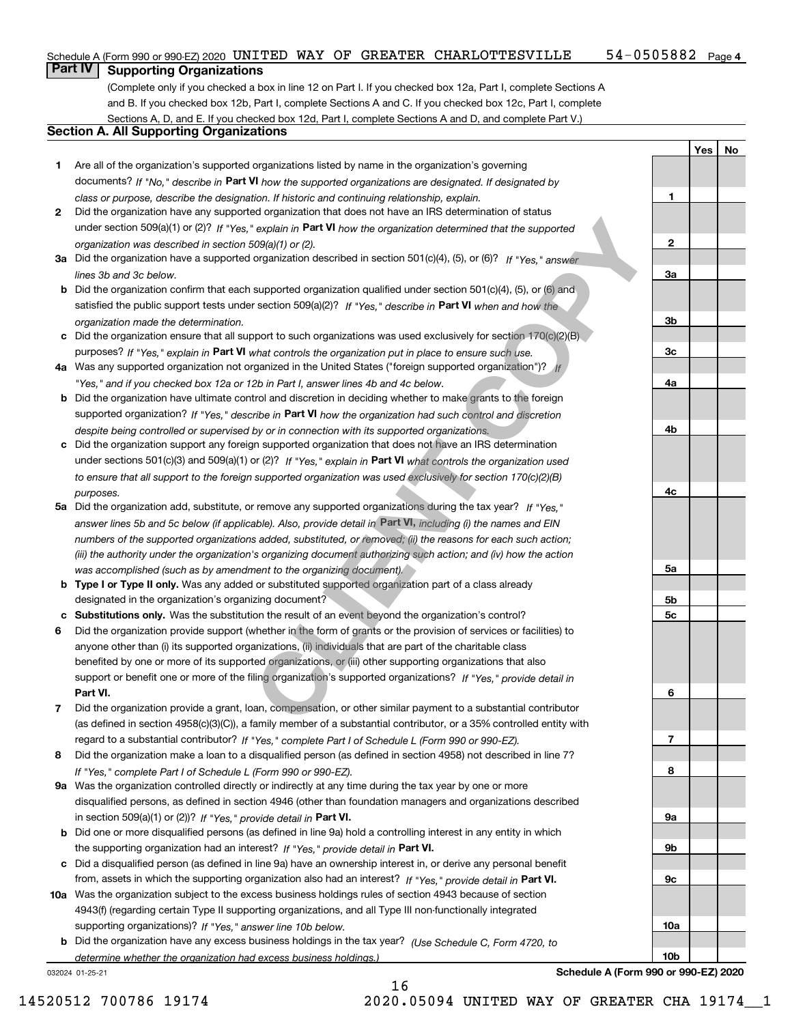#### 54-0505882 Page 4 Schedule A (Form 990 or 990-EZ) 2020 <code>UNITED WAY OF GREATER CHARLOTTESVILLE</code> 54-0505882 <code>Page</code>

# **Part IV Supporting Organizations**

(Complete only if you checked a box in line 12 on Part I. If you checked box 12a, Part I, complete Sections A and B. If you checked box 12b, Part I, complete Sections A and C. If you checked box 12c, Part I, complete Sections A, D, and E. If you checked box 12d, Part I, complete Sections A and D, and complete Part V.)

# **Section A. All Supporting Organizations**

- **1** Are all of the organization's supported organizations listed by name in the organization's governing documents? If "No," describe in **Part VI** how the supported organizations are designated. If designated by *class or purpose, describe the designation. If historic and continuing relationship, explain.*
- **2** Did the organization have any supported organization that does not have an IRS determination of status under section 509(a)(1) or (2)? If "Yes," explain in Part VI how the organization determined that the supported *organization was described in section 509(a)(1) or (2).*
- **3a** Did the organization have a supported organization described in section 501(c)(4), (5), or (6)? If "Yes," answer *lines 3b and 3c below.*
- **b** Did the organization confirm that each supported organization qualified under section 501(c)(4), (5), or (6) and satisfied the public support tests under section 509(a)(2)? If "Yes," describe in **Part VI** when and how the *organization made the determination.*
- **c** Did the organization ensure that all support to such organizations was used exclusively for section 170(c)(2)(B) purposes? If "Yes," explain in **Part VI** what controls the organization put in place to ensure such use.
- **4a**Was any supported organization not organized in the United States ("foreign supported organization")? *"Yes," and if you checked box 12a or 12b in Part I, answer lines 4b and 4c below.*
- **b** Did the organization have ultimate control and discretion in deciding whether to make grants to the foreign supported organization? If "Yes," describe in **Part VI** how the organization had such control and discretion *despite being controlled or supervised by or in connection with its supported organizations.*
- **c** Did the organization support any foreign supported organization that does not have an IRS determination under sections 501(c)(3) and 509(a)(1) or (2)? If "Yes," explain in **Part VI** what controls the organization used *to ensure that all support to the foreign supported organization was used exclusively for section 170(c)(2)(B) purposes.*
- **5a***If "Yes,"* Did the organization add, substitute, or remove any supported organizations during the tax year? answer lines 5b and 5c below (if applicable). Also, provide detail in Part VI, including (i) the names and EIN *numbers of the supported organizations added, substituted, or removed; (ii) the reasons for each such action; (iii) the authority under the organization's organizing document authorizing such action; and (iv) how the action was accomplished (such as by amendment to the organizing document).*
- **b** Type I or Type II only. Was any added or substituted supported organization part of a class already designated in the organization's organizing document?
- **cSubstitutions only.**  Was the substitution the result of an event beyond the organization's control?
- **6** Did the organization provide support (whether in the form of grants or the provision of services or facilities) to **Part VI.** *If "Yes," provide detail in* support or benefit one or more of the filing organization's supported organizations? anyone other than (i) its supported organizations, (ii) individuals that are part of the charitable class benefited by one or more of its supported organizations, or (iii) other supporting organizations that also **C** explain in **Part VI** how the organization determined that the supported<br>
Copy(d) or (2).<br>
Copy(d) or (2).<br>
Copy(d) or (2).<br>
Supported organization qualified under section 501(c)(4), (5), or (6)? If "Yes," answer<br>
suppo
- **7**Did the organization provide a grant, loan, compensation, or other similar payment to a substantial contributor *If "Yes," complete Part I of Schedule L (Form 990 or 990-EZ).* regard to a substantial contributor? (as defined in section 4958(c)(3)(C)), a family member of a substantial contributor, or a 35% controlled entity with
- **8** Did the organization make a loan to a disqualified person (as defined in section 4958) not described in line 7? *If "Yes," complete Part I of Schedule L (Form 990 or 990-EZ).*
- **9a** Was the organization controlled directly or indirectly at any time during the tax year by one or more in section 509(a)(1) or (2))? If "Yes," *provide detail in* <code>Part VI.</code> disqualified persons, as defined in section 4946 (other than foundation managers and organizations described
- **b** Did one or more disqualified persons (as defined in line 9a) hold a controlling interest in any entity in which the supporting organization had an interest? If "Yes," provide detail in P**art VI**.
- **c**Did a disqualified person (as defined in line 9a) have an ownership interest in, or derive any personal benefit from, assets in which the supporting organization also had an interest? If "Yes," provide detail in P**art VI.**
- **10a** Was the organization subject to the excess business holdings rules of section 4943 because of section supporting organizations)? If "Yes," answer line 10b below. 4943(f) (regarding certain Type II supporting organizations, and all Type III non-functionally integrated
- **b** Did the organization have any excess business holdings in the tax year? (Use Schedule C, Form 4720, to *determine whether the organization had excess business holdings.)*

16

032024 01-25-21

**YesNo**

**1**

**2**

**3a**

**3b**

**3c**

**4a**

*If*

**4b**

**Schedule A (Form 990 or 990-EZ) 2020**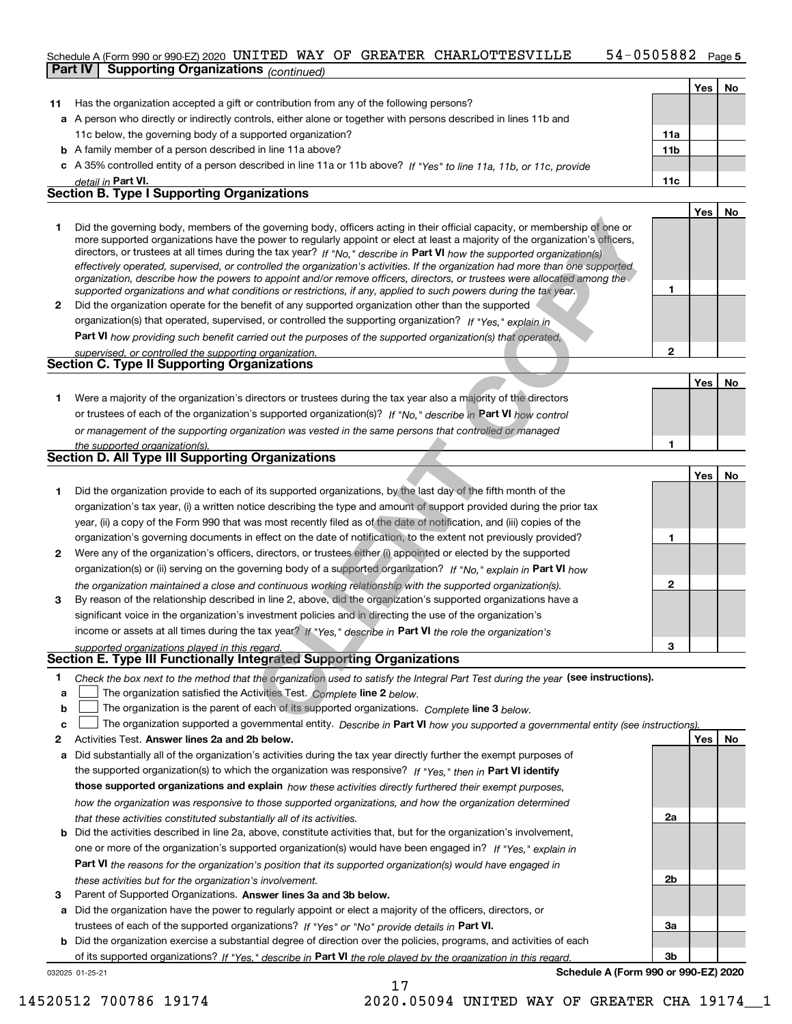### 54-0505882 Page 5 Schedule A (Form 990 or 990-EZ) 2020 <code>UNITED WAY OF GREATER CHARLOTTESVILLE</code> 54-0505882 <code>Page</code> **Part IV Supporting Organizations** *(continued)*

|    | . .<br>00116110007                                                                                                                                                                                                                                          |                 |     |    |
|----|-------------------------------------------------------------------------------------------------------------------------------------------------------------------------------------------------------------------------------------------------------------|-----------------|-----|----|
|    |                                                                                                                                                                                                                                                             |                 | Yes | No |
| 11 | Has the organization accepted a gift or contribution from any of the following persons?                                                                                                                                                                     |                 |     |    |
|    | a A person who directly or indirectly controls, either alone or together with persons described in lines 11b and                                                                                                                                            |                 |     |    |
|    | 11c below, the governing body of a supported organization?                                                                                                                                                                                                  | 11a             |     |    |
|    | <b>b</b> A family member of a person described in line 11a above?                                                                                                                                                                                           | 11 <sub>b</sub> |     |    |
|    | c A 35% controlled entity of a person described in line 11a or 11b above? If "Yes" to line 11a, 11b, or 11c, provide                                                                                                                                        |                 |     |    |
|    | detail in Part VI.                                                                                                                                                                                                                                          | 11c             |     |    |
|    | <b>Section B. Type I Supporting Organizations</b>                                                                                                                                                                                                           |                 |     |    |
|    |                                                                                                                                                                                                                                                             |                 | Yes | No |
|    | Did the governing body, members of the governing body, officers acting in their official capacity, or membership of one or<br>more supported organizations have the power to regularly appoint or elect at least a majority of the organization's officers, |                 |     |    |

|   | directors, or trustees at all times during the tax year? If "No," describe in Part VI how the supported organization(s)<br>effectively operated, supervised, or controlled the organization's activities. If the organization had more than one supported<br>organization, describe how the powers to appoint and/or remove officers, directors, or trustees were allocated among the |  |
|---|---------------------------------------------------------------------------------------------------------------------------------------------------------------------------------------------------------------------------------------------------------------------------------------------------------------------------------------------------------------------------------------|--|
|   | supported organizations and what conditions or restrictions, if any, applied to such powers during the tax year.                                                                                                                                                                                                                                                                      |  |
| 2 | Did the organization operate for the benefit of any supported organization other than the supported                                                                                                                                                                                                                                                                                   |  |
|   | organization(s) that operated, supervised, or controlled the supporting organization? If "Yes," explain in                                                                                                                                                                                                                                                                            |  |
|   | <b>Part VI</b> how providing such benefit carried out the purposes of the supported organization(s) that operated,                                                                                                                                                                                                                                                                    |  |
|   | supervised or controlled the supporting organization                                                                                                                                                                                                                                                                                                                                  |  |

# *supervised, or controlled the supporting organization.* **Section C. Type II Supporting Organizations**

|                                                                                                                  | $VeS$ . | No |
|------------------------------------------------------------------------------------------------------------------|---------|----|
| Were a majority of the organization's directors or trustees during the tax year also a majority of the directors |         |    |
| or trustees of each of the organization's supported organization(s)? If "No," describe in Part VI how control    |         |    |
| or management of the supporting organization was vested in the same persons that controlled or managed           |         |    |
| the supported organization(s).                                                                                   |         |    |

# **Section D. All Type III Supporting Organizations**

| 1.<br>$\mathbf{2}$ | Did the governing body, members of the governing body, officers acting in their official capacity, or membership of one or<br>more supported organizations have the power to regularly appoint or elect at least a majority of the organization's officers,<br>directors, or trustees at all times during the tax year? If "No," describe in Part VI how the supported organization(s)<br>effectively operated, supervised, or controlled the organization's activities. If the organization had more than one supported<br>organization, describe how the powers to appoint and/or remove officers, directors, or trustees were allocated among the<br>supported organizations and what conditions or restrictions, if any, applied to such powers during the tax year.<br>Did the organization operate for the benefit of any supported organization other than the supported<br>organization(s) that operated, supervised, or controlled the supporting organization? If "Yes," explain in<br><b>Part VI</b> how providing such benefit carried out the purposes of the supported organization(s) that operated,<br>supervised, or controlled the supporting organization. | 1<br>$\mathbf{2}$ |            |           |
|--------------------|-------------------------------------------------------------------------------------------------------------------------------------------------------------------------------------------------------------------------------------------------------------------------------------------------------------------------------------------------------------------------------------------------------------------------------------------------------------------------------------------------------------------------------------------------------------------------------------------------------------------------------------------------------------------------------------------------------------------------------------------------------------------------------------------------------------------------------------------------------------------------------------------------------------------------------------------------------------------------------------------------------------------------------------------------------------------------------------------------------------------------------------------------------------------------------|-------------------|------------|-----------|
|                    | <b>Section C. Type II Supporting Organizations</b>                                                                                                                                                                                                                                                                                                                                                                                                                                                                                                                                                                                                                                                                                                                                                                                                                                                                                                                                                                                                                                                                                                                            |                   |            |           |
|                    |                                                                                                                                                                                                                                                                                                                                                                                                                                                                                                                                                                                                                                                                                                                                                                                                                                                                                                                                                                                                                                                                                                                                                                               |                   | Yes        | <b>No</b> |
| 1                  | Were a majority of the organization's directors or trustees during the tax year also a majority of the directors                                                                                                                                                                                                                                                                                                                                                                                                                                                                                                                                                                                                                                                                                                                                                                                                                                                                                                                                                                                                                                                              |                   |            |           |
|                    | or trustees of each of the organization's supported organization(s)? If "No," describe in Part VI how control                                                                                                                                                                                                                                                                                                                                                                                                                                                                                                                                                                                                                                                                                                                                                                                                                                                                                                                                                                                                                                                                 |                   |            |           |
|                    | or management of the supporting organization was vested in the same persons that controlled or managed                                                                                                                                                                                                                                                                                                                                                                                                                                                                                                                                                                                                                                                                                                                                                                                                                                                                                                                                                                                                                                                                        |                   |            |           |
|                    | the supported organization(s).<br><b>Section D. All Type III Supporting Organizations</b>                                                                                                                                                                                                                                                                                                                                                                                                                                                                                                                                                                                                                                                                                                                                                                                                                                                                                                                                                                                                                                                                                     | 1                 |            |           |
|                    |                                                                                                                                                                                                                                                                                                                                                                                                                                                                                                                                                                                                                                                                                                                                                                                                                                                                                                                                                                                                                                                                                                                                                                               |                   | <b>Yes</b> | <b>No</b> |
| 1                  | Did the organization provide to each of its supported organizations, by the last day of the fifth month of the                                                                                                                                                                                                                                                                                                                                                                                                                                                                                                                                                                                                                                                                                                                                                                                                                                                                                                                                                                                                                                                                |                   |            |           |
|                    | organization's tax year, (i) a written notice describing the type and amount of support provided during the prior tax                                                                                                                                                                                                                                                                                                                                                                                                                                                                                                                                                                                                                                                                                                                                                                                                                                                                                                                                                                                                                                                         |                   |            |           |
|                    | year, (ii) a copy of the Form 990 that was most recently filed as of the date of notification, and (iii) copies of the                                                                                                                                                                                                                                                                                                                                                                                                                                                                                                                                                                                                                                                                                                                                                                                                                                                                                                                                                                                                                                                        |                   |            |           |
|                    | organization's governing documents in effect on the date of notification, to the extent not previously provided?                                                                                                                                                                                                                                                                                                                                                                                                                                                                                                                                                                                                                                                                                                                                                                                                                                                                                                                                                                                                                                                              | 1                 |            |           |
| $\mathbf{2}$       | Were any of the organization's officers, directors, or trustees either (i) appointed or elected by the supported                                                                                                                                                                                                                                                                                                                                                                                                                                                                                                                                                                                                                                                                                                                                                                                                                                                                                                                                                                                                                                                              |                   |            |           |
|                    | organization(s) or (ii) serving on the governing body of a supported organization? If "No, " explain in Part VI how                                                                                                                                                                                                                                                                                                                                                                                                                                                                                                                                                                                                                                                                                                                                                                                                                                                                                                                                                                                                                                                           |                   |            |           |
|                    | the organization maintained a close and continuous working relationship with the supported organization(s).                                                                                                                                                                                                                                                                                                                                                                                                                                                                                                                                                                                                                                                                                                                                                                                                                                                                                                                                                                                                                                                                   | $\mathbf{2}$      |            |           |
| 3                  | By reason of the relationship described in line 2, above, did the organization's supported organizations have a                                                                                                                                                                                                                                                                                                                                                                                                                                                                                                                                                                                                                                                                                                                                                                                                                                                                                                                                                                                                                                                               |                   |            |           |
|                    | significant voice in the organization's investment policies and in directing the use of the organization's                                                                                                                                                                                                                                                                                                                                                                                                                                                                                                                                                                                                                                                                                                                                                                                                                                                                                                                                                                                                                                                                    |                   |            |           |
|                    | income or assets at all times during the tax year? If "Yes," describe in Part VI the role the organization's                                                                                                                                                                                                                                                                                                                                                                                                                                                                                                                                                                                                                                                                                                                                                                                                                                                                                                                                                                                                                                                                  |                   |            |           |
|                    | supported organizations played in this regard.                                                                                                                                                                                                                                                                                                                                                                                                                                                                                                                                                                                                                                                                                                                                                                                                                                                                                                                                                                                                                                                                                                                                | 3                 |            |           |
|                    | <b>Section E. Type III Functionally Integrated Supporting Organizations</b>                                                                                                                                                                                                                                                                                                                                                                                                                                                                                                                                                                                                                                                                                                                                                                                                                                                                                                                                                                                                                                                                                                   |                   |            |           |
| 1                  | Check the box next to the method that the organization used to satisfy the Integral Part Test during the year (see instructions).                                                                                                                                                                                                                                                                                                                                                                                                                                                                                                                                                                                                                                                                                                                                                                                                                                                                                                                                                                                                                                             |                   |            |           |
| a                  | The organization satisfied the Activities Test. Complete line 2 below.                                                                                                                                                                                                                                                                                                                                                                                                                                                                                                                                                                                                                                                                                                                                                                                                                                                                                                                                                                                                                                                                                                        |                   |            |           |
| b                  | The organization is the parent of each of its supported organizations. Complete line 3 below.                                                                                                                                                                                                                                                                                                                                                                                                                                                                                                                                                                                                                                                                                                                                                                                                                                                                                                                                                                                                                                                                                 |                   |            |           |
| C                  | The organization supported a governmental entity. Describe in Part VI how you supported a governmental entity (see instructions)                                                                                                                                                                                                                                                                                                                                                                                                                                                                                                                                                                                                                                                                                                                                                                                                                                                                                                                                                                                                                                              |                   |            |           |

# *supported organizations played in this regard.* **Section E. Type III Functionally Integrated Supporting Organizations**

- **1**Check the box next to the method that the organization used to satisfy the Integral Part Test during the year (see instructions).
- **aline organization satisfied the Activities Test.** Complete line 2 below.
- **bThe organization is the parent of each of its supported organizations. Complete line 3 below.**

|  |  |  | c $\Box$ The organization supported a governmental entity. Describe in Part VI how you supported a governmental entity (see instructions). |  |
|--|--|--|--------------------------------------------------------------------------------------------------------------------------------------------|--|
|--|--|--|--------------------------------------------------------------------------------------------------------------------------------------------|--|

17

- **2Answer lines 2a and 2b below. Yes No** Activities Test.
- **a** Did substantially all of the organization's activities during the tax year directly further the exempt purposes of **b** Did the activities described in line 2a, above, constitute activities that, but for the organization's involvement, the supported organization(s) to which the organization was responsive? If "Yes," then in **Part VI identify those supported organizations and explain**  *how these activities directly furthered their exempt purposes, how the organization was responsive to those supported organizations, and how the organization determined that these activities constituted substantially all of its activities.*
- **Part VI**  *the reasons for the organization's position that its supported organization(s) would have engaged in* one or more of the organization's supported organization(s) would have been engaged in? If "Yes," e*xplain in these activities but for the organization's involvement.*
- **3** Parent of Supported Organizations. Answer lines 3a and 3b below.

**a** Did the organization have the power to regularly appoint or elect a majority of the officers, directors, or trustees of each of the supported organizations? If "Yes" or "No" provide details in **Part VI.** 

**b** Did the organization exercise a substantial degree of direction over the policies, programs, and activities of each of its supported organizations? If "Yes," describe in Part VI the role played by the organization in this regard.

032025 01-25-21

**Schedule A (Form 990 or 990-EZ) 2020**

**2a**

**2b**

**3a**

**3b**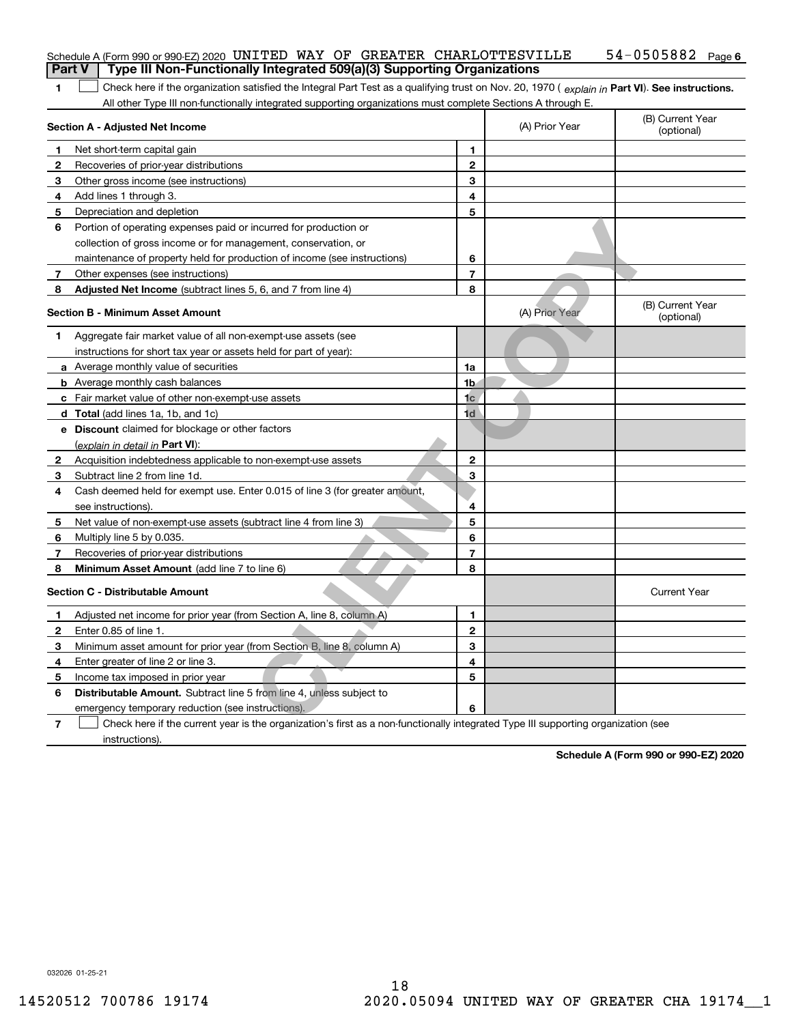| <b>Part V</b>   | Schedule A (Form 990 or 990-EZ) 2020 UNITED WAY OF GREATER CHARLOTTESVILLE<br>Type III Non-Functionally Integrated 509(a)(3) Supporting Organizations |                          |                | $54 - 0505882$ Page 6          |  |  |  |
|-----------------|-------------------------------------------------------------------------------------------------------------------------------------------------------|--------------------------|----------------|--------------------------------|--|--|--|
|                 |                                                                                                                                                       |                          |                |                                |  |  |  |
| 1               | Check here if the organization satisfied the Integral Part Test as a qualifying trust on Nov. 20, 1970 (explain in Part VI). See instructions.        |                          |                |                                |  |  |  |
|                 | All other Type III non-functionally integrated supporting organizations must complete Sections A through E.<br>Section A - Adjusted Net Income        |                          | (A) Prior Year | (B) Current Year<br>(optional) |  |  |  |
| 1               | Net short-term capital gain                                                                                                                           | 1                        |                |                                |  |  |  |
| 2               | Recoveries of prior-year distributions                                                                                                                | $\overline{2}$           |                |                                |  |  |  |
| 3               | Other gross income (see instructions)                                                                                                                 | 3                        |                |                                |  |  |  |
| 4               | Add lines 1 through 3.                                                                                                                                | 4                        |                |                                |  |  |  |
| 5               | Depreciation and depletion                                                                                                                            | 5                        |                |                                |  |  |  |
| 6               | Portion of operating expenses paid or incurred for production or                                                                                      |                          |                |                                |  |  |  |
|                 | collection of gross income or for management, conservation, or                                                                                        |                          |                |                                |  |  |  |
|                 | maintenance of property held for production of income (see instructions)                                                                              | 6                        |                |                                |  |  |  |
| $7\phantom{.0}$ | Other expenses (see instructions)                                                                                                                     | $\overline{\phantom{a}}$ |                |                                |  |  |  |
| 8               | Adjusted Net Income (subtract lines 5, 6, and 7 from line 4)                                                                                          | 8                        |                |                                |  |  |  |
|                 |                                                                                                                                                       |                          |                | (B) Current Year               |  |  |  |
|                 | <b>Section B - Minimum Asset Amount</b>                                                                                                               |                          | (A) Prior Year | (optional)                     |  |  |  |
| 1               | Aggregate fair market value of all non-exempt-use assets (see                                                                                         |                          |                |                                |  |  |  |
|                 | instructions for short tax year or assets held for part of year):                                                                                     |                          |                |                                |  |  |  |
|                 | a Average monthly value of securities                                                                                                                 | 1a                       |                |                                |  |  |  |
|                 | <b>b</b> Average monthly cash balances                                                                                                                | 1 <sub>b</sub>           |                |                                |  |  |  |
|                 | c Fair market value of other non-exempt-use assets                                                                                                    | 1 <sub>c</sub>           |                |                                |  |  |  |
|                 | <b>d</b> Total (add lines 1a, 1b, and 1c)                                                                                                             | 1d                       |                |                                |  |  |  |
|                 | e Discount claimed for blockage or other factors                                                                                                      |                          |                |                                |  |  |  |
|                 | (explain in detail in Part VI):                                                                                                                       |                          |                |                                |  |  |  |
| 2               | Acquisition indebtedness applicable to non-exempt-use assets                                                                                          | $\mathbf{2}$             |                |                                |  |  |  |
| 3               | Subtract line 2 from line 1d.                                                                                                                         | 3                        |                |                                |  |  |  |
| 4               | Cash deemed held for exempt use. Enter 0.015 of line 3 (for greater amount,                                                                           |                          |                |                                |  |  |  |
|                 | see instructions).                                                                                                                                    | 4                        |                |                                |  |  |  |
| 5               | Net value of non-exempt-use assets (subtract line 4 from line 3)                                                                                      | 5                        |                |                                |  |  |  |
| 6               | Multiply line 5 by 0.035.                                                                                                                             | 6                        |                |                                |  |  |  |
| 7               | Recoveries of prior-year distributions                                                                                                                | $\overline{\phantom{a}}$ |                |                                |  |  |  |
| 8               | Minimum Asset Amount (add line 7 to line 6)                                                                                                           | 8                        |                |                                |  |  |  |
|                 | <b>Section C - Distributable Amount</b>                                                                                                               |                          |                | <b>Current Year</b>            |  |  |  |
|                 | Adjusted net income for prior year (from Section A, line 8, column A)                                                                                 | 1                        |                |                                |  |  |  |
| 2               | Enter 0.85 of line 1.                                                                                                                                 | 2                        |                |                                |  |  |  |
| З.              | Minimum asset amount for prior year (from Section B, line 8, column A)                                                                                | 3                        |                |                                |  |  |  |
| 4               | Enter greater of line 2 or line 3.                                                                                                                    | 4                        |                |                                |  |  |  |
|                 | 5 Income tax imposed in prior year                                                                                                                    | 5                        |                |                                |  |  |  |
| 6               | Distributable Amount. Subtract line 5 from line 4, unless subject to                                                                                  |                          |                |                                |  |  |  |
|                 | emergency temporary reduction (see instructions).                                                                                                     | 6                        |                |                                |  |  |  |
| 7               | Check here if the current year is the organization's first as a non-functionally integrated Type III supporting organization (see                     |                          |                |                                |  |  |  |

**Schedule A (Form 990 or 990-EZ) 2020**

032026 01-25-21

instructions).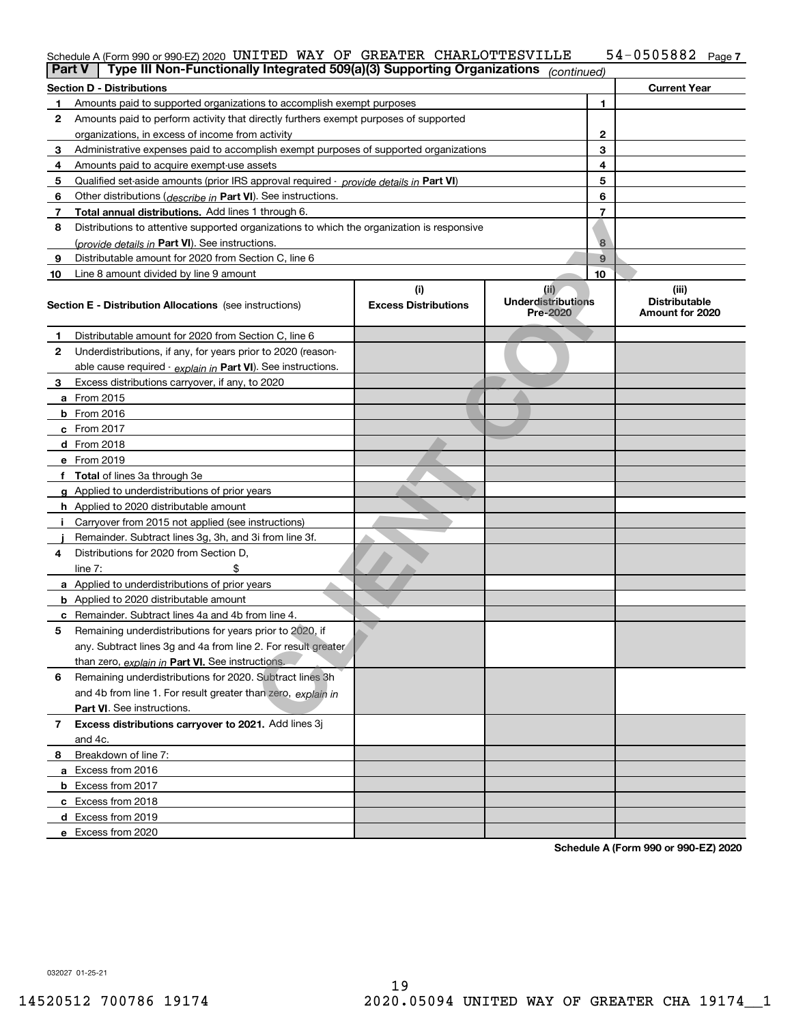| $Part V$ Type III Nep Eupotianally Integrated $E00(a)/2$ ) Supporting Organizations |  |  |                                                                            |                       |  |
|-------------------------------------------------------------------------------------|--|--|----------------------------------------------------------------------------|-----------------------|--|
|                                                                                     |  |  | Schedule A (Form 990 or 990-EZ) 2020 UNITED WAY OF GREATER CHARLOTTESVILLE | $54 - 0505882$ Page 7 |  |

| Type III Non-Functionally Integrated 509(a)(3) Supporting Organizations<br>Part V<br>(continued) |                                                                                            |                                    |                                               |                                                  |  |  |  |
|--------------------------------------------------------------------------------------------------|--------------------------------------------------------------------------------------------|------------------------------------|-----------------------------------------------|--------------------------------------------------|--|--|--|
|                                                                                                  | <b>Section D - Distributions</b>                                                           |                                    |                                               | <b>Current Year</b>                              |  |  |  |
| 1                                                                                                | Amounts paid to supported organizations to accomplish exempt purposes                      | 1                                  |                                               |                                                  |  |  |  |
| 2                                                                                                | Amounts paid to perform activity that directly furthers exempt purposes of supported       |                                    |                                               |                                                  |  |  |  |
|                                                                                                  | organizations, in excess of income from activity                                           |                                    | $\mathbf{2}$                                  |                                                  |  |  |  |
| 3                                                                                                | Administrative expenses paid to accomplish exempt purposes of supported organizations      |                                    | 3                                             |                                                  |  |  |  |
| 4                                                                                                | Amounts paid to acquire exempt-use assets                                                  |                                    | 4                                             |                                                  |  |  |  |
| 5                                                                                                | Qualified set-aside amounts (prior IRS approval required - provide details in Part VI)     |                                    | 5                                             |                                                  |  |  |  |
| 6                                                                                                | Other distributions ( <i>describe in</i> Part VI). See instructions.                       |                                    | 6                                             |                                                  |  |  |  |
| 7                                                                                                | Total annual distributions. Add lines 1 through 6.                                         |                                    | 7                                             |                                                  |  |  |  |
| 8                                                                                                | Distributions to attentive supported organizations to which the organization is responsive |                                    |                                               |                                                  |  |  |  |
|                                                                                                  | (provide details in Part VI). See instructions.                                            |                                    | 8                                             |                                                  |  |  |  |
| 9                                                                                                | Distributable amount for 2020 from Section C, line 6                                       |                                    | 9                                             |                                                  |  |  |  |
| 10                                                                                               | Line 8 amount divided by line 9 amount                                                     |                                    | 10                                            |                                                  |  |  |  |
|                                                                                                  | <b>Section E - Distribution Allocations</b> (see instructions)                             | (i)<br><b>Excess Distributions</b> | (ii)<br><b>Underdistributions</b><br>Pre-2020 | (iii)<br><b>Distributable</b><br>Amount for 2020 |  |  |  |
| 1                                                                                                | Distributable amount for 2020 from Section C, line 6                                       |                                    |                                               |                                                  |  |  |  |
| 2                                                                                                | Underdistributions, if any, for years prior to 2020 (reason-                               |                                    |                                               |                                                  |  |  |  |
|                                                                                                  | able cause required - explain in Part VI). See instructions.                               |                                    |                                               |                                                  |  |  |  |
| 3                                                                                                | Excess distributions carryover, if any, to 2020                                            |                                    |                                               |                                                  |  |  |  |
|                                                                                                  | a From 2015                                                                                |                                    |                                               |                                                  |  |  |  |
|                                                                                                  | <b>b</b> From 2016                                                                         |                                    |                                               |                                                  |  |  |  |
|                                                                                                  | c From 2017                                                                                |                                    |                                               |                                                  |  |  |  |
|                                                                                                  | <b>d</b> From 2018                                                                         |                                    |                                               |                                                  |  |  |  |
|                                                                                                  | e From 2019                                                                                |                                    |                                               |                                                  |  |  |  |
|                                                                                                  | f Total of lines 3a through 3e                                                             |                                    |                                               |                                                  |  |  |  |
|                                                                                                  | g Applied to underdistributions of prior years                                             |                                    |                                               |                                                  |  |  |  |
|                                                                                                  | <b>h</b> Applied to 2020 distributable amount                                              |                                    |                                               |                                                  |  |  |  |
|                                                                                                  | Carryover from 2015 not applied (see instructions)                                         |                                    |                                               |                                                  |  |  |  |
|                                                                                                  | Remainder. Subtract lines 3g, 3h, and 3i from line 3f.                                     |                                    |                                               |                                                  |  |  |  |
| 4                                                                                                | Distributions for 2020 from Section D,                                                     |                                    |                                               |                                                  |  |  |  |
|                                                                                                  | line $7:$                                                                                  |                                    |                                               |                                                  |  |  |  |
|                                                                                                  | a Applied to underdistributions of prior years                                             |                                    |                                               |                                                  |  |  |  |
|                                                                                                  | <b>b</b> Applied to 2020 distributable amount                                              |                                    |                                               |                                                  |  |  |  |
|                                                                                                  | c Remainder. Subtract lines 4a and 4b from line 4.                                         |                                    |                                               |                                                  |  |  |  |
| 5                                                                                                | Remaining underdistributions for years prior to 2020, if                                   |                                    |                                               |                                                  |  |  |  |
|                                                                                                  | any. Subtract lines 3g and 4a from line 2. For result greater                              |                                    |                                               |                                                  |  |  |  |
|                                                                                                  | than zero, explain in Part VI. See instructions.                                           |                                    |                                               |                                                  |  |  |  |
| 6                                                                                                | Remaining underdistributions for 2020. Subtract lines 3h                                   |                                    |                                               |                                                  |  |  |  |
|                                                                                                  | and 4b from line 1. For result greater than zero, explain in                               |                                    |                                               |                                                  |  |  |  |
|                                                                                                  | Part VI. See instructions.                                                                 |                                    |                                               |                                                  |  |  |  |
| 7                                                                                                | Excess distributions carryover to 2021. Add lines 3j                                       |                                    |                                               |                                                  |  |  |  |
|                                                                                                  | and 4c.                                                                                    |                                    |                                               |                                                  |  |  |  |
| 8                                                                                                | Breakdown of line 7:                                                                       |                                    |                                               |                                                  |  |  |  |
|                                                                                                  | a Excess from 2016                                                                         |                                    |                                               |                                                  |  |  |  |
|                                                                                                  | <b>b</b> Excess from 2017                                                                  |                                    |                                               |                                                  |  |  |  |
|                                                                                                  | c Excess from 2018                                                                         |                                    |                                               |                                                  |  |  |  |
|                                                                                                  | d Excess from 2019                                                                         |                                    |                                               |                                                  |  |  |  |
|                                                                                                  | e Excess from 2020                                                                         |                                    |                                               |                                                  |  |  |  |

**Schedule A (Form 990 or 990-EZ) 2020**

032027 01-25-21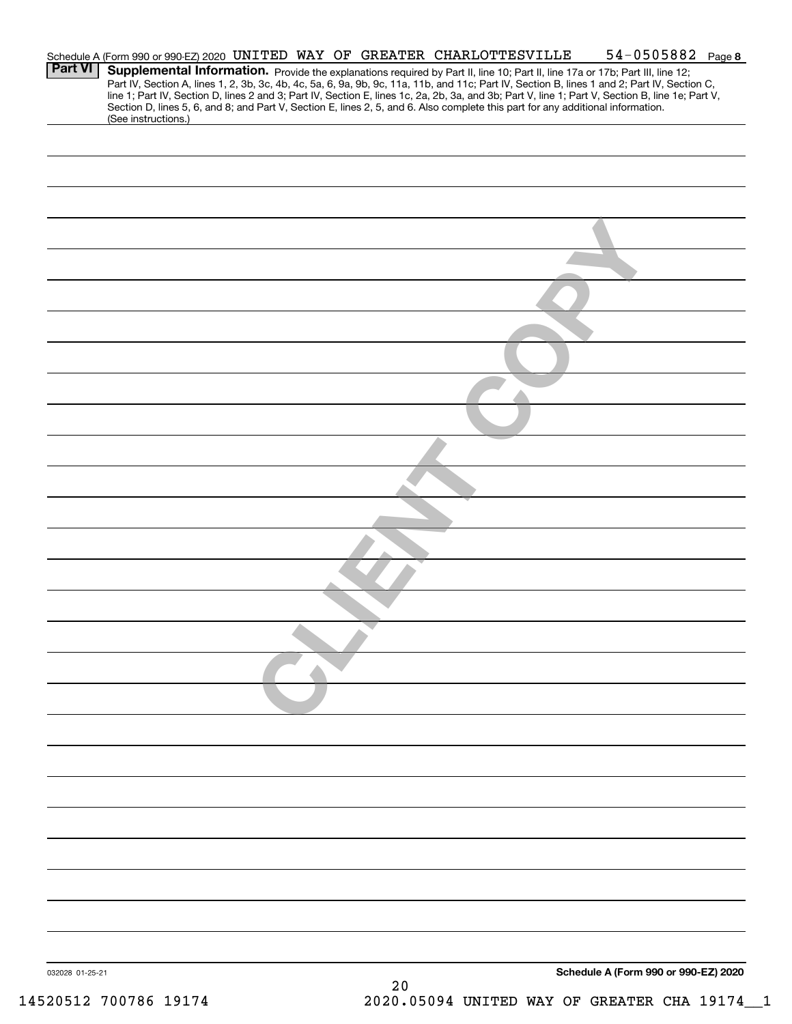|                 | Schedule A (Form 990 or 990-EZ) 2020 UNITED WAY OF GREATER CHARLOTTESVILLE                                                      |  |  |    |  | $54 - 0505882$ Page 8                                                                                                                                                                                                                                                                                                                                                                                                             |  |
|-----------------|---------------------------------------------------------------------------------------------------------------------------------|--|--|----|--|-----------------------------------------------------------------------------------------------------------------------------------------------------------------------------------------------------------------------------------------------------------------------------------------------------------------------------------------------------------------------------------------------------------------------------------|--|
| <b>Part VI</b>  | Section D, lines 5, 6, and 8; and Part V, Section E, lines 2, 5, and 6. Also complete this part for any additional information. |  |  |    |  | Supplemental Information. Provide the explanations required by Part II, line 10; Part II, line 17a or 17b; Part III, line 12;<br>Part IV, Section A, lines 1, 2, 3b, 3c, 4b, 4c, 5a, 6, 9a, 9b, 9c, 11a, 11b, and 11c; Part IV, Section B, lines 1 and 2; Part IV, Section C,<br>line 1; Part IV, Section D, lines 2 and 3; Part IV, Section E, lines 1c, 2a, 2b, 3a, and 3b; Part V, line 1; Part V, Section B, line 1e; Part V, |  |
|                 | (See instructions.)                                                                                                             |  |  |    |  |                                                                                                                                                                                                                                                                                                                                                                                                                                   |  |
|                 |                                                                                                                                 |  |  |    |  |                                                                                                                                                                                                                                                                                                                                                                                                                                   |  |
|                 |                                                                                                                                 |  |  |    |  |                                                                                                                                                                                                                                                                                                                                                                                                                                   |  |
|                 |                                                                                                                                 |  |  |    |  |                                                                                                                                                                                                                                                                                                                                                                                                                                   |  |
|                 |                                                                                                                                 |  |  |    |  |                                                                                                                                                                                                                                                                                                                                                                                                                                   |  |
|                 |                                                                                                                                 |  |  |    |  |                                                                                                                                                                                                                                                                                                                                                                                                                                   |  |
|                 |                                                                                                                                 |  |  |    |  |                                                                                                                                                                                                                                                                                                                                                                                                                                   |  |
|                 |                                                                                                                                 |  |  |    |  |                                                                                                                                                                                                                                                                                                                                                                                                                                   |  |
|                 |                                                                                                                                 |  |  |    |  |                                                                                                                                                                                                                                                                                                                                                                                                                                   |  |
|                 |                                                                                                                                 |  |  |    |  |                                                                                                                                                                                                                                                                                                                                                                                                                                   |  |
|                 |                                                                                                                                 |  |  |    |  |                                                                                                                                                                                                                                                                                                                                                                                                                                   |  |
|                 |                                                                                                                                 |  |  |    |  |                                                                                                                                                                                                                                                                                                                                                                                                                                   |  |
|                 |                                                                                                                                 |  |  |    |  |                                                                                                                                                                                                                                                                                                                                                                                                                                   |  |
|                 |                                                                                                                                 |  |  |    |  |                                                                                                                                                                                                                                                                                                                                                                                                                                   |  |
|                 |                                                                                                                                 |  |  |    |  |                                                                                                                                                                                                                                                                                                                                                                                                                                   |  |
|                 |                                                                                                                                 |  |  |    |  |                                                                                                                                                                                                                                                                                                                                                                                                                                   |  |
|                 |                                                                                                                                 |  |  |    |  |                                                                                                                                                                                                                                                                                                                                                                                                                                   |  |
|                 |                                                                                                                                 |  |  |    |  |                                                                                                                                                                                                                                                                                                                                                                                                                                   |  |
|                 |                                                                                                                                 |  |  |    |  |                                                                                                                                                                                                                                                                                                                                                                                                                                   |  |
|                 |                                                                                                                                 |  |  |    |  |                                                                                                                                                                                                                                                                                                                                                                                                                                   |  |
|                 |                                                                                                                                 |  |  |    |  |                                                                                                                                                                                                                                                                                                                                                                                                                                   |  |
|                 |                                                                                                                                 |  |  |    |  |                                                                                                                                                                                                                                                                                                                                                                                                                                   |  |
|                 |                                                                                                                                 |  |  |    |  |                                                                                                                                                                                                                                                                                                                                                                                                                                   |  |
|                 |                                                                                                                                 |  |  |    |  |                                                                                                                                                                                                                                                                                                                                                                                                                                   |  |
|                 |                                                                                                                                 |  |  |    |  |                                                                                                                                                                                                                                                                                                                                                                                                                                   |  |
|                 |                                                                                                                                 |  |  |    |  |                                                                                                                                                                                                                                                                                                                                                                                                                                   |  |
|                 |                                                                                                                                 |  |  |    |  |                                                                                                                                                                                                                                                                                                                                                                                                                                   |  |
|                 |                                                                                                                                 |  |  |    |  |                                                                                                                                                                                                                                                                                                                                                                                                                                   |  |
|                 |                                                                                                                                 |  |  |    |  |                                                                                                                                                                                                                                                                                                                                                                                                                                   |  |
|                 |                                                                                                                                 |  |  |    |  |                                                                                                                                                                                                                                                                                                                                                                                                                                   |  |
|                 |                                                                                                                                 |  |  |    |  |                                                                                                                                                                                                                                                                                                                                                                                                                                   |  |
|                 |                                                                                                                                 |  |  |    |  |                                                                                                                                                                                                                                                                                                                                                                                                                                   |  |
|                 |                                                                                                                                 |  |  |    |  |                                                                                                                                                                                                                                                                                                                                                                                                                                   |  |
|                 |                                                                                                                                 |  |  |    |  |                                                                                                                                                                                                                                                                                                                                                                                                                                   |  |
| 032028 01-25-21 |                                                                                                                                 |  |  |    |  | Schedule A (Form 990 or 990-EZ) 2020                                                                                                                                                                                                                                                                                                                                                                                              |  |
|                 |                                                                                                                                 |  |  | 20 |  |                                                                                                                                                                                                                                                                                                                                                                                                                                   |  |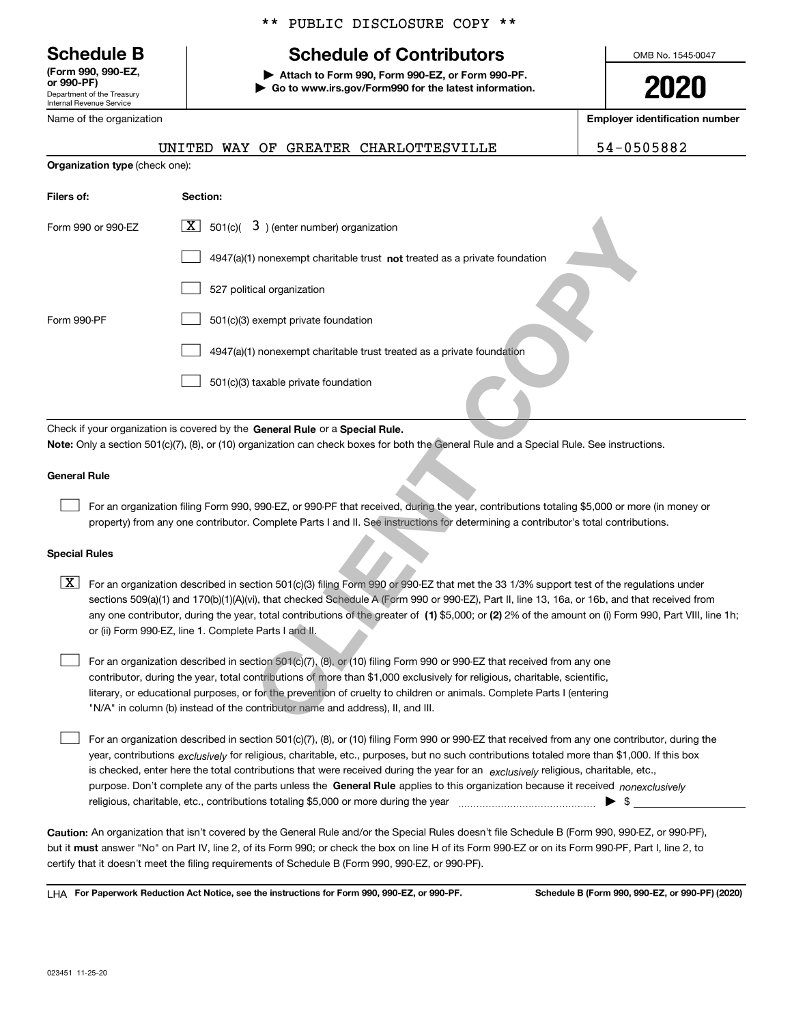Department of the Treasury Internal Revenue Service **(Form 990, 990-EZ, or 990-PF)**

Name of the organization

**Organization type** (check one):

# \*\* PUBLIC DISCLOSURE COPY \*\*

# **Schedule B Schedule of Contributors**

**| Attach to Form 990, Form 990-EZ, or Form 990-PF. | Go to www.irs.gov/Form990 for the latest information.** OMB No. 1545-0047

**2020**

**Employer identification number**

UNITED WAY OF GREATER CHARLOTTESVILLE 54-0505882

| Filers of:                                                                                                                                                                                                                                                                                                                                                                                                                                                                                                       | Section:                                                                                                                                                                                                                                                                                                                                                                     |  |  |  |  |  |
|------------------------------------------------------------------------------------------------------------------------------------------------------------------------------------------------------------------------------------------------------------------------------------------------------------------------------------------------------------------------------------------------------------------------------------------------------------------------------------------------------------------|------------------------------------------------------------------------------------------------------------------------------------------------------------------------------------------------------------------------------------------------------------------------------------------------------------------------------------------------------------------------------|--|--|--|--|--|
| Form 990 or 990-EZ                                                                                                                                                                                                                                                                                                                                                                                                                                                                                               | $\boxed{\mathbf{X}}$ 501(c)( 3) (enter number) organization                                                                                                                                                                                                                                                                                                                  |  |  |  |  |  |
|                                                                                                                                                                                                                                                                                                                                                                                                                                                                                                                  | 4947(a)(1) nonexempt charitable trust not treated as a private foundation                                                                                                                                                                                                                                                                                                    |  |  |  |  |  |
|                                                                                                                                                                                                                                                                                                                                                                                                                                                                                                                  | 527 political organization                                                                                                                                                                                                                                                                                                                                                   |  |  |  |  |  |
| Form 990-PF                                                                                                                                                                                                                                                                                                                                                                                                                                                                                                      | 501(c)(3) exempt private foundation                                                                                                                                                                                                                                                                                                                                          |  |  |  |  |  |
|                                                                                                                                                                                                                                                                                                                                                                                                                                                                                                                  | 4947(a)(1) nonexempt charitable trust treated as a private foundation                                                                                                                                                                                                                                                                                                        |  |  |  |  |  |
|                                                                                                                                                                                                                                                                                                                                                                                                                                                                                                                  | 501(c)(3) taxable private foundation                                                                                                                                                                                                                                                                                                                                         |  |  |  |  |  |
|                                                                                                                                                                                                                                                                                                                                                                                                                                                                                                                  | Check if your organization is covered by the General Rule or a Special Rule.                                                                                                                                                                                                                                                                                                 |  |  |  |  |  |
|                                                                                                                                                                                                                                                                                                                                                                                                                                                                                                                  | Note: Only a section 501(c)(7), (8), or (10) organization can check boxes for both the General Rule and a Special Rule. See instructions.                                                                                                                                                                                                                                    |  |  |  |  |  |
| <b>General Rule</b>                                                                                                                                                                                                                                                                                                                                                                                                                                                                                              |                                                                                                                                                                                                                                                                                                                                                                              |  |  |  |  |  |
|                                                                                                                                                                                                                                                                                                                                                                                                                                                                                                                  | For an organization filing Form 990, 990-EZ, or 990-PF that received, during the year, contributions totaling \$5,000 or more (in money or<br>property) from any one contributor. Complete Parts I and II. See instructions for determining a contributor's total contributions.                                                                                             |  |  |  |  |  |
| <b>Special Rules</b>                                                                                                                                                                                                                                                                                                                                                                                                                                                                                             |                                                                                                                                                                                                                                                                                                                                                                              |  |  |  |  |  |
| X  <br>For an organization described in section 501(c)(3) filing Form 990 or 990-EZ that met the 33 1/3% support test of the regulations under<br>sections 509(a)(1) and 170(b)(1)(A)(vi), that checked Schedule A (Form 990 or 990-EZ), Part II, line 13, 16a, or 16b, and that received from<br>any one contributor, during the year, total contributions of the greater of (1) \$5,000; or (2) 2% of the amount on (i) Form 990, Part VIII, line 1h;<br>or (ii) Form 990-EZ, line 1. Complete Parts I and II. |                                                                                                                                                                                                                                                                                                                                                                              |  |  |  |  |  |
|                                                                                                                                                                                                                                                                                                                                                                                                                                                                                                                  | For an organization described in section 501(c)(7), (8), or (10) filing Form 990 or 990-EZ that received from any one<br>contributor, during the year, total contributions of more than \$1,000 exclusively for religious, charitable, scientific,<br>literary, or educational purposes, or for the prevention of cruelty to children or animals. Complete Parts I (entering |  |  |  |  |  |
|                                                                                                                                                                                                                                                                                                                                                                                                                                                                                                                  | "N/A" in column (b) instead of the contributor name and address), II, and III.                                                                                                                                                                                                                                                                                               |  |  |  |  |  |
|                                                                                                                                                                                                                                                                                                                                                                                                                                                                                                                  | For an organization described in section 501(c)(7), (8), or (10) filing Form 990 or 990-EZ that received from any one contributor, during the                                                                                                                                                                                                                                |  |  |  |  |  |

# **General Rule**

### **Special Rules**

purpose. Don't complete any of the parts unless the **General Rule** applies to this organization because it received *nonexclusively* year, contributions <sub>exclusively</sub> for religious, charitable, etc., purposes, but no such contributions totaled more than \$1,000. If this box is checked, enter here the total contributions that were received during the year for an  $\;$ exclusively religious, charitable, etc., For an organization described in section 501(c)(7), (8), or (10) filing Form 990 or 990-EZ that received from any one contributor, during the religious, charitable, etc., contributions totaling \$5,000 or more during the year  $\Box$ — $\Box$   $\Box$  $\mathcal{L}^{\text{max}}$ 

**Caution:**  An organization that isn't covered by the General Rule and/or the Special Rules doesn't file Schedule B (Form 990, 990-EZ, or 990-PF),  **must** but it answer "No" on Part IV, line 2, of its Form 990; or check the box on line H of its Form 990-EZ or on its Form 990-PF, Part I, line 2, to certify that it doesn't meet the filing requirements of Schedule B (Form 990, 990-EZ, or 990-PF).

**For Paperwork Reduction Act Notice, see the instructions for Form 990, 990-EZ, or 990-PF. Schedule B (Form 990, 990-EZ, or 990-PF) (2020)** LHA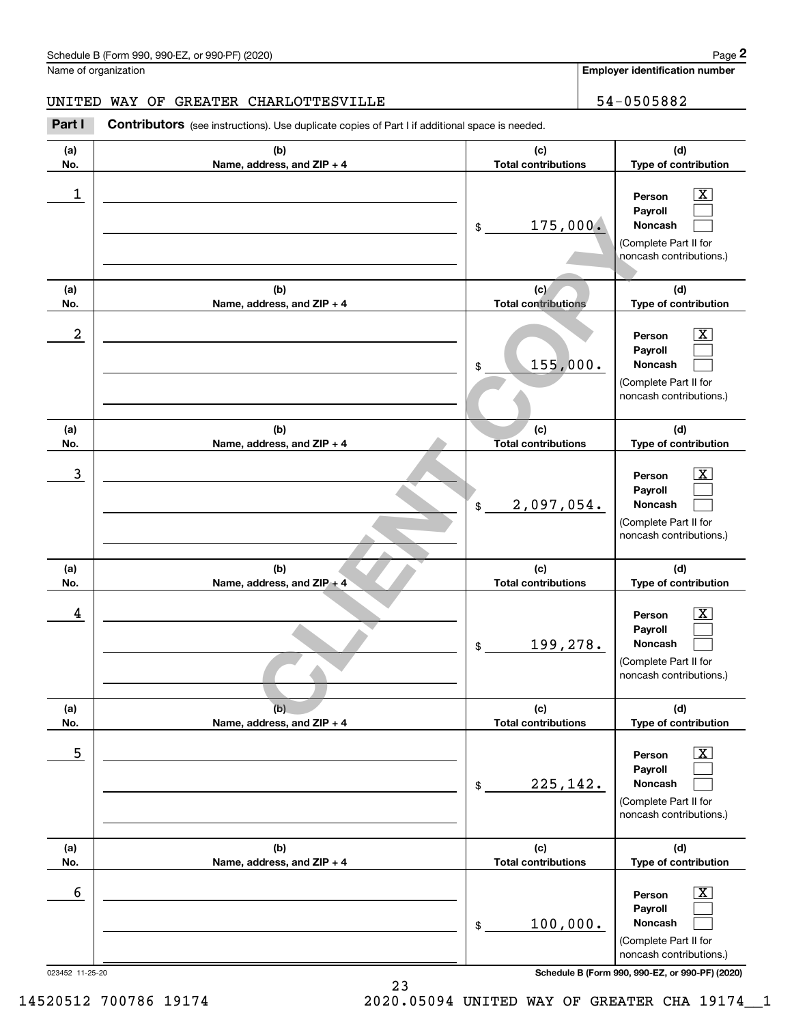**Employer identification number**

# UNITED WAY OF GREATER CHARLOTTESVILLE **1990 120 120 120 130 14 14 15 16 16 17 18 18 18 18 18 18 18 18 18 18 18**

023452 11-25-20 **Schedule B (Form 990, 990-EZ, or 990-PF) (2020) (a)No.(b)Name, address, and ZIP + 4 (c)Total contributions (d)Type of contribution PersonPayrollNoncash (a)No.(b)Name, address, and ZIP + 4 (c)Total contributions (d)Type of contribution PersonPayrollNoncash (a)No.(b)Name, address, and ZIP + 4 (c)Total contributions (d)Type of contribution PersonPayrollNoncash (a) No.(b) Name, address, and ZIP + 4 (c) Total contributions (d) Type of contribution PersonPayrollNoncash (a) No.(b)Name, address, and ZIP + 4 (c) Total contributions (d) Type of contribution PersonPayrollNoncash (a) No.(b)Name, address, and ZIP + 4 (c) Total contributions (d)Type of contribution PersonPayrollNoncash** Contributors (see instructions). Use duplicate copies of Part I if additional space is needed. \$(Complete Part II for noncash contributions.) \$(Complete Part II for noncash contributions.) \$(Complete Part II for noncash contributions.) \$(Complete Part II for noncash contributions.) \$(Complete Part II for noncash contributions.) \$(Complete Part II for noncash contributions.) Chedule B (Form 990, 990-EZ, or 990-PF) (2020)<br>Iame of organization<br>**2Part I 2Part I Contributors** (see instructions). Use duplicate copies of Part I if additional space is needed.<br>2Part I **Contributors** (see instructi  $|X|$  $\mathcal{L}^{\text{max}}$  $\mathcal{L}^{\text{max}}$  $\boxed{\text{X}}$  $\mathcal{L}^{\text{max}}$  $\mathcal{L}^{\text{max}}$  $|X|$  $\mathcal{L}^{\text{max}}$  $\mathcal{L}^{\text{max}}$  $|X|$  $\mathcal{L}^{\text{max}}$  $\mathcal{L}^{\text{max}}$  $\boxed{\text{X}}$  $\mathcal{L}^{\text{max}}$  $\mathcal{L}^{\text{max}}$  $\boxed{\text{X}}$  $\mathcal{L}^{\text{max}}$  $\mathcal{L}^{\text{max}}$ **Completes, and ZIP +4**<br> **CCOPY**<br>
COPY<br>
COPY<br>
COPY<br>
COPY<br>
COPY<br>
COPY<br>
COPY<br>
COPY<br>
COPY<br>
COPY<br>
COPY<br>
COPY<br>
COPY<br>
COPY<br>
COPY<br>
COPY<br>
COPY<br>
COPY<br>
COPY<br>
COPY<br>
COPY<br>
COPY<br>
COPY<br>
COPY<br>
COPY<br>
COPY<br>
COPY<br>
COPY<br>
COPY<br>
COPY<br>
COPY<br>
CO  $\begin{array}{c|c|c|c|c|c} 1 & \hspace{1.5cm} & \hspace{1.5cm} & \hspace{1.5cm} & \hspace{1.5cm} & \hspace{1.5cm} & \hspace{1.5cm} & \hspace{1.5cm} & \hspace{1.5cm} & \hspace{1.5cm} & \hspace{1.5cm} & \hspace{1.5cm} & \hspace{1.5cm} & \hspace{1.5cm} & \hspace{1.5cm} & \hspace{1.5cm} & \hspace{1.5cm} & \hspace{1.5cm} & \hspace{1.5cm} & \hspace{1.5cm} & \hspace{1.5cm} &$ 175,000.  $2 \parallel$  Person  $\parallel$  X 155,000.  $\overline{3}$   $\overline{)}$  Person  $\overline{)}$   $\overline{)}$  Person  $\overline{)}$ 2,097,054. and the contract of the contract of the contract of the contract of the contract of the contract of the contract of the contract of the contract of the contract of the contract of the contract of the contract of the contra 199,278.  $\sim$  5 | Person X 225,142.  $\sim$  6 | Person X 100,000.

23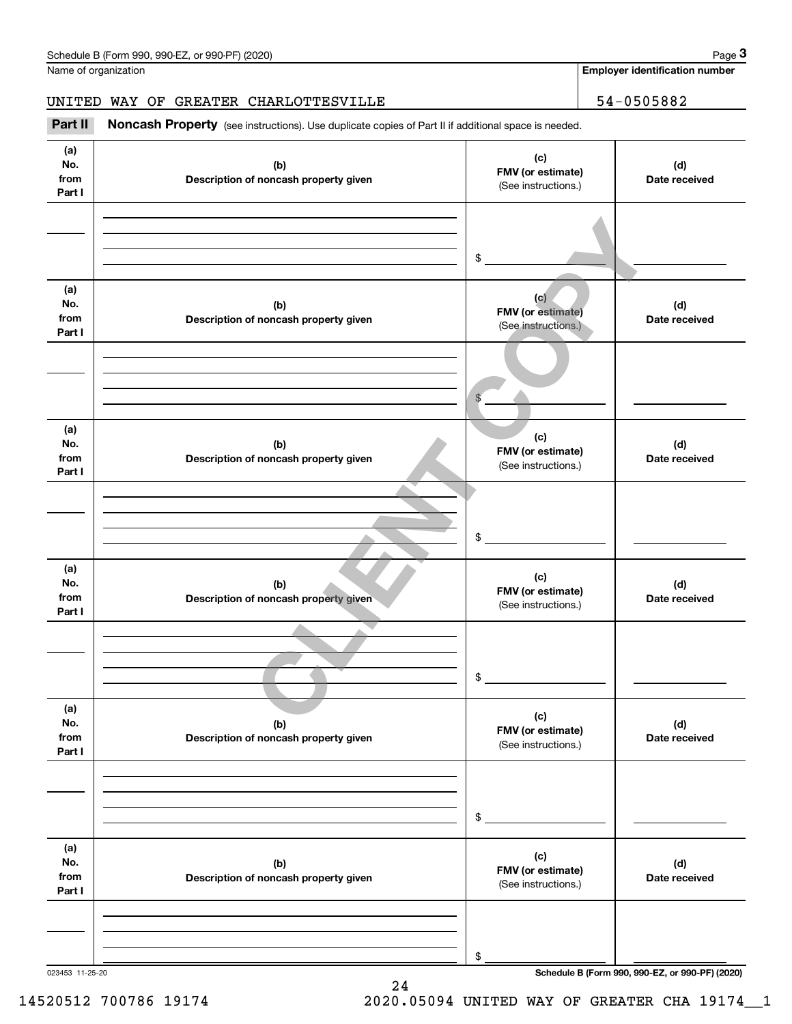Name of organization

**Employer identification number**

# UNITED WAY OF GREATER CHARLOTTESVILLE 54-0505882

(see instructions). Use duplicate copies of Part II if additional space is needed.<br> **3Part II Noncash Property** (see instructions). Use duplicate copies of Part II if additional space is needed.<br> **3Part II Noncash Prop** 

| (a)<br>No.<br>from<br>Part I | (b)<br>Description of noncash property given | (c)<br>FMV (or estimate)<br>(See instructions.)        | (d)<br>Date received                            |
|------------------------------|----------------------------------------------|--------------------------------------------------------|-------------------------------------------------|
|                              |                                              | \$                                                     |                                                 |
| (a)<br>No.<br>from<br>Part I | (b)<br>Description of noncash property given | (c)<br><b>FMV</b> (or estimate)<br>(See instructions.) | (d)<br>Date received                            |
|                              |                                              | $\mathbb{S}$                                           |                                                 |
| (a)<br>No.<br>from<br>Part I | (b)<br>Description of noncash property given | (c)<br>FMV (or estimate)<br>(See instructions.)        | (d)<br>Date received                            |
|                              |                                              | \$                                                     |                                                 |
| (a)<br>No.<br>from<br>Part I | (b)<br>Description of noncash property given | (c)<br>FMV (or estimate)<br>(See instructions.)        | (d)<br>Date received                            |
|                              |                                              | \$                                                     |                                                 |
| (a)<br>No.<br>from<br>Part I | (b)<br>Description of noncash property given | (c)<br>FMV (or estimate)<br>(See instructions.)        | (d)<br>Date received                            |
|                              |                                              | $$^{\circ}$                                            |                                                 |
| (a)<br>No.<br>from<br>Part I | (b)<br>Description of noncash property given | (c)<br>FMV (or estimate)<br>(See instructions.)        | (d)<br>Date received                            |
|                              |                                              | \$                                                     |                                                 |
| 023453 11-25-20              |                                              |                                                        | Schedule B (Form 990, 990-EZ, or 990-PF) (2020) |

24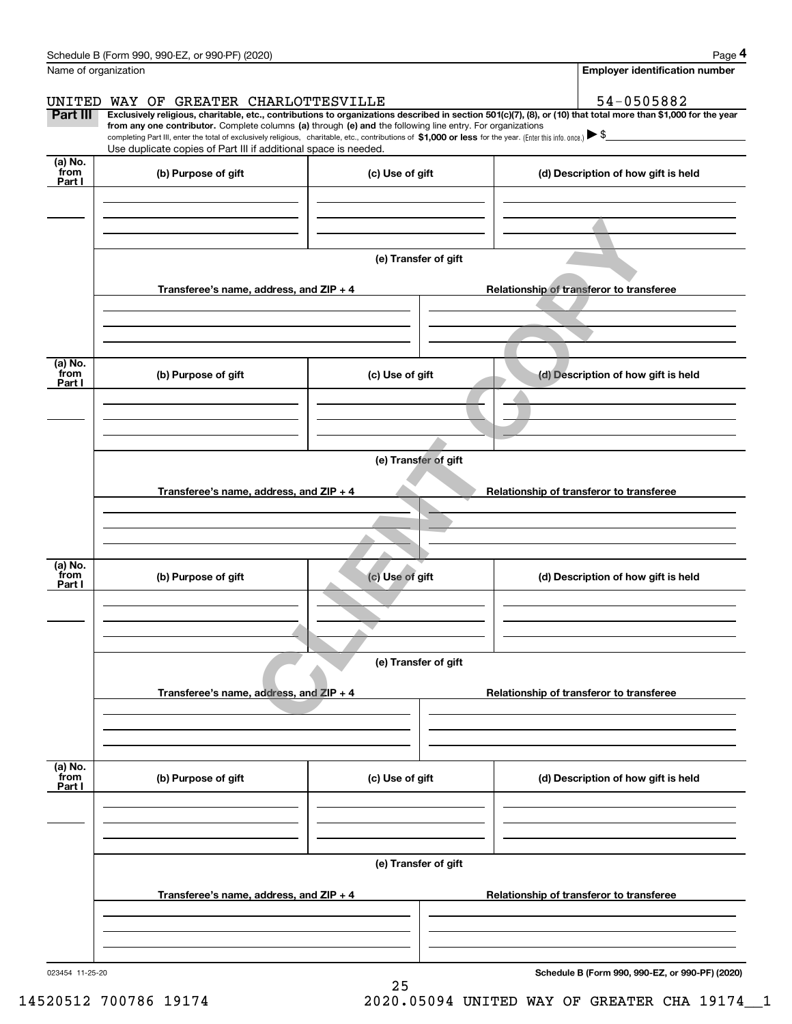|                           | Schedule B (Form 990, 990-EZ, or 990-PF) (2020)                                                                                                              |                      | Page 4                                                                                                                                                         |  |  |  |  |  |
|---------------------------|--------------------------------------------------------------------------------------------------------------------------------------------------------------|----------------------|----------------------------------------------------------------------------------------------------------------------------------------------------------------|--|--|--|--|--|
|                           | Name of organization                                                                                                                                         |                      | Employer identification number                                                                                                                                 |  |  |  |  |  |
|                           | UNITED WAY OF GREATER CHARLOTTESVILLE                                                                                                                        |                      | 54-0505882                                                                                                                                                     |  |  |  |  |  |
| Part III                  | from any one contributor. Complete columns (a) through (e) and the following line entry. For organizations                                                   |                      | Exclusively religious, charitable, etc., contributions to organizations described in section 501(c)(7), (8), or (10) that total more than \$1,000 for the year |  |  |  |  |  |
|                           | completing Part III, enter the total of exclusively religious, charitable, etc., contributions of \$1,000 or less for the year. (Enter this info. once.) \\$ |                      |                                                                                                                                                                |  |  |  |  |  |
| (a) No.                   | Use duplicate copies of Part III if additional space is needed.                                                                                              |                      |                                                                                                                                                                |  |  |  |  |  |
| from<br>Part I            | (b) Purpose of gift                                                                                                                                          | (c) Use of gift      | (d) Description of how gift is held                                                                                                                            |  |  |  |  |  |
|                           |                                                                                                                                                              |                      |                                                                                                                                                                |  |  |  |  |  |
|                           |                                                                                                                                                              |                      |                                                                                                                                                                |  |  |  |  |  |
|                           |                                                                                                                                                              |                      |                                                                                                                                                                |  |  |  |  |  |
|                           |                                                                                                                                                              | (e) Transfer of gift |                                                                                                                                                                |  |  |  |  |  |
|                           |                                                                                                                                                              |                      |                                                                                                                                                                |  |  |  |  |  |
|                           | Transferee's name, address, and ZIP + 4                                                                                                                      |                      | Relationship of transferor to transferee                                                                                                                       |  |  |  |  |  |
|                           |                                                                                                                                                              |                      |                                                                                                                                                                |  |  |  |  |  |
|                           |                                                                                                                                                              |                      |                                                                                                                                                                |  |  |  |  |  |
|                           |                                                                                                                                                              |                      |                                                                                                                                                                |  |  |  |  |  |
| (a) No.<br>from<br>Part I | (b) Purpose of gift                                                                                                                                          | (c) Use of gift      | (d) Description of how gift is held                                                                                                                            |  |  |  |  |  |
|                           |                                                                                                                                                              |                      |                                                                                                                                                                |  |  |  |  |  |
|                           |                                                                                                                                                              |                      |                                                                                                                                                                |  |  |  |  |  |
|                           |                                                                                                                                                              |                      |                                                                                                                                                                |  |  |  |  |  |
|                           | (e) Transfer of gift                                                                                                                                         |                      |                                                                                                                                                                |  |  |  |  |  |
|                           |                                                                                                                                                              |                      |                                                                                                                                                                |  |  |  |  |  |
|                           | Transferee's name, address, and ZIP + 4<br>Relationship of transferor to transferee                                                                          |                      |                                                                                                                                                                |  |  |  |  |  |
|                           |                                                                                                                                                              |                      |                                                                                                                                                                |  |  |  |  |  |
|                           |                                                                                                                                                              |                      |                                                                                                                                                                |  |  |  |  |  |
|                           |                                                                                                                                                              |                      |                                                                                                                                                                |  |  |  |  |  |
| (a) No.<br>from<br>Part I | (b) Purpose of gift                                                                                                                                          | (c) Use of gift      | (d) Description of how gift is held                                                                                                                            |  |  |  |  |  |
|                           |                                                                                                                                                              |                      |                                                                                                                                                                |  |  |  |  |  |
|                           |                                                                                                                                                              |                      |                                                                                                                                                                |  |  |  |  |  |
|                           |                                                                                                                                                              |                      |                                                                                                                                                                |  |  |  |  |  |
|                           | (e) Transfer of gift                                                                                                                                         |                      |                                                                                                                                                                |  |  |  |  |  |
|                           |                                                                                                                                                              |                      |                                                                                                                                                                |  |  |  |  |  |
|                           | Transferee's name, address, and ZIP + 4                                                                                                                      |                      | Relationship of transferor to transferee                                                                                                                       |  |  |  |  |  |
|                           |                                                                                                                                                              |                      |                                                                                                                                                                |  |  |  |  |  |
|                           |                                                                                                                                                              |                      |                                                                                                                                                                |  |  |  |  |  |
| (a) No.<br>from           |                                                                                                                                                              |                      |                                                                                                                                                                |  |  |  |  |  |
| Part I                    | (b) Purpose of gift                                                                                                                                          | (c) Use of gift      | (d) Description of how gift is held                                                                                                                            |  |  |  |  |  |
|                           |                                                                                                                                                              |                      |                                                                                                                                                                |  |  |  |  |  |
|                           |                                                                                                                                                              |                      |                                                                                                                                                                |  |  |  |  |  |
|                           |                                                                                                                                                              |                      |                                                                                                                                                                |  |  |  |  |  |
|                           |                                                                                                                                                              | (e) Transfer of gift |                                                                                                                                                                |  |  |  |  |  |
|                           |                                                                                                                                                              |                      |                                                                                                                                                                |  |  |  |  |  |
|                           | Transferee's name, address, and $ZIP + 4$                                                                                                                    |                      | Relationship of transferor to transferee                                                                                                                       |  |  |  |  |  |
|                           |                                                                                                                                                              |                      |                                                                                                                                                                |  |  |  |  |  |
|                           |                                                                                                                                                              |                      |                                                                                                                                                                |  |  |  |  |  |
|                           |                                                                                                                                                              |                      | $000.000.57 - 000.051 (0000)$                                                                                                                                  |  |  |  |  |  |

25

023454 11-25-20

**Schedule B (Form 990, 990-EZ, or 990-PF) (2020)**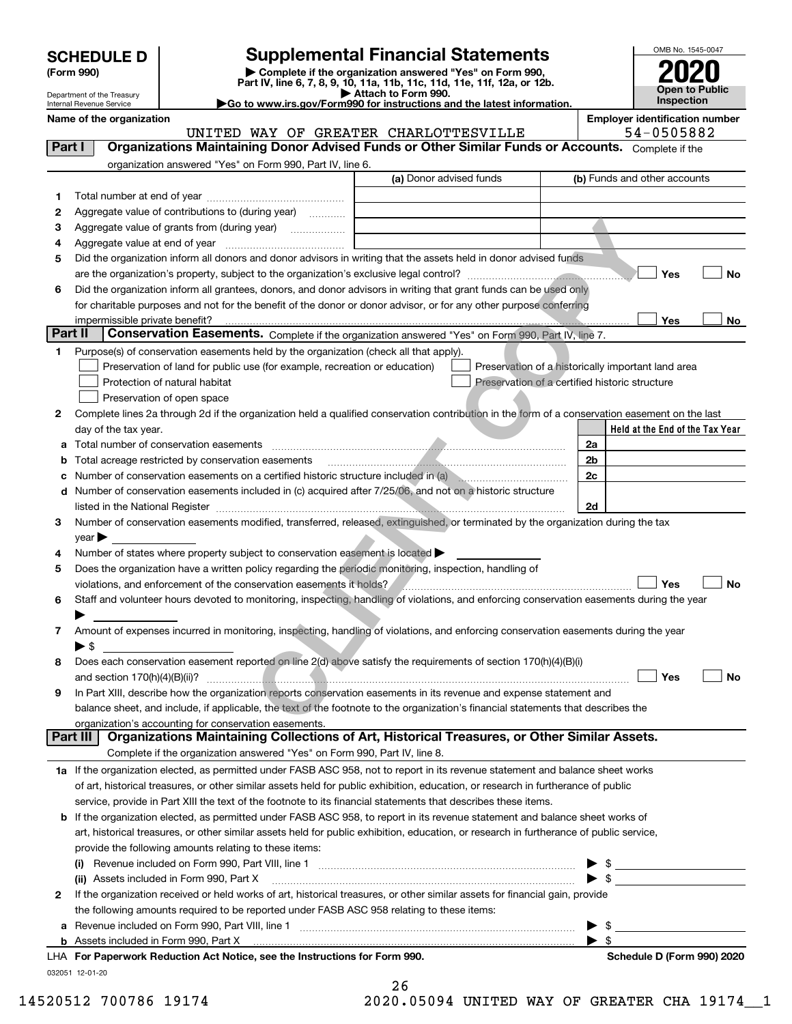| <b>SCHEDULE D</b> |  |
|-------------------|--|
|-------------------|--|

# **Supplemental Financial Statements**

(Form 990)<br>
Pepartment of the Treasury<br>
Department of the Treasury<br>
Department of the Treasury<br>
Department of the Treasury<br> **Co to www.irs.gov/Form990 for instructions and the latest information.**<br> **Co to www.irs.gov/Form9** 



Department of the Treasury Internal Revenue Service

**Name of the organization Employer identification number**

UNITED WAY OF GREATER CHARLOTTESVILLE  $54-0505882$ 

| Part I  | <b>Organizations Maintaining Donor Advised Funds or Other Similar Funds or Accounts.</b> Complete if the                                       |                         |                                                                                                                                                                                                                                                                                                                                                                     |
|---------|------------------------------------------------------------------------------------------------------------------------------------------------|-------------------------|---------------------------------------------------------------------------------------------------------------------------------------------------------------------------------------------------------------------------------------------------------------------------------------------------------------------------------------------------------------------|
|         | organization answered "Yes" on Form 990, Part IV, line 6.                                                                                      |                         |                                                                                                                                                                                                                                                                                                                                                                     |
|         |                                                                                                                                                | (a) Donor advised funds | (b) Funds and other accounts                                                                                                                                                                                                                                                                                                                                        |
| 1.      |                                                                                                                                                |                         |                                                                                                                                                                                                                                                                                                                                                                     |
| 2       | Aggregate value of contributions to (during year)                                                                                              |                         |                                                                                                                                                                                                                                                                                                                                                                     |
| з       | Aggregate value of grants from (during year)                                                                                                   |                         |                                                                                                                                                                                                                                                                                                                                                                     |
| 4       |                                                                                                                                                |                         |                                                                                                                                                                                                                                                                                                                                                                     |
| 5       | Did the organization inform all donors and donor advisors in writing that the assets held in donor advised funds                               |                         |                                                                                                                                                                                                                                                                                                                                                                     |
|         |                                                                                                                                                |                         | Yes<br><b>No</b>                                                                                                                                                                                                                                                                                                                                                    |
| 6       | Did the organization inform all grantees, donors, and donor advisors in writing that grant funds can be used only                              |                         |                                                                                                                                                                                                                                                                                                                                                                     |
|         | for charitable purposes and not for the benefit of the donor or donor advisor, or for any other purpose conferring                             |                         |                                                                                                                                                                                                                                                                                                                                                                     |
|         | impermissible private benefit?                                                                                                                 |                         | Yes<br>No                                                                                                                                                                                                                                                                                                                                                           |
| Part II | Conservation Easements. Complete if the organization answered "Yes" on Form 990, Part IV, line 7.                                              |                         |                                                                                                                                                                                                                                                                                                                                                                     |
| 1.      | Purpose(s) of conservation easements held by the organization (check all that apply).                                                          |                         |                                                                                                                                                                                                                                                                                                                                                                     |
|         | Preservation of land for public use (for example, recreation or education)                                                                     |                         | Preservation of a historically important land area                                                                                                                                                                                                                                                                                                                  |
|         | Protection of natural habitat                                                                                                                  |                         | Preservation of a certified historic structure                                                                                                                                                                                                                                                                                                                      |
|         | Preservation of open space                                                                                                                     |                         |                                                                                                                                                                                                                                                                                                                                                                     |
| 2       | Complete lines 2a through 2d if the organization held a qualified conservation contribution in the form of a conservation easement on the last |                         |                                                                                                                                                                                                                                                                                                                                                                     |
|         | day of the tax year.                                                                                                                           |                         | Held at the End of the Tax Year                                                                                                                                                                                                                                                                                                                                     |
|         |                                                                                                                                                |                         | 2a                                                                                                                                                                                                                                                                                                                                                                  |
|         | <b>b</b> Total acreage restricted by conservation easements                                                                                    |                         | 2 <sub>b</sub>                                                                                                                                                                                                                                                                                                                                                      |
|         | c Number of conservation easements on a certified historic structure included in (a)                                                           |                         | 2c                                                                                                                                                                                                                                                                                                                                                                  |
|         | d Number of conservation easements included in (c) acquired after 7/25/06, and not on a historic structure                                     |                         |                                                                                                                                                                                                                                                                                                                                                                     |
|         | listed in the National Register [111] March 1999 State March 1999 State March 1999 State March 1999 State March 1999                           |                         | 2d                                                                                                                                                                                                                                                                                                                                                                  |
| 3       | Number of conservation easements modified, transferred, released, extinguished, or terminated by the organization during the tax               |                         |                                                                                                                                                                                                                                                                                                                                                                     |
|         | $year \blacktriangleright$                                                                                                                     |                         |                                                                                                                                                                                                                                                                                                                                                                     |
| 4       | Number of states where property subject to conservation easement is located                                                                    |                         |                                                                                                                                                                                                                                                                                                                                                                     |
| 5       | Does the organization have a written policy regarding the periodic monitoring, inspection, handling of                                         |                         |                                                                                                                                                                                                                                                                                                                                                                     |
|         | violations, and enforcement of the conservation easements it holds?                                                                            |                         | Yes<br><b>No</b>                                                                                                                                                                                                                                                                                                                                                    |
| 6       | Staff and volunteer hours devoted to monitoring, inspecting, handling of violations, and enforcing conservation easements during the year      |                         |                                                                                                                                                                                                                                                                                                                                                                     |
|         |                                                                                                                                                |                         |                                                                                                                                                                                                                                                                                                                                                                     |
| 7       | Amount of expenses incurred in monitoring, inspecting, handling of violations, and enforcing conservation easements during the year            |                         |                                                                                                                                                                                                                                                                                                                                                                     |
|         | $\blacktriangleright$ \$                                                                                                                       |                         |                                                                                                                                                                                                                                                                                                                                                                     |
| 8       | Does each conservation easement reported on line 2(d) above satisfy the requirements of section 170(h)(4)(B)(i)                                |                         |                                                                                                                                                                                                                                                                                                                                                                     |
|         |                                                                                                                                                |                         | Yes<br>No                                                                                                                                                                                                                                                                                                                                                           |
| 9       | In Part XIII, describe how the organization reports conservation easements in its revenue and expense statement and                            |                         |                                                                                                                                                                                                                                                                                                                                                                     |
|         | balance sheet, and include, if applicable, the text of the footnote to the organization's financial statements that describes the              |                         |                                                                                                                                                                                                                                                                                                                                                                     |
|         | organization's accounting for conservation easements.                                                                                          |                         |                                                                                                                                                                                                                                                                                                                                                                     |
|         | Organizations Maintaining Collections of Art, Historical Treasures, or Other Similar Assets.<br>Part III                                       |                         |                                                                                                                                                                                                                                                                                                                                                                     |
|         | Complete if the organization answered "Yes" on Form 990, Part IV, line 8.                                                                      |                         |                                                                                                                                                                                                                                                                                                                                                                     |
|         | 1a If the organization elected, as permitted under FASB ASC 958, not to report in its revenue statement and balance sheet works                |                         |                                                                                                                                                                                                                                                                                                                                                                     |
|         | of art, historical treasures, or other similar assets held for public exhibition, education, or research in furtherance of public              |                         |                                                                                                                                                                                                                                                                                                                                                                     |
|         | service, provide in Part XIII the text of the footnote to its financial statements that describes these items.                                 |                         |                                                                                                                                                                                                                                                                                                                                                                     |
|         | <b>b</b> If the organization elected, as permitted under FASB ASC 958, to report in its revenue statement and balance sheet works of           |                         |                                                                                                                                                                                                                                                                                                                                                                     |
|         | art, historical treasures, or other similar assets held for public exhibition, education, or research in furtherance of public service,        |                         |                                                                                                                                                                                                                                                                                                                                                                     |
|         | provide the following amounts relating to these items:                                                                                         |                         |                                                                                                                                                                                                                                                                                                                                                                     |
|         |                                                                                                                                                |                         | $\frac{1}{2}$                                                                                                                                                                                                                                                                                                                                                       |
|         | (ii) Assets included in Form 990, Part X                                                                                                       |                         | $\triangleright$ \$                                                                                                                                                                                                                                                                                                                                                 |
| 2       | If the organization received or held works of art, historical treasures, or other similar assets for financial gain, provide                   |                         |                                                                                                                                                                                                                                                                                                                                                                     |
|         | the following amounts required to be reported under FASB ASC 958 relating to these items:                                                      |                         |                                                                                                                                                                                                                                                                                                                                                                     |
|         | a Revenue included on Form 990, Part VIII, line 1 [2000] [2000] [2000] [2000] [2000] [2000] [2000] [2000] [2000                                |                         | $\begin{picture}(20,10) \put(0,0){\vector(1,0){100}} \put(15,0){\vector(1,0){100}} \put(15,0){\vector(1,0){100}} \put(15,0){\vector(1,0){100}} \put(15,0){\vector(1,0){100}} \put(15,0){\vector(1,0){100}} \put(15,0){\vector(1,0){100}} \put(15,0){\vector(1,0){100}} \put(15,0){\vector(1,0){100}} \put(15,0){\vector(1,0){100}} \put(15,0){\vector(1,0){100}} \$ |
|         | <b>b</b> Assets included in Form 990, Part X                                                                                                   |                         | $\blacktriangleright$ \$                                                                                                                                                                                                                                                                                                                                            |
|         | LHA For Paperwork Reduction Act Notice, see the Instructions for Form 990.<br>032051 12-01-20                                                  |                         | Schedule D (Form 990) 2020                                                                                                                                                                                                                                                                                                                                          |

|  | ×<br>۰. |  |  |
|--|---------|--|--|
|  |         |  |  |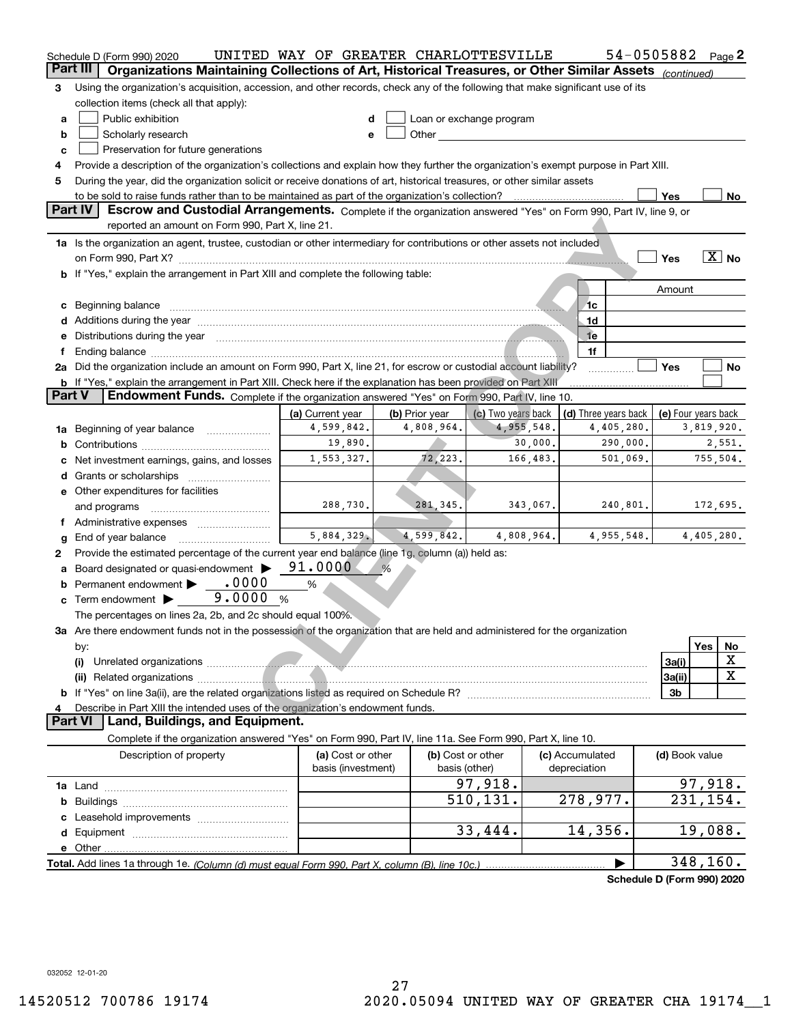|        | Schedule D (Form 990) 2020                                                                                                                                                                                                                 | UNITED WAY OF GREATER CHARLOTTESVILLE |   |                              |                                                                                                                                                                                                                                |          |                      |            | 54-0505882                 |            | Page $2$          |  |
|--------|--------------------------------------------------------------------------------------------------------------------------------------------------------------------------------------------------------------------------------------------|---------------------------------------|---|------------------------------|--------------------------------------------------------------------------------------------------------------------------------------------------------------------------------------------------------------------------------|----------|----------------------|------------|----------------------------|------------|-------------------|--|
|        | Part III<br>Organizations Maintaining Collections of Art, Historical Treasures, or Other Similar Assets (continued)                                                                                                                        |                                       |   |                              |                                                                                                                                                                                                                                |          |                      |            |                            |            |                   |  |
| З      | Using the organization's acquisition, accession, and other records, check any of the following that make significant use of its                                                                                                            |                                       |   |                              |                                                                                                                                                                                                                                |          |                      |            |                            |            |                   |  |
|        | collection items (check all that apply):                                                                                                                                                                                                   |                                       |   |                              |                                                                                                                                                                                                                                |          |                      |            |                            |            |                   |  |
| a      | Public exhibition                                                                                                                                                                                                                          | d                                     |   |                              | Loan or exchange program                                                                                                                                                                                                       |          |                      |            |                            |            |                   |  |
| b      | Scholarly research                                                                                                                                                                                                                         | е                                     |   |                              | Other the contract of the contract of the contract of the contract of the contract of the contract of the contract of the contract of the contract of the contract of the contract of the contract of the contract of the cont |          |                      |            |                            |            |                   |  |
| c      | Preservation for future generations                                                                                                                                                                                                        |                                       |   |                              |                                                                                                                                                                                                                                |          |                      |            |                            |            |                   |  |
| 4      | Provide a description of the organization's collections and explain how they further the organization's exempt purpose in Part XIII.                                                                                                       |                                       |   |                              |                                                                                                                                                                                                                                |          |                      |            |                            |            |                   |  |
| 5      | During the year, did the organization solicit or receive donations of art, historical treasures, or other similar assets                                                                                                                   |                                       |   |                              |                                                                                                                                                                                                                                |          |                      |            |                            |            |                   |  |
|        | to be sold to raise funds rather than to be maintained as part of the organization's collection?                                                                                                                                           |                                       |   |                              |                                                                                                                                                                                                                                |          |                      |            | Yes                        |            | No                |  |
|        | Part IV<br>Escrow and Custodial Arrangements. Complete if the organization answered "Yes" on Form 990, Part IV, line 9, or                                                                                                                 |                                       |   |                              |                                                                                                                                                                                                                                |          |                      |            |                            |            |                   |  |
|        | reported an amount on Form 990, Part X, line 21.                                                                                                                                                                                           |                                       |   |                              |                                                                                                                                                                                                                                |          |                      |            |                            |            |                   |  |
|        | 1a Is the organization an agent, trustee, custodian or other intermediary for contributions or other assets not included                                                                                                                   |                                       |   |                              |                                                                                                                                                                                                                                |          |                      |            |                            |            |                   |  |
|        |                                                                                                                                                                                                                                            |                                       |   |                              |                                                                                                                                                                                                                                |          |                      |            | Yes                        |            | $\overline{X}$ No |  |
|        | If "Yes," explain the arrangement in Part XIII and complete the following table:                                                                                                                                                           |                                       |   |                              |                                                                                                                                                                                                                                |          |                      |            |                            |            |                   |  |
|        |                                                                                                                                                                                                                                            |                                       |   |                              |                                                                                                                                                                                                                                |          |                      |            | Amount                     |            |                   |  |
|        |                                                                                                                                                                                                                                            |                                       |   |                              |                                                                                                                                                                                                                                |          | 1c                   |            |                            |            |                   |  |
| с<br>d | Beginning balance                                                                                                                                                                                                                          |                                       |   |                              |                                                                                                                                                                                                                                |          | 1d                   |            |                            |            |                   |  |
|        | Additions during the year manufactured and an anti-                                                                                                                                                                                        |                                       |   |                              |                                                                                                                                                                                                                                |          | <sub>1</sub> e       |            |                            |            |                   |  |
| е      | Distributions during the year measurement contains and a state of the state of the state of the state of the state of the state of the state of the state of the state of the state of the state of the state of the state of              |                                       |   |                              |                                                                                                                                                                                                                                |          | 1f                   |            |                            |            |                   |  |
|        | 2a Did the organization include an amount on Form 990, Part X, line 21, for escrow or custodial account liability?                                                                                                                         |                                       |   |                              |                                                                                                                                                                                                                                |          |                      |            | Yes                        |            | No                |  |
|        |                                                                                                                                                                                                                                            |                                       |   |                              |                                                                                                                                                                                                                                |          |                      |            |                            |            |                   |  |
|        | <b>b</b> If "Yes," explain the arrangement in Part XIII. Check here if the explanation has been provided on Part XIII<br>Part V<br>Endowment Funds. Complete if the organization answered "Yes" on Form 990, Part IV, line 10.             |                                       |   |                              |                                                                                                                                                                                                                                |          |                      |            |                            |            |                   |  |
|        |                                                                                                                                                                                                                                            |                                       |   |                              | (c) Two years back                                                                                                                                                                                                             |          |                      |            |                            |            |                   |  |
|        |                                                                                                                                                                                                                                            | (a) Current year<br>4,599,842.        |   | (b) Prior year<br>4,808,964. | 4,955,548.                                                                                                                                                                                                                     |          | (d) Three years back | 4,405,280. | (e) Four years back        | 3,819,920. |                   |  |
| 1a     | Beginning of year balance                                                                                                                                                                                                                  |                                       |   |                              |                                                                                                                                                                                                                                |          |                      |            |                            |            |                   |  |
|        | 19,890.<br>30,000.<br>290,000.<br>2,551.<br>b                                                                                                                                                                                              |                                       |   |                              |                                                                                                                                                                                                                                |          |                      |            |                            |            |                   |  |
|        | 72,223.<br>166,483.<br>501,069.<br>755,504.<br>1,553,327.<br>Net investment earnings, gains, and losses                                                                                                                                    |                                       |   |                              |                                                                                                                                                                                                                                |          |                      |            |                            |            |                   |  |
| d      |                                                                                                                                                                                                                                            |                                       |   |                              |                                                                                                                                                                                                                                |          |                      |            |                            |            |                   |  |
|        | e Other expenditures for facilities                                                                                                                                                                                                        |                                       |   |                              |                                                                                                                                                                                                                                |          |                      |            |                            |            |                   |  |
|        | and programs                                                                                                                                                                                                                               | 288,730.                              |   | 281, 345.                    |                                                                                                                                                                                                                                | 343,067. |                      | 240,801.   |                            | 172,695.   |                   |  |
|        |                                                                                                                                                                                                                                            |                                       |   |                              |                                                                                                                                                                                                                                |          |                      |            |                            |            |                   |  |
| g      | End of year balance                                                                                                                                                                                                                        | 5,884,329.                            |   | 4,599,842.                   | 4,808,964.                                                                                                                                                                                                                     |          |                      | 4,955,548. |                            | 4,405,280. |                   |  |
| 2      | Provide the estimated percentage of the current year end balance (line 1g, column (a)) held as:                                                                                                                                            |                                       |   |                              |                                                                                                                                                                                                                                |          |                      |            |                            |            |                   |  |
| а      | Board designated or quasi-endowment                                                                                                                                                                                                        | 91.0000                               | % |                              |                                                                                                                                                                                                                                |          |                      |            |                            |            |                   |  |
|        | Permanent endowment • 0000                                                                                                                                                                                                                 | $\%$                                  |   |                              |                                                                                                                                                                                                                                |          |                      |            |                            |            |                   |  |
| c      | 9.0000<br>Term endowment                                                                                                                                                                                                                   | %                                     |   |                              |                                                                                                                                                                                                                                |          |                      |            |                            |            |                   |  |
|        | The percentages on lines 2a, 2b, and 2c should equal 100%.                                                                                                                                                                                 |                                       |   |                              |                                                                                                                                                                                                                                |          |                      |            |                            |            |                   |  |
|        | 3a Are there endowment funds not in the possession of the organization that are held and administered for the organization                                                                                                                 |                                       |   |                              |                                                                                                                                                                                                                                |          |                      |            |                            |            |                   |  |
|        | by:                                                                                                                                                                                                                                        |                                       |   |                              |                                                                                                                                                                                                                                |          |                      |            |                            | Yes        | No                |  |
|        | (i)<br>Unrelated organizations <i>communications</i> and contract the contract of the contract of the contract of the contract of the contract of the contract of the contract of the contract of the contract of the contract of the cont |                                       |   |                              |                                                                                                                                                                                                                                |          |                      |            | 3a(i)                      |            | х                 |  |
|        |                                                                                                                                                                                                                                            |                                       |   |                              |                                                                                                                                                                                                                                |          |                      |            | 3a(ii)                     |            | X                 |  |
|        |                                                                                                                                                                                                                                            |                                       |   |                              |                                                                                                                                                                                                                                |          |                      |            | 3b                         |            |                   |  |
|        | Describe in Part XIII the intended uses of the organization's endowment funds.                                                                                                                                                             |                                       |   |                              |                                                                                                                                                                                                                                |          |                      |            |                            |            |                   |  |
|        | Land, Buildings, and Equipment.<br><b>Part VI</b>                                                                                                                                                                                          |                                       |   |                              |                                                                                                                                                                                                                                |          |                      |            |                            |            |                   |  |
|        | Complete if the organization answered "Yes" on Form 990, Part IV, line 11a. See Form 990, Part X, line 10.                                                                                                                                 |                                       |   |                              |                                                                                                                                                                                                                                |          |                      |            |                            |            |                   |  |
|        | Description of property                                                                                                                                                                                                                    | (a) Cost or other                     |   |                              | (b) Cost or other                                                                                                                                                                                                              |          | (c) Accumulated      |            | (d) Book value             |            |                   |  |
|        |                                                                                                                                                                                                                                            | basis (investment)                    |   |                              | basis (other)                                                                                                                                                                                                                  |          | depreciation         |            |                            |            |                   |  |
|        |                                                                                                                                                                                                                                            |                                       |   |                              | $\overline{97,918}$ .                                                                                                                                                                                                          |          |                      |            |                            | 97,918.    |                   |  |
| b      |                                                                                                                                                                                                                                            |                                       |   |                              | 510,131.                                                                                                                                                                                                                       |          | 278,977.             |            |                            | 231, 154.  |                   |  |
|        |                                                                                                                                                                                                                                            |                                       |   |                              |                                                                                                                                                                                                                                |          |                      |            |                            |            |                   |  |
| d      |                                                                                                                                                                                                                                            |                                       |   |                              | 33,444.                                                                                                                                                                                                                        |          | 14,356.              |            |                            | 19,088.    |                   |  |
|        | e Other                                                                                                                                                                                                                                    |                                       |   |                              |                                                                                                                                                                                                                                |          |                      |            |                            |            |                   |  |
|        | Total. Add lines 1a through 1e. (Column (d) must equal Form 990. Part X, column (B), line 10c.)                                                                                                                                            |                                       |   |                              |                                                                                                                                                                                                                                |          |                      |            |                            | 348,160.   |                   |  |
|        |                                                                                                                                                                                                                                            |                                       |   |                              |                                                                                                                                                                                                                                |          |                      |            | Schedule D (Form 990) 2020 |            |                   |  |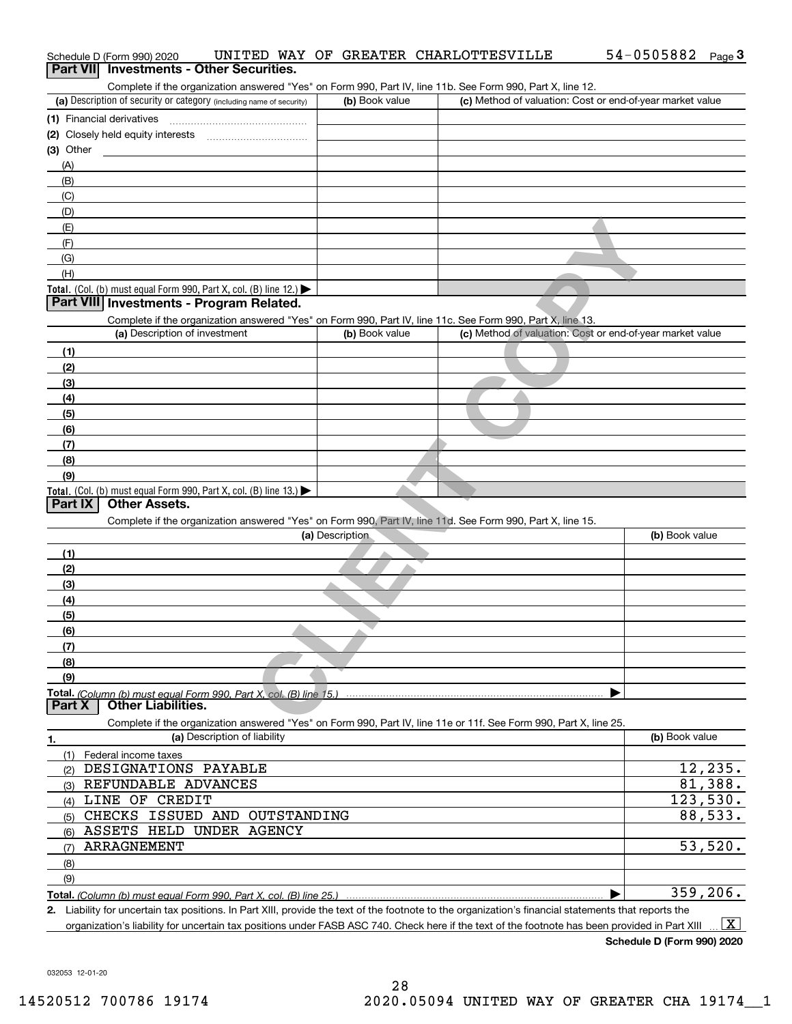|                  | Schedule D (Form 990) 2020                                                                                                         |                              |                 | UNITED WAY OF GREATER CHARLOTTESVILLE                                                                                                                | 54-0505882<br>Page $3$ |
|------------------|------------------------------------------------------------------------------------------------------------------------------------|------------------------------|-----------------|------------------------------------------------------------------------------------------------------------------------------------------------------|------------------------|
| <b>Part VIII</b> | <b>Investments - Other Securities.</b>                                                                                             |                              |                 |                                                                                                                                                      |                        |
|                  |                                                                                                                                    |                              |                 | Complete if the organization answered "Yes" on Form 990, Part IV, line 11b. See Form 990, Part X, line 12.                                           |                        |
|                  | (a) Description of security or category (including name of security)                                                               |                              | (b) Book value  | (c) Method of valuation: Cost or end-of-year market value                                                                                            |                        |
|                  | (1) Financial derivatives                                                                                                          |                              |                 |                                                                                                                                                      |                        |
|                  |                                                                                                                                    |                              |                 |                                                                                                                                                      |                        |
| $(3)$ Other      |                                                                                                                                    |                              |                 |                                                                                                                                                      |                        |
| (A)              |                                                                                                                                    |                              |                 |                                                                                                                                                      |                        |
| (B)              |                                                                                                                                    |                              |                 |                                                                                                                                                      |                        |
| (C)              |                                                                                                                                    |                              |                 |                                                                                                                                                      |                        |
| (D)              |                                                                                                                                    |                              |                 |                                                                                                                                                      |                        |
|                  |                                                                                                                                    |                              |                 |                                                                                                                                                      |                        |
| (E)              |                                                                                                                                    |                              |                 |                                                                                                                                                      |                        |
| (F)              |                                                                                                                                    |                              |                 |                                                                                                                                                      |                        |
| (G)              |                                                                                                                                    |                              |                 |                                                                                                                                                      |                        |
| (H)              |                                                                                                                                    |                              |                 |                                                                                                                                                      |                        |
|                  | Total. (Col. (b) must equal Form 990, Part X, col. (B) line 12.) $\blacktriangleright$<br>Part VIII Investments - Program Related. |                              |                 |                                                                                                                                                      |                        |
|                  |                                                                                                                                    |                              |                 |                                                                                                                                                      |                        |
|                  |                                                                                                                                    |                              |                 | Complete if the organization answered "Yes" on Form 990, Part IV, line 11c. See Form 990, Part X, line 13.                                           |                        |
|                  | (a) Description of investment                                                                                                      |                              | (b) Book value  | (c) Method of valuation: Cost or end-of-year market value                                                                                            |                        |
| (1)              |                                                                                                                                    |                              |                 |                                                                                                                                                      |                        |
| (2)              |                                                                                                                                    |                              |                 |                                                                                                                                                      |                        |
| (3)              |                                                                                                                                    |                              |                 |                                                                                                                                                      |                        |
| (4)              |                                                                                                                                    |                              |                 |                                                                                                                                                      |                        |
| (5)              |                                                                                                                                    |                              |                 |                                                                                                                                                      |                        |
| (6)              |                                                                                                                                    |                              |                 |                                                                                                                                                      |                        |
| (7)              |                                                                                                                                    |                              |                 |                                                                                                                                                      |                        |
| (8)              |                                                                                                                                    |                              |                 |                                                                                                                                                      |                        |
| (9)              |                                                                                                                                    |                              |                 |                                                                                                                                                      |                        |
|                  | <b>Total.</b> (Col. (b) must equal Form 990, Part X, col. (B) line 13.)                                                            |                              |                 |                                                                                                                                                      |                        |
| Part IX          | <b>Other Assets.</b>                                                                                                               |                              |                 |                                                                                                                                                      |                        |
|                  |                                                                                                                                    |                              |                 | Complete if the organization answered "Yes" on Form 990, Part IV, line 11d. See Form 990, Part X, line 15.                                           |                        |
|                  |                                                                                                                                    |                              | (a) Description |                                                                                                                                                      | (b) Book value         |
| (1)              |                                                                                                                                    |                              |                 |                                                                                                                                                      |                        |
| (2)              |                                                                                                                                    |                              |                 |                                                                                                                                                      |                        |
| (3)              |                                                                                                                                    |                              |                 |                                                                                                                                                      |                        |
| (4)              |                                                                                                                                    |                              |                 |                                                                                                                                                      |                        |
| (5)              |                                                                                                                                    |                              |                 |                                                                                                                                                      |                        |
| (6)              |                                                                                                                                    |                              |                 |                                                                                                                                                      |                        |
| (7)              |                                                                                                                                    |                              |                 |                                                                                                                                                      |                        |
|                  |                                                                                                                                    |                              |                 |                                                                                                                                                      |                        |
| (8)              |                                                                                                                                    |                              |                 |                                                                                                                                                      |                        |
| (9)              |                                                                                                                                    |                              |                 |                                                                                                                                                      |                        |
| Part X           | Total. (Column (b) must equal Form 990. Part X, col. (B) line 15.)<br><b>Other Liabilities.</b>                                    |                              |                 |                                                                                                                                                      |                        |
|                  |                                                                                                                                    |                              |                 |                                                                                                                                                      |                        |
|                  |                                                                                                                                    | (a) Description of liability |                 | Complete if the organization answered "Yes" on Form 990, Part IV, line 11e or 11f. See Form 990, Part X, line 25.                                    | (b) Book value         |
| 1.               |                                                                                                                                    |                              |                 |                                                                                                                                                      |                        |
|                  | (1) Federal income taxes                                                                                                           |                              |                 |                                                                                                                                                      |                        |
| (2)              | DESIGNATIONS PAYABLE                                                                                                               |                              |                 |                                                                                                                                                      | 12,235.                |
| (3)              | REFUNDABLE ADVANCES                                                                                                                |                              |                 |                                                                                                                                                      | $81,388$ .             |
| (4)              | LINE OF CREDIT                                                                                                                     |                              |                 |                                                                                                                                                      | 123,530.               |
| (5)              | CHECKS ISSUED AND OUTSTANDING                                                                                                      |                              |                 |                                                                                                                                                      | 88,533.                |
| (6)              | ASSETS HELD UNDER AGENCY                                                                                                           |                              |                 |                                                                                                                                                      |                        |
| (7)              | ARRAGNEMENT                                                                                                                        |                              |                 |                                                                                                                                                      | 53,520.                |
| (8)              |                                                                                                                                    |                              |                 |                                                                                                                                                      |                        |
| (9)              |                                                                                                                                    |                              |                 |                                                                                                                                                      |                        |
|                  |                                                                                                                                    |                              |                 |                                                                                                                                                      | 359, 206.              |
|                  |                                                                                                                                    |                              |                 | 2. Liability for uncertain tax positions. In Part XIII, provide the text of the footnote to the organization's financial statements that reports the |                        |

organization's liability for uncertain tax positions under FASB ASC 740. Check here if the text of the footnote has been provided in Part XIII  $\,$  ...  $\overline{\rm X}$ 

**Schedule D (Form 990) 2020**

032053 12-01-20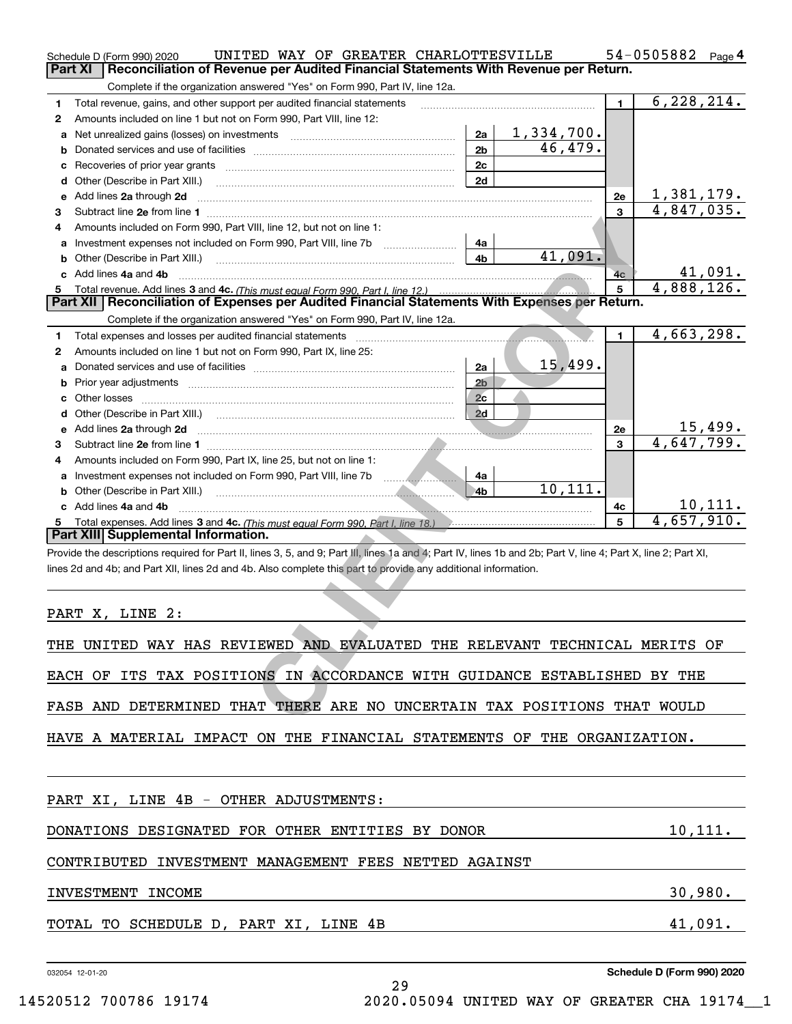|              | UNITED WAY OF GREATER CHARLOTTESVILLE<br>Schedule D (Form 990) 2020                                                                                            |                |            |                | 54-0505882 Page 4 |
|--------------|----------------------------------------------------------------------------------------------------------------------------------------------------------------|----------------|------------|----------------|-------------------|
| Part XI      | Reconciliation of Revenue per Audited Financial Statements With Revenue per Return.                                                                            |                |            |                |                   |
|              | Complete if the organization answered "Yes" on Form 990, Part IV, line 12a.                                                                                    |                |            |                |                   |
| 1            | Total revenue, gains, and other support per audited financial statements                                                                                       |                |            | $\blacksquare$ | 6, 228, 214.      |
| $\mathbf{2}$ | Amounts included on line 1 but not on Form 990, Part VIII, line 12:                                                                                            |                |            |                |                   |
| a            | Net unrealized gains (losses) on investments [111] [12] matter contracts and a local metal of the university o                                                 | 2a             | 1,334,700. |                |                   |
| b            |                                                                                                                                                                | 2 <sub>b</sub> | 46,479.    |                |                   |
| c            |                                                                                                                                                                | 2c             |            |                |                   |
| d            | Other (Describe in Part XIII.)                                                                                                                                 | 2d             |            |                |                   |
| е            | Add lines 2a through 2d                                                                                                                                        |                |            | 2e             | 1,381,179.        |
| 3            | Subtract line 2e from line 1                                                                                                                                   |                |            | 3              | 4,847,035.        |
| 4            | Amounts included on Form 990, Part VIII, line 12, but not on line 1:                                                                                           |                |            |                |                   |
|              | Investment expenses not included on Form 990, Part VIII, line 7b                                                                                               | 4a             |            |                |                   |
| b            | Other (Describe in Part XIII.) <b>Construction Contract Construction</b> Chemistry Chemistry Chemistry Chemistry Chemistry                                     | 4b             | 41,091.    |                |                   |
| c            | Add lines 4a and 4b                                                                                                                                            |                |            | 4c             | 41,091.           |
| 5.           | Total revenue. Add lines 3 and 4c. (This must equal Form 990, Part I, line 12.)                                                                                |                |            | 5              | 4,888,126.        |
|              | Part XII   Reconciliation of Expenses per Audited Financial Statements With Expenses per Return.                                                               |                |            |                |                   |
|              | Complete if the organization answered "Yes" on Form 990, Part IV, line 12a.                                                                                    |                |            |                |                   |
| 1            |                                                                                                                                                                |                |            | $\blacksquare$ | 4,663,298.        |
| $\mathbf{2}$ | Amounts included on line 1 but not on Form 990, Part IX, line 25:                                                                                              |                |            |                |                   |
| a            |                                                                                                                                                                | 2a             | 15,499.    |                |                   |
| b            |                                                                                                                                                                | 2 <sub>b</sub> |            |                |                   |
| c            | Other losses                                                                                                                                                   | 2c             |            |                |                   |
| d            |                                                                                                                                                                | 2d             |            |                |                   |
| е            | Add lines 2a through 2d                                                                                                                                        |                |            | <b>2e</b>      | 15,499.           |
| 3.           |                                                                                                                                                                |                |            | 3              | 4,647,799.        |
| 4            | Amounts included on Form 990, Part IX, line 25, but not on line 1:                                                                                             |                |            |                |                   |
| a            |                                                                                                                                                                | 4a             |            |                |                   |
| b            |                                                                                                                                                                | 4b             | 10,111.    |                |                   |
|              | c Add lines 4a and 4b                                                                                                                                          |                |            | 4c             | 10, 111.          |
|              |                                                                                                                                                                |                |            | 5              | 4,657,910.        |
|              | Part XIII Supplemental Information.                                                                                                                            |                |            |                |                   |
|              | Provide the descriptions required for Part II, lines 3, 5, and 9; Part III, lines 1a and 4; Part IV, lines 1b and 2b; Part V, line 4; Part X, line 2; Part XI, |                |            |                |                   |
|              | lines 2d and 4b; and Part XII, lines 2d and 4b. Also complete this part to provide any additional information.                                                 |                |            |                |                   |
|              |                                                                                                                                                                |                |            |                |                   |
|              |                                                                                                                                                                |                |            |                |                   |
|              | PART X, LINE 2:                                                                                                                                                |                |            |                |                   |
|              | THE UNITED WAY HAS REVIEWED AND EVALUATED THE RELEVANT TECHNICAL MERITS OF                                                                                     |                |            |                |                   |
|              | EACH OF ITS TAX POSITIONS IN ACCORDANCE WITH GUIDANCE ESTABLISHED BY THE                                                                                       |                |            |                |                   |
|              |                                                                                                                                                                |                |            |                |                   |
|              | FASB AND DETERMINED THAT THERE ARE NO UNCERTAIN TAX POSITIONS THAT WOULD                                                                                       |                |            |                |                   |

| THE UNITED WAY HAS REVIEWED AND EVALUATED THE RELEVANT TECHNICAL MERITS OF |         |
|----------------------------------------------------------------------------|---------|
| ITS TAX POSITIONS IN ACCORDANCE WITH GUIDANCE ESTABLISHED<br>EACH OF       | BY THE  |
| FASB AND DETERMINED THAT THERE ARE NO UNCERTAIN TAX POSITIONS THAT WOULD   |         |
| HAVE A MATERIAL IMPACT ON THE FINANCIAL STATEMENTS OF THE ORGANIZATION.    |         |
| PART XI, LINE 4B - OTHER ADJUSTMENTS:                                      |         |
| DONATIONS DESIGNATED FOR OTHER ENTITIES BY DONOR                           | 10,111. |
| CONTRIBUTED INVESTMENT MANAGEMENT FEES NETTED AGAINST                      |         |
| INVESTMENT INCOME                                                          | 30,980. |
| TOTAL TO SCHEDULE D, PART XI, LINE 4B                                      | 41,091. |
|                                                                            |         |

29

032054 12-01-20

**Schedule D (Form 990) 2020**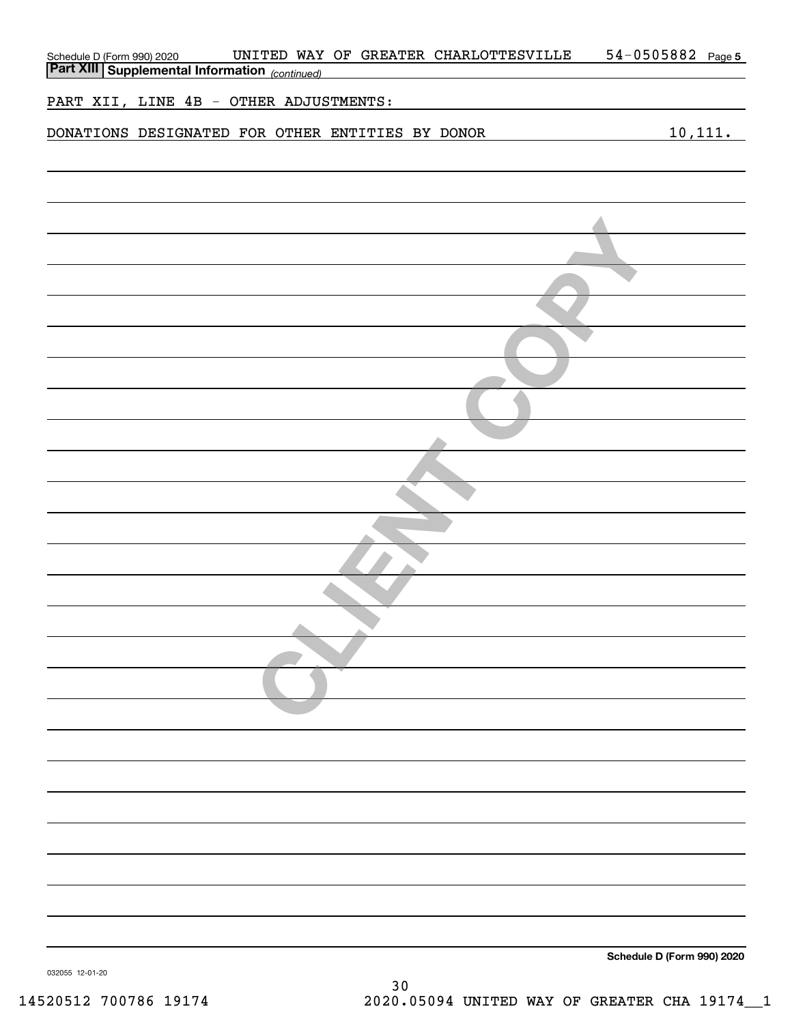| UNITED WAY OF GREATER CHARLOTTESVILLE<br>Schedule D (Form 990) 2020 UNITED WAY<br>Part XIII Supplemental Information (continued) | 54-0505882 Page 5          |
|----------------------------------------------------------------------------------------------------------------------------------|----------------------------|
| PART XII, LINE 4B - OTHER ADJUSTMENTS:                                                                                           |                            |
| DONATIONS DESIGNATED FOR OTHER ENTITIES BY DONOR                                                                                 | 10,111.                    |
|                                                                                                                                  |                            |
|                                                                                                                                  |                            |
|                                                                                                                                  |                            |
|                                                                                                                                  |                            |
|                                                                                                                                  |                            |
|                                                                                                                                  |                            |
|                                                                                                                                  |                            |
|                                                                                                                                  |                            |
|                                                                                                                                  |                            |
|                                                                                                                                  |                            |
|                                                                                                                                  |                            |
|                                                                                                                                  |                            |
|                                                                                                                                  |                            |
|                                                                                                                                  |                            |
|                                                                                                                                  |                            |
|                                                                                                                                  |                            |
|                                                                                                                                  |                            |
|                                                                                                                                  |                            |
|                                                                                                                                  |                            |
|                                                                                                                                  |                            |
|                                                                                                                                  |                            |
| 032055 12-01-20                                                                                                                  | Schedule D (Form 990) 2020 |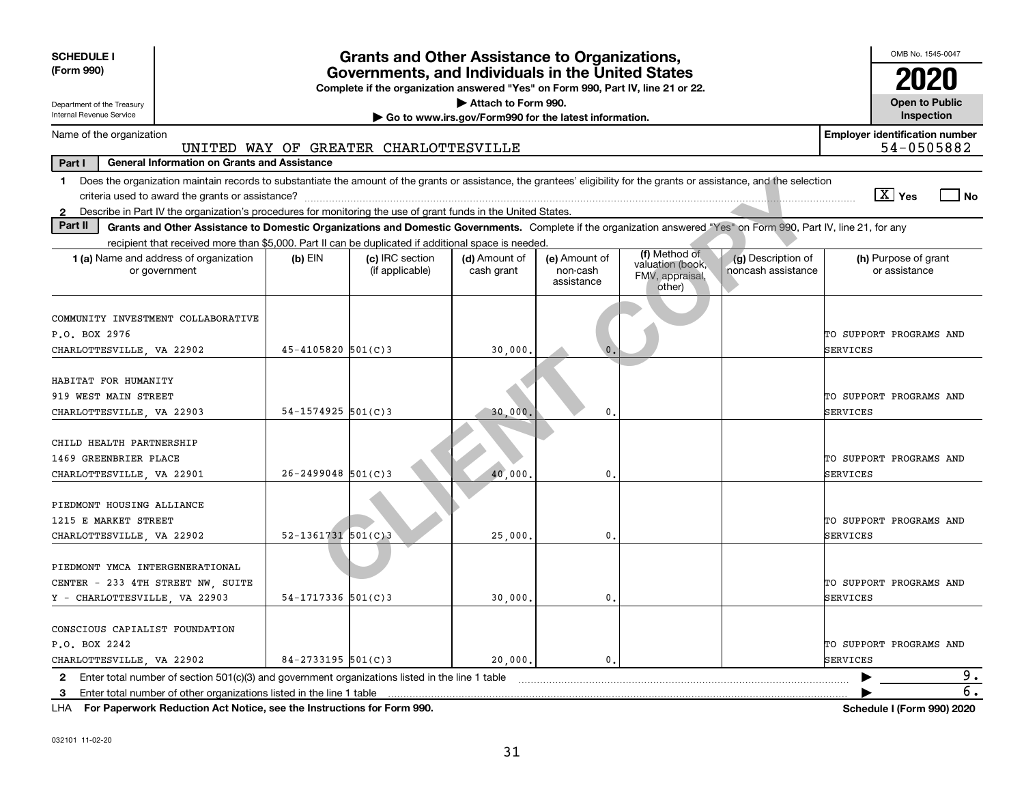| <b>SCHEDULE I</b><br>(Form 990)                                                                                                                                                                | <b>Grants and Other Assistance to Organizations,</b><br>Governments, and Individuals in the United States<br>Complete if the organization answered "Yes" on Form 990, Part IV, line 21 or 22.<br>Attach to Form 990. |                                       |                             |                                         |                                                                |                                          |                                                     |  |  |  |  |  |
|------------------------------------------------------------------------------------------------------------------------------------------------------------------------------------------------|----------------------------------------------------------------------------------------------------------------------------------------------------------------------------------------------------------------------|---------------------------------------|-----------------------------|-----------------------------------------|----------------------------------------------------------------|------------------------------------------|-----------------------------------------------------|--|--|--|--|--|
| <b>Open to Public</b><br>Department of the Treasury<br>Internal Revenue Service<br>Inspection<br>Go to www.irs.gov/Form990 for the latest information.                                         |                                                                                                                                                                                                                      |                                       |                             |                                         |                                                                |                                          |                                                     |  |  |  |  |  |
| Name of the organization                                                                                                                                                                       |                                                                                                                                                                                                                      | UNITED WAY OF GREATER CHARLOTTESVILLE |                             |                                         |                                                                |                                          | <b>Employer identification number</b><br>54-0505882 |  |  |  |  |  |
| <b>General Information on Grants and Assistance</b><br>Part I                                                                                                                                  |                                                                                                                                                                                                                      |                                       |                             |                                         |                                                                |                                          |                                                     |  |  |  |  |  |
| Does the organization maintain records to substantiate the amount of the grants or assistance, the grantees' eligibility for the grants or assistance, and the selection<br>1.                 |                                                                                                                                                                                                                      |                                       |                             |                                         |                                                                |                                          | $\boxed{\text{X}}$ Yes<br>$ $ No                    |  |  |  |  |  |
| Describe in Part IV the organization's procedures for monitoring the use of grant funds in the United States.<br>$\mathbf{2}$                                                                  |                                                                                                                                                                                                                      |                                       |                             |                                         |                                                                |                                          |                                                     |  |  |  |  |  |
| Part II<br>Grants and Other Assistance to Domestic Organizations and Domestic Governments. Complete if the organization answered "Yes" on Form 990, Part IV, line 21, for any                  |                                                                                                                                                                                                                      |                                       |                             |                                         |                                                                |                                          |                                                     |  |  |  |  |  |
| recipient that received more than \$5,000. Part II can be duplicated if additional space is needed.<br>1 (a) Name and address of organization<br>or government                                 | $(b)$ EIN                                                                                                                                                                                                            | (c) IRC section<br>(if applicable)    | (d) Amount of<br>cash grant | (e) Amount of<br>non-cash<br>assistance | (f) Method of<br>valuation (book,<br>FMV, appraisal,<br>other) | (g) Description of<br>noncash assistance | (h) Purpose of grant<br>or assistance               |  |  |  |  |  |
| COMMUNITY INVESTMENT COLLABORATIVE<br>P.O. BOX 2976                                                                                                                                            |                                                                                                                                                                                                                      |                                       |                             |                                         |                                                                |                                          | TO SUPPORT PROGRAMS AND                             |  |  |  |  |  |
| CHARLOTTESVILLE, VA 22902                                                                                                                                                                      | $45 - 4105820$ 501(C)3<br>SERVICES<br>30,000                                                                                                                                                                         |                                       |                             |                                         |                                                                |                                          |                                                     |  |  |  |  |  |
| HABITAT FOR HUMANITY<br>919 WEST MAIN STREET<br>CHARLOTTESVILLE, VA 22903                                                                                                                      | $54 - 1574925$ 501(C)3                                                                                                                                                                                               |                                       | 30,000,                     | 0.                                      |                                                                |                                          | TO SUPPORT PROGRAMS AND<br>SERVICES                 |  |  |  |  |  |
| CHILD HEALTH PARTNERSHIP<br>1469 GREENBRIER PLACE<br>CHARLOTTESVILLE, VA 22901                                                                                                                 | $26 - 2499048$ 501(C)3                                                                                                                                                                                               |                                       | 40,000                      | $\mathbf{0}$ .                          |                                                                |                                          | TO SUPPORT PROGRAMS AND<br>SERVICES                 |  |  |  |  |  |
| PIEDMONT HOUSING ALLIANCE<br>1215 E MARKET STREET<br>CHARLOTTESVILLE, VA 22902                                                                                                                 | $52 - 1361731$ $501(C)3$                                                                                                                                                                                             |                                       | 25,000                      | 0.                                      |                                                                |                                          | TO SUPPORT PROGRAMS AND<br>SERVICES                 |  |  |  |  |  |
| PIEDMONT YMCA INTERGENERATIONAL<br>CENTER - 233 4TH STREET NW, SUITE<br>Y - CHARLOTTESVILLE, VA 22903                                                                                          | $54 - 1717336$ 501(C)3                                                                                                                                                                                               |                                       | 30,000                      | 0.                                      |                                                                |                                          | TO SUPPORT PROGRAMS AND<br>SERVICES                 |  |  |  |  |  |
| CONSCIOUS CAPIALIST FOUNDATION<br>P.O. BOX 2242<br>CHARLOTTESVILLE, VA 22902                                                                                                                   | $84 - 2733195$ 501(C)3                                                                                                                                                                                               |                                       | 20,000                      | $\mathbf{0}$ .                          |                                                                |                                          | TO SUPPORT PROGRAMS AND<br>SERVICES                 |  |  |  |  |  |
| Enter total number of section $501(c)(3)$ and government organizations listed in the line 1 table<br>$\mathbf{2}$<br>Enter total number of other organizations listed in the line 1 table<br>3 |                                                                                                                                                                                                                      |                                       |                             |                                         |                                                                |                                          | 9.<br>$\overline{6}$ .                              |  |  |  |  |  |

**For Paperwork Reduction Act Notice, see the Instructions for Form 990. Schedule I (Form 990) 2020** LHA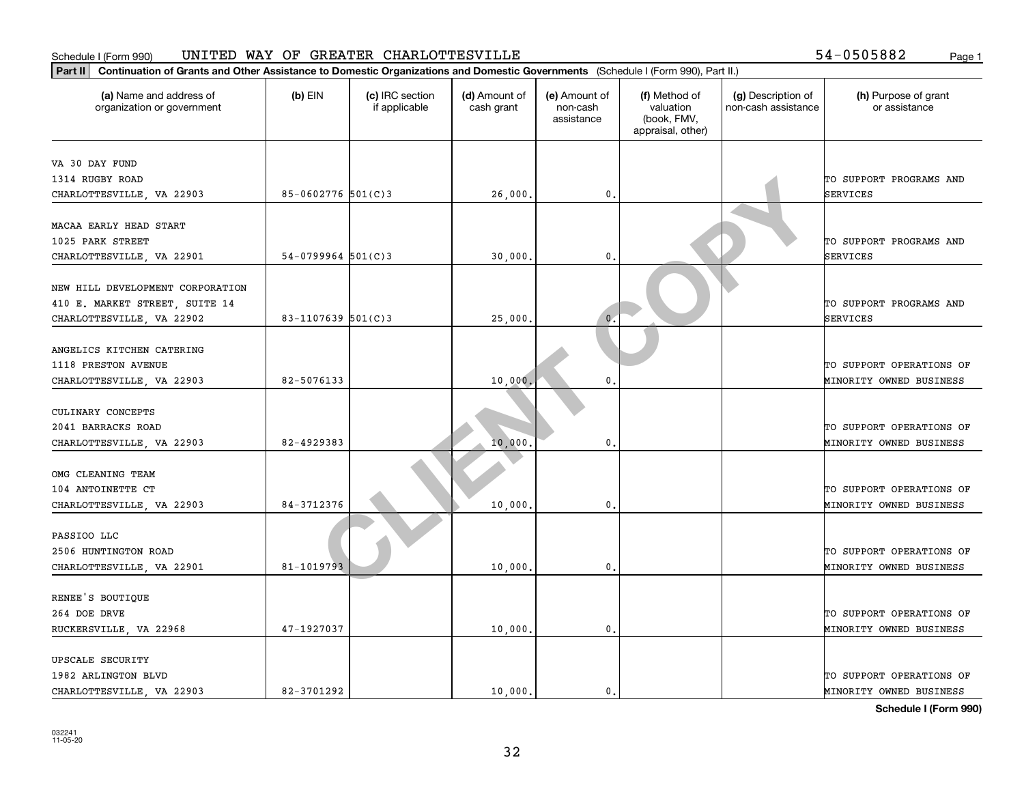### Schedule I (Form 990) Page 1 UNITED WAY OF GREATER CHARLOTTESVILLE

54-0505882

| Part II   Continuation of Grants and Other Assistance to Domestic Organizations and Domestic Governments (Schedule I (Form 990), Part II.) |                        |                                  |                             |                                         |                                                                |                                           |                                       |
|--------------------------------------------------------------------------------------------------------------------------------------------|------------------------|----------------------------------|-----------------------------|-----------------------------------------|----------------------------------------------------------------|-------------------------------------------|---------------------------------------|
| (a) Name and address of<br>organization or government                                                                                      | $(b)$ EIN              | (c) IRC section<br>if applicable | (d) Amount of<br>cash grant | (e) Amount of<br>non-cash<br>assistance | (f) Method of<br>valuation<br>(book, FMV,<br>appraisal, other) | (g) Description of<br>non-cash assistance | (h) Purpose of grant<br>or assistance |
| VA 30 DAY FUND                                                                                                                             |                        |                                  |                             |                                         |                                                                |                                           |                                       |
| 1314 RUGBY ROAD                                                                                                                            |                        |                                  |                             |                                         |                                                                |                                           | TO SUPPORT PROGRAMS AND               |
| CHARLOTTESVILLE, VA 22903                                                                                                                  | 85-0602776 $501(C)3$   |                                  | 26,000.                     | $\mathbf{0}$                            |                                                                |                                           | <b>SERVICES</b>                       |
|                                                                                                                                            |                        |                                  |                             |                                         |                                                                |                                           |                                       |
| MACAA EARLY HEAD START                                                                                                                     |                        |                                  |                             |                                         |                                                                |                                           |                                       |
| 1025 PARK STREET                                                                                                                           |                        |                                  |                             |                                         |                                                                |                                           | TO SUPPORT PROGRAMS AND               |
| CHARLOTTESVILLE, VA 22901                                                                                                                  | $54 - 0799964$ 501(C)3 |                                  | 30,000                      | $\mathbf{0}$                            |                                                                |                                           | <b>SERVICES</b>                       |
|                                                                                                                                            |                        |                                  |                             |                                         |                                                                |                                           |                                       |
| NEW HILL DEVELOPMENT CORPORATION                                                                                                           |                        |                                  |                             |                                         |                                                                |                                           |                                       |
| 410 E. MARKET STREET, SUITE 14                                                                                                             |                        |                                  |                             |                                         |                                                                |                                           | TO SUPPORT PROGRAMS AND               |
| CHARLOTTESVILLE, VA 22902                                                                                                                  | 83-1107639 $501(C)$ 3  |                                  | 25,000                      | $\overline{0}$ .                        |                                                                |                                           | <b>SERVICES</b>                       |
| ANGELICS KITCHEN CATERING                                                                                                                  |                        |                                  |                             |                                         |                                                                |                                           |                                       |
| 1118 PRESTON AVENUE                                                                                                                        |                        |                                  |                             |                                         |                                                                |                                           | TO SUPPORT OPERATIONS OF              |
| CHARLOTTESVILLE, VA 22903                                                                                                                  | 82-5076133             |                                  | 10,000                      | 0                                       |                                                                |                                           | MINORITY OWNED BUSINESS               |
|                                                                                                                                            |                        |                                  |                             |                                         |                                                                |                                           |                                       |
| CULINARY CONCEPTS                                                                                                                          |                        |                                  |                             |                                         |                                                                |                                           |                                       |
| 2041 BARRACKS ROAD                                                                                                                         |                        |                                  |                             |                                         |                                                                |                                           | TO SUPPORT OPERATIONS OF              |
| CHARLOTTESVILLE, VA 22903                                                                                                                  | 82-4929383             |                                  | 10,000                      | $\mathbf{0}$                            |                                                                |                                           | MINORITY OWNED BUSINESS               |
|                                                                                                                                            |                        |                                  |                             |                                         |                                                                |                                           |                                       |
| OMG CLEANING TEAM                                                                                                                          |                        |                                  |                             |                                         |                                                                |                                           |                                       |
| 104 ANTOINETTE CT                                                                                                                          |                        |                                  |                             |                                         |                                                                |                                           | TO SUPPORT OPERATIONS OF              |
| CHARLOTTESVILLE, VA 22903                                                                                                                  | 84-3712376             |                                  | 10,000                      | $\mathbf{0}$ .                          |                                                                |                                           | MINORITY OWNED BUSINESS               |
|                                                                                                                                            |                        |                                  |                             |                                         |                                                                |                                           |                                       |
| PASSIOO LLC                                                                                                                                |                        |                                  |                             |                                         |                                                                |                                           |                                       |
| 2506 HUNTINGTON ROAD                                                                                                                       |                        |                                  |                             |                                         |                                                                |                                           | TO SUPPORT OPERATIONS OF              |
| CHARLOTTESVILLE, VA 22901                                                                                                                  | 81-1019793             |                                  | 10,000                      | $\mathbf{0}$ .                          |                                                                |                                           | MINORITY OWNED BUSINESS               |
|                                                                                                                                            |                        |                                  |                             |                                         |                                                                |                                           |                                       |
| RENEE'S BOUTIQUE                                                                                                                           |                        |                                  |                             |                                         |                                                                |                                           |                                       |
| 264 DOE DRVE                                                                                                                               |                        |                                  |                             |                                         |                                                                |                                           | TO SUPPORT OPERATIONS OF              |
| RUCKERSVILLE, VA 22968                                                                                                                     | 47-1927037             |                                  | 10,000                      | $\mathbf{0}$                            |                                                                |                                           | MINORITY OWNED BUSINESS               |
| UPSCALE SECURITY                                                                                                                           |                        |                                  |                             |                                         |                                                                |                                           |                                       |
| 1982 ARLINGTON BLVD                                                                                                                        |                        |                                  |                             |                                         |                                                                |                                           | TO SUPPORT OPERATIONS OF              |
| CHARLOTTESVILLE, VA 22903                                                                                                                  | 82-3701292             |                                  | 10.000.                     | 0.                                      |                                                                |                                           | MINORITY OWNED BUSINESS               |

**Schedule I (Form 990)**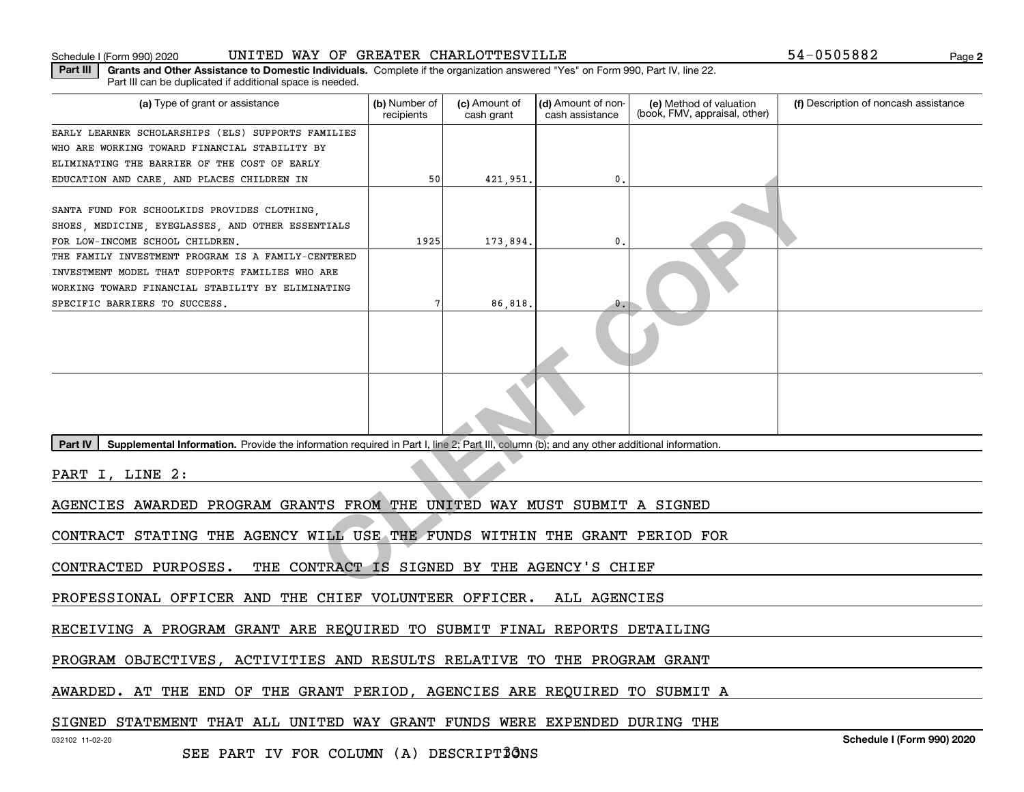### Schedule I (Form 990) 2020 UNITED WAY OF GREATER CHARLOTTESVILLE 54-0505882 Page

**Part III | Grants and Other Assistance to Domestic Individuals. Complete if the organization answered "Yes" on Form 990, Part IV, line 22.** Part III can be duplicated if additional space is needed.

| (a) Type of grant or assistance                                                                                                                      | (b) Number of<br>recipients | (c) Amount of<br>cash grant | (d) Amount of non-<br>cash assistance | (e) Method of valuation<br>(book, FMV, appraisal, other) | (f) Description of noncash assistance |
|------------------------------------------------------------------------------------------------------------------------------------------------------|-----------------------------|-----------------------------|---------------------------------------|----------------------------------------------------------|---------------------------------------|
| EARLY LEARNER SCHOLARSHIPS (ELS) SUPPORTS FAMILIES                                                                                                   |                             |                             |                                       |                                                          |                                       |
| WHO ARE WORKING TOWARD FINANCIAL STABILITY BY                                                                                                        |                             |                             |                                       |                                                          |                                       |
| ELIMINATING THE BARRIER OF THE COST OF EARLY                                                                                                         |                             |                             |                                       |                                                          |                                       |
| EDUCATION AND CARE, AND PLACES CHILDREN IN                                                                                                           | 50                          | 421,951.                    | 0.                                    |                                                          |                                       |
|                                                                                                                                                      |                             |                             |                                       |                                                          |                                       |
| SANTA FUND FOR SCHOOLKIDS PROVIDES CLOTHING,                                                                                                         |                             |                             |                                       |                                                          |                                       |
| SHOES, MEDICINE, EYEGLASSES, AND OTHER ESSENTIALS                                                                                                    |                             |                             |                                       |                                                          |                                       |
| FOR LOW-INCOME SCHOOL CHILDREN.                                                                                                                      | 1925                        | 173,894.                    | $\mathbf{0}$                          |                                                          |                                       |
| THE FAMILY INVESTMENT PROGRAM IS A FAMILY-CENTERED                                                                                                   |                             |                             |                                       |                                                          |                                       |
| INVESTMENT MODEL THAT SUPPORTS FAMILIES WHO ARE                                                                                                      |                             |                             |                                       |                                                          |                                       |
| WORKING TOWARD FINANCIAL STABILITY BY ELIMINATING                                                                                                    |                             |                             |                                       |                                                          |                                       |
| SPECIFIC BARRIERS TO SUCCESS.                                                                                                                        |                             | 86,818.                     | $\mathfrak{o}$ .                      |                                                          |                                       |
|                                                                                                                                                      |                             |                             |                                       |                                                          |                                       |
|                                                                                                                                                      |                             |                             |                                       |                                                          |                                       |
| Supplemental Information. Provide the information required in Part I, line 2; Part III, column (b); and any other additional information.<br>Part IV |                             |                             |                                       |                                                          |                                       |
| PART I, LINE 2:                                                                                                                                      |                             |                             |                                       |                                                          |                                       |
| AGENCIES AWARDED PROGRAM GRANTS FROM THE UNITED WAY MUST SUBMIT A SIGNED                                                                             |                             |                             |                                       |                                                          |                                       |
| CONTRACT STATING THE AGENCY WILL USE THE FUNDS WITHIN THE GRANT PERIOD FOR                                                                           |                             |                             |                                       |                                                          |                                       |
|                                                                                                                                                      |                             |                             |                                       |                                                          |                                       |
| THE CONTRACT IS SIGNED BY THE AGENCY'S CHIEF<br>CONTRACTED PURPOSES.                                                                                 |                             |                             |                                       |                                                          |                                       |
| PROFESSIONAL OFFICER AND THE CHIEF VOLUNTEER OFFICER. ALL AGENCIES                                                                                   |                             |                             |                                       |                                                          |                                       |
| RECEIVING A PROGRAM GRANT ARE REQUIRED TO SUBMIT FINAL REPORTS DETAILING                                                                             |                             |                             |                                       |                                                          |                                       |
|                                                                                                                                                      |                             |                             |                                       |                                                          |                                       |
| PROGRAM OBJECTIVES, ACTIVITIES AND RESULTS RELATIVE TO THE PROGRAM GRANT                                                                             |                             |                             |                                       |                                                          |                                       |

AWARDED. AT THE END OF THE GRANT PERIOD, AGENCIES ARE REQUIRED TO SUBMIT A

SIGNED STATEMENT THAT ALL UNITED WAY GRANT FUNDS WERE EXPENDED DURING THE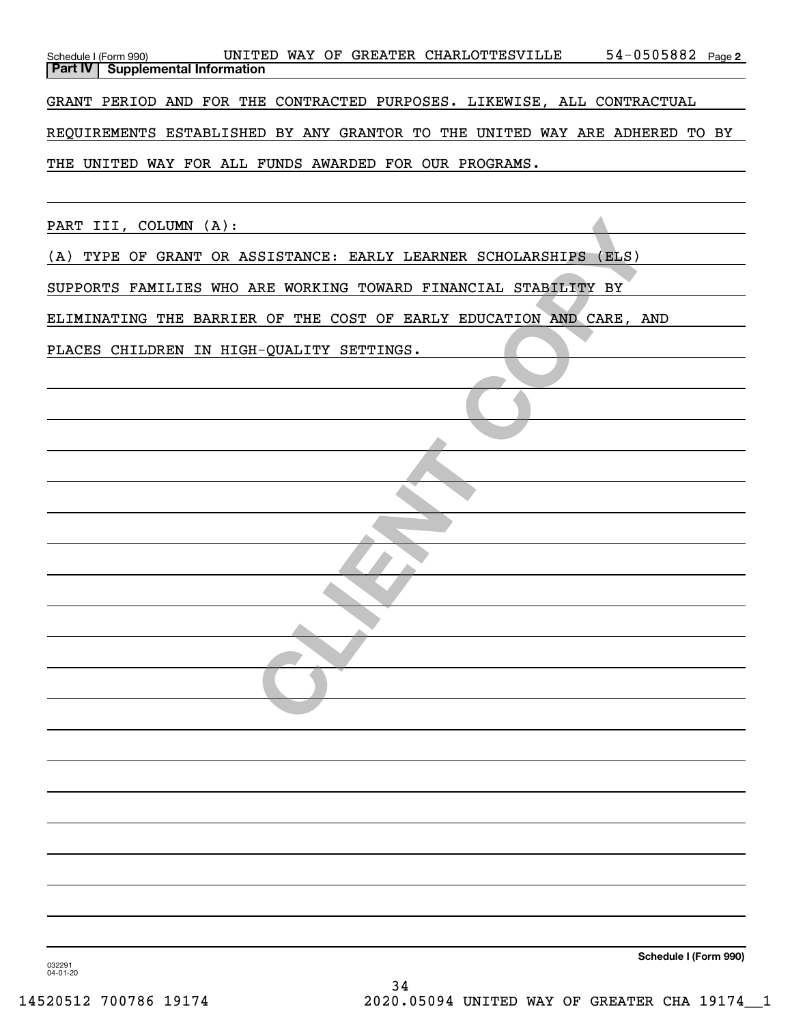| Schedule I (Form 990) UNITED WAY OF GREATER CHARLOTTESVILLE 54-0505882 Page 2<br>Part IV Supplemental Information |  |
|-------------------------------------------------------------------------------------------------------------------|--|
| GRANT PERIOD AND FOR THE CONTRACTED PURPOSES. LIKEWISE, ALL CONTRACTUAL                                           |  |
| REQUIREMENTS ESTABLISHED BY ANY GRANTOR TO THE UNITED WAY ARE ADHERED TO BY                                       |  |
| THE UNITED WAY FOR ALL FUNDS AWARDED FOR OUR PROGRAMS.                                                            |  |
|                                                                                                                   |  |
| PART III, COLUMN (A):                                                                                             |  |
| (A) TYPE OF GRANT OR ASSISTANCE: EARLY LEARNER SCHOLARSHIPS (ELS)                                                 |  |
| SUPPORTS FAMILIES WHO ARE WORKING TOWARD FINANCIAL STABILITY BY                                                   |  |
| ELIMINATING THE BARRIER OF THE COST OF EARLY EDUCATION AND CARE, AND                                              |  |
| PLACES CHILDREN IN HIGH-QUALITY SETTINGS.                                                                         |  |
|                                                                                                                   |  |
|                                                                                                                   |  |
|                                                                                                                   |  |
|                                                                                                                   |  |
|                                                                                                                   |  |
|                                                                                                                   |  |
|                                                                                                                   |  |
|                                                                                                                   |  |
|                                                                                                                   |  |
|                                                                                                                   |  |
|                                                                                                                   |  |
|                                                                                                                   |  |
|                                                                                                                   |  |
|                                                                                                                   |  |
|                                                                                                                   |  |
|                                                                                                                   |  |
|                                                                                                                   |  |
|                                                                                                                   |  |
|                                                                                                                   |  |
| Schedule I (Form 990)<br>032291                                                                                   |  |
|                                                                                                                   |  |

032291 04-01-20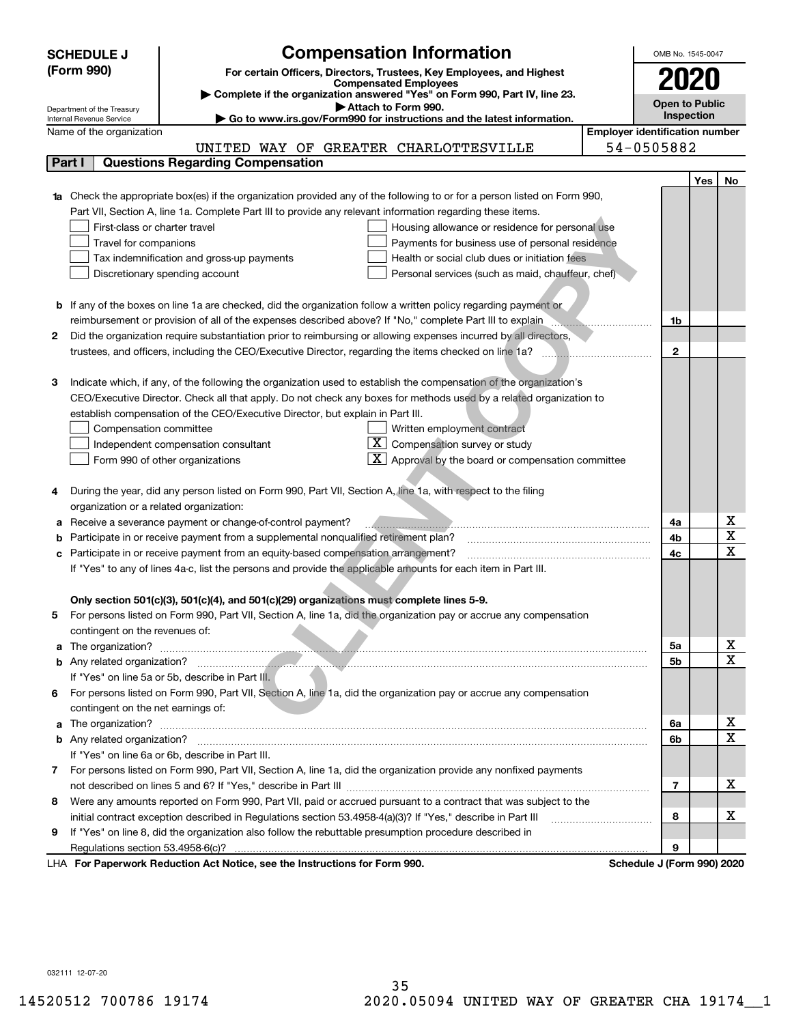|    | <b>Compensation Information</b><br><b>SCHEDULE J</b>                                                                             |                                       | OMB No. 1545-0047     |            |                         |  |  |
|----|----------------------------------------------------------------------------------------------------------------------------------|---------------------------------------|-----------------------|------------|-------------------------|--|--|
|    | (Form 990)<br>For certain Officers, Directors, Trustees, Key Employees, and Highest                                              |                                       |                       |            |                         |  |  |
|    | <b>Compensated Employees</b>                                                                                                     |                                       |                       |            |                         |  |  |
|    | Complete if the organization answered "Yes" on Form 990, Part IV, line 23.<br>Attach to Form 990.                                |                                       | <b>Open to Public</b> |            |                         |  |  |
|    | Department of the Treasury<br>Go to www.irs.gov/Form990 for instructions and the latest information.<br>Internal Revenue Service |                                       | Inspection            |            |                         |  |  |
|    | Name of the organization                                                                                                         | <b>Employer identification number</b> |                       |            |                         |  |  |
|    | UNITED WAY OF GREATER CHARLOTTESVILLE                                                                                            | 54-0505882                            |                       |            |                         |  |  |
|    | <b>Questions Regarding Compensation</b><br>Part I                                                                                |                                       |                       |            |                         |  |  |
|    |                                                                                                                                  |                                       |                       | <b>Yes</b> | No                      |  |  |
|    | 1a Check the appropriate box(es) if the organization provided any of the following to or for a person listed on Form 990,        |                                       |                       |            |                         |  |  |
|    | Part VII, Section A, line 1a. Complete Part III to provide any relevant information regarding these items.                       |                                       |                       |            |                         |  |  |
|    | First-class or charter travel<br>Housing allowance or residence for personal use                                                 |                                       |                       |            |                         |  |  |
|    | Travel for companions<br>Payments for business use of personal residence                                                         |                                       |                       |            |                         |  |  |
|    | Health or social club dues or initiation fees<br>Tax indemnification and gross-up payments                                       |                                       |                       |            |                         |  |  |
|    | Discretionary spending account<br>Personal services (such as maid, chauffeur, chef)                                              |                                       |                       |            |                         |  |  |
|    |                                                                                                                                  |                                       |                       |            |                         |  |  |
|    | <b>b</b> If any of the boxes on line 1a are checked, did the organization follow a written policy regarding payment or           |                                       |                       |            |                         |  |  |
|    | reimbursement or provision of all of the expenses described above? If "No," complete Part III to explain                         |                                       | 1b                    |            |                         |  |  |
| 2  | Did the organization require substantiation prior to reimbursing or allowing expenses incurred by all directors,                 |                                       |                       |            |                         |  |  |
|    | trustees, and officers, including the CEO/Executive Director, regarding the items checked on line 1a?                            |                                       | $\mathbf{2}$          |            |                         |  |  |
|    |                                                                                                                                  |                                       |                       |            |                         |  |  |
|    |                                                                                                                                  |                                       |                       |            |                         |  |  |
| З  | Indicate which, if any, of the following the organization used to establish the compensation of the organization's               |                                       |                       |            |                         |  |  |
|    | CEO/Executive Director. Check all that apply. Do not check any boxes for methods used by a related organization to               |                                       |                       |            |                         |  |  |
|    | establish compensation of the CEO/Executive Director, but explain in Part III.                                                   |                                       |                       |            |                         |  |  |
|    | Written employment contract<br>Compensation committee                                                                            |                                       |                       |            |                         |  |  |
|    | $X$ Compensation survey or study<br>Independent compensation consultant                                                          |                                       |                       |            |                         |  |  |
|    | $\mathbf{X}$ Approval by the board or compensation committee<br>Form 990 of other organizations                                  |                                       |                       |            |                         |  |  |
|    |                                                                                                                                  |                                       |                       |            |                         |  |  |
|    | During the year, did any person listed on Form 990, Part VII, Section A, line 1a, with respect to the filing                     |                                       |                       |            |                         |  |  |
|    | organization or a related organization:                                                                                          |                                       |                       |            |                         |  |  |
| а  | Receive a severance payment or change-of-control payment?                                                                        |                                       | 4a                    |            | х                       |  |  |
| b  | Participate in or receive payment from a supplemental nonqualified retirement plan?                                              |                                       | 4b                    |            | $\overline{\mathbf{x}}$ |  |  |
| с  | Participate in or receive payment from an equity-based compensation arrangement?                                                 |                                       | 4c                    |            | $\overline{\mathbf{x}}$ |  |  |
|    | If "Yes" to any of lines 4a-c, list the persons and provide the applicable amounts for each item in Part III.                    |                                       |                       |            |                         |  |  |
|    |                                                                                                                                  |                                       |                       |            |                         |  |  |
|    | Only section 501(c)(3), 501(c)(4), and 501(c)(29) organizations must complete lines 5-9.                                         |                                       |                       |            |                         |  |  |
|    | For persons listed on Form 990, Part VII, Section A, line 1a, did the organization pay or accrue any compensation                |                                       |                       |            |                         |  |  |
|    | contingent on the revenues of:                                                                                                   |                                       |                       |            |                         |  |  |
|    |                                                                                                                                  |                                       | 5а                    |            | x                       |  |  |
|    |                                                                                                                                  |                                       | 5b                    |            | $\overline{\mathbf{x}}$ |  |  |
|    | If "Yes" on line 5a or 5b, describe in Part III.                                                                                 |                                       |                       |            |                         |  |  |
| 6. | For persons listed on Form 990, Part VII, Section A, line 1a, did the organization pay or accrue any compensation                |                                       |                       |            |                         |  |  |
|    | contingent on the net earnings of:                                                                                               |                                       |                       |            |                         |  |  |
|    |                                                                                                                                  |                                       | 6a                    |            | х                       |  |  |
|    |                                                                                                                                  |                                       | 6b                    |            | $\overline{\mathbf{x}}$ |  |  |
|    | If "Yes" on line 6a or 6b, describe in Part III.                                                                                 |                                       |                       |            |                         |  |  |
|    | 7 For persons listed on Form 990, Part VII, Section A, line 1a, did the organization provide any nonfixed payments               |                                       |                       |            |                         |  |  |
|    |                                                                                                                                  |                                       | $\overline{7}$        |            | х                       |  |  |
| 8  | Were any amounts reported on Form 990, Part VII, paid or accrued pursuant to a contract that was subject to the                  |                                       |                       |            |                         |  |  |
|    | initial contract exception described in Regulations section 53.4958-4(a)(3)? If "Yes," describe in Part III                      |                                       | 8                     |            | х                       |  |  |
| 9  | If "Yes" on line 8, did the organization also follow the rebuttable presumption procedure described in                           |                                       |                       |            |                         |  |  |
|    |                                                                                                                                  |                                       | 9                     |            |                         |  |  |
|    | LHA For Paperwork Reduction Act Notice, see the Instructions for Form 990.                                                       | Schedule J (Form 990) 2020            |                       |            |                         |  |  |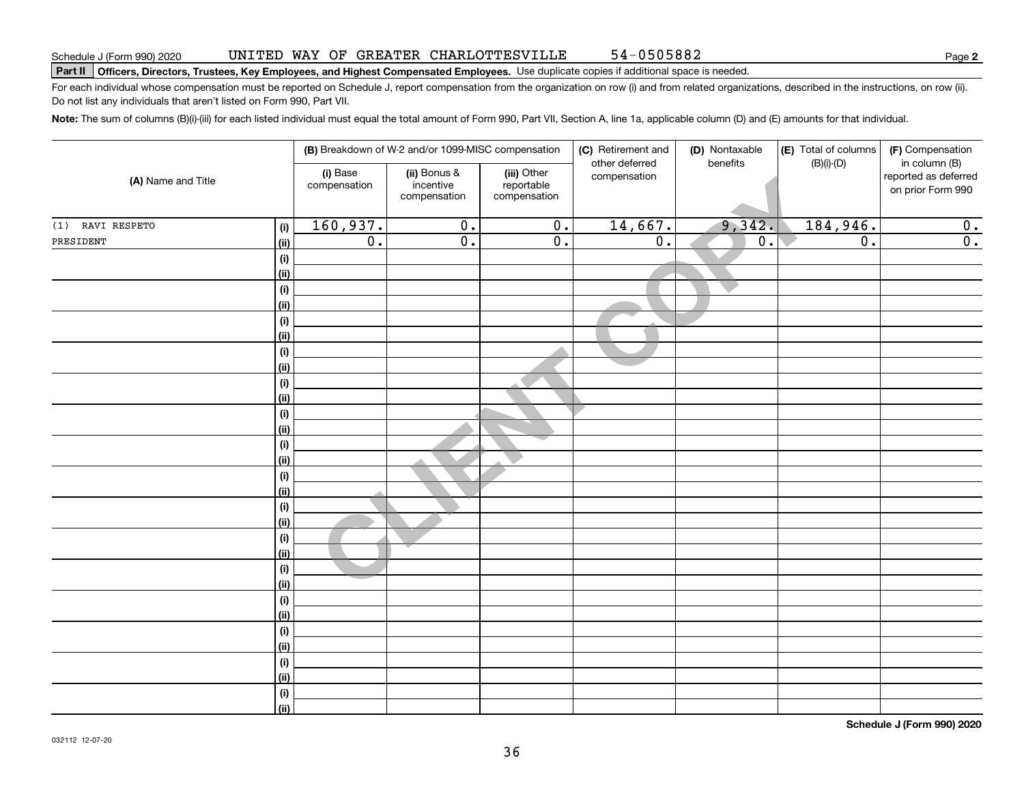#### UNITED WAY OF GREATER CHARLOTTESVILLE 54-0505882

# Schedule J (Form 990) 2020 UNL'I'ED WAY UF GREATER CHARLO'I'TESV I LLE 54 – USU 5 8 8 2<br>Part II | Officers, Directors, Trustees, Key Employees, and Highest Compensated Employees. Use

For each individual whose compensation must be reported on Schedule J, report compensation from the organization on row (i) and from related organizations, described in the instructions, on row (ii). Do not list any individuals that aren't listed on Form 990, Part VII.

**Note:**  The sum of columns (B)(i)-(iii) for each listed individual must equal the total amount of Form 990, Part VII, Section A, line 1a, applicable column (D) and (E) amounts for that individual.

| (A) Name and Title  |            |                          | (B) Breakdown of W-2 and/or 1099-MISC compensation |                                           | (C) Retirement and<br>other deferred | (D) Nontaxable<br>benefits | (E) Total of columns | (F) Compensation                                           |
|---------------------|------------|--------------------------|----------------------------------------------------|-------------------------------------------|--------------------------------------|----------------------------|----------------------|------------------------------------------------------------|
|                     |            | (i) Base<br>compensation | (ii) Bonus &<br>incentive<br>compensation          | (iii) Other<br>reportable<br>compensation | compensation                         |                            | $(B)(i)-(D)$         | in column (B)<br>reported as deferred<br>on prior Form 990 |
| RAVI RESPETO<br>(1) | (i)        | 160,937.                 | $\overline{0}$ .                                   | $\overline{0}$ .                          | 14,667.                              | 9,342.                     | 184,946.             | 0.                                                         |
| PRESIDENT           | (ii)       | $\overline{0}$ .         | $\overline{0}$ .                                   | $\overline{0}$ .                          | $\overline{0}$ .                     | $\overline{0}$ .           | $\overline{0}$ .     | $\overline{0}$ .                                           |
|                     | (i)        |                          |                                                    |                                           |                                      |                            |                      |                                                            |
|                     | (ii)       |                          |                                                    |                                           |                                      |                            |                      |                                                            |
|                     | (i)        |                          |                                                    |                                           |                                      |                            |                      |                                                            |
|                     | (ii)       |                          |                                                    |                                           |                                      |                            |                      |                                                            |
|                     | (i)        |                          |                                                    |                                           |                                      |                            |                      |                                                            |
|                     | (ii)       |                          |                                                    |                                           |                                      |                            |                      |                                                            |
|                     | (i)        |                          |                                                    |                                           |                                      |                            |                      |                                                            |
|                     | (ii)       |                          |                                                    |                                           |                                      |                            |                      |                                                            |
|                     | (i)        |                          |                                                    |                                           |                                      |                            |                      |                                                            |
|                     | (ii)       |                          |                                                    |                                           |                                      |                            |                      |                                                            |
|                     | (i)        |                          |                                                    |                                           |                                      |                            |                      |                                                            |
|                     | (ii)       |                          |                                                    |                                           |                                      |                            |                      |                                                            |
|                     | (i)        |                          |                                                    |                                           |                                      |                            |                      |                                                            |
|                     | (ii)       |                          |                                                    |                                           |                                      |                            |                      |                                                            |
|                     | (i)        |                          |                                                    |                                           |                                      |                            |                      |                                                            |
|                     | (ii)       |                          |                                                    |                                           |                                      |                            |                      |                                                            |
|                     | (i)        |                          |                                                    |                                           |                                      |                            |                      |                                                            |
|                     | (ii)       |                          |                                                    |                                           |                                      |                            |                      |                                                            |
|                     | $(\sf{i})$ |                          |                                                    |                                           |                                      |                            |                      |                                                            |
|                     | (ii)       |                          |                                                    |                                           |                                      |                            |                      |                                                            |
|                     | $(\sf{i})$ |                          |                                                    |                                           |                                      |                            |                      |                                                            |
|                     | (ii)       |                          |                                                    |                                           |                                      |                            |                      |                                                            |
|                     | $(\sf{i})$ |                          |                                                    |                                           |                                      |                            |                      |                                                            |
|                     | (ii)       |                          |                                                    |                                           |                                      |                            |                      |                                                            |
|                     | (i)        |                          |                                                    |                                           |                                      |                            |                      |                                                            |
|                     | (ii)       |                          |                                                    |                                           |                                      |                            |                      |                                                            |
|                     | (i)        |                          |                                                    |                                           |                                      |                            |                      |                                                            |
|                     | (ii)       |                          |                                                    |                                           |                                      |                            |                      |                                                            |
|                     | (i)        |                          |                                                    |                                           |                                      |                            |                      |                                                            |
|                     | (ii)       |                          |                                                    |                                           |                                      |                            |                      |                                                            |

**Schedule J (Form 990) 2020**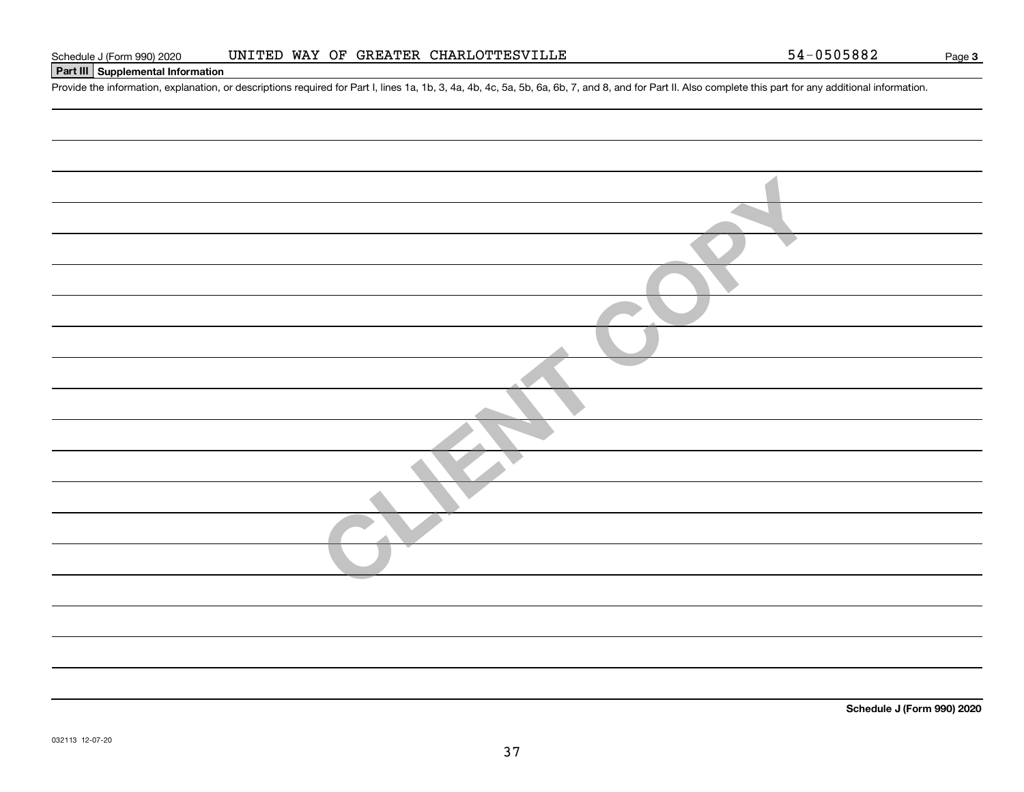# **Part III Supplemental Information**

Schedule J (Form 990) 2020 UNITED WAY OF GREATER CHARLOTTESVILLE<br>Part III Supplemental Information<br>Provide the information, explanation, or descriptions required for Part I, lines 1a, 1b, 3, 4a, 4b, 4c, 5a, 5b, 6a, 6b, 7,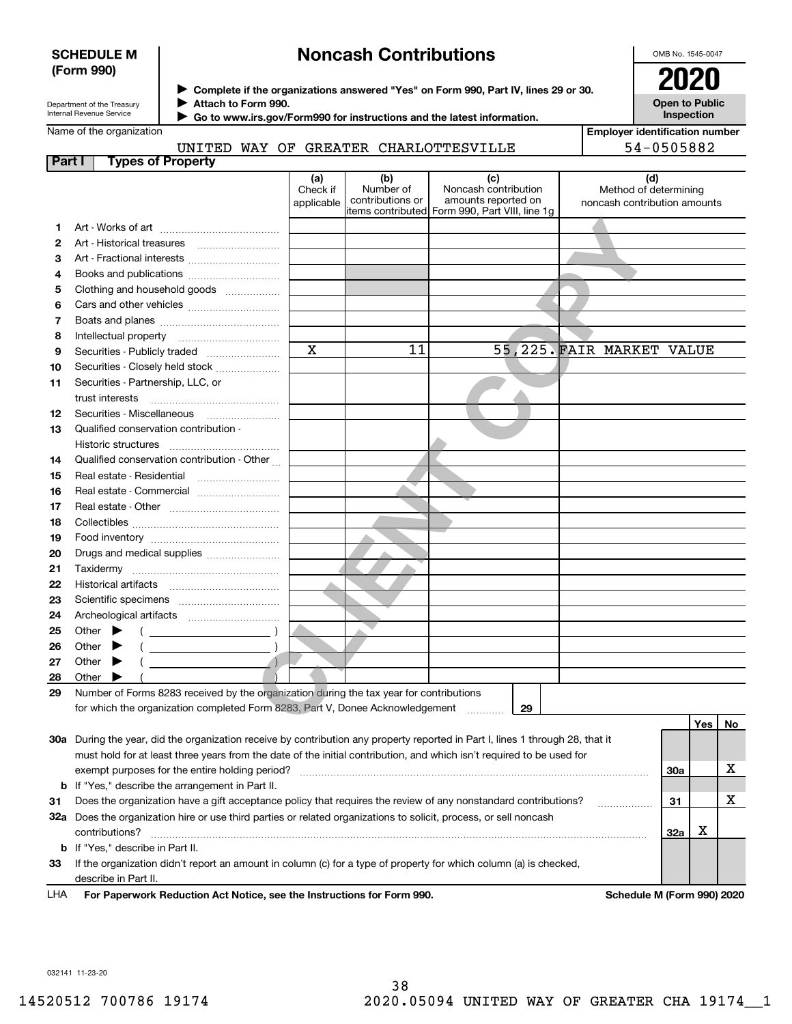# **SCHEDULE M (Form 990)**

# **Noncash Contributions**

OMB No. 1545-0047

| Department of the Treasury |
|----------------------------|
| Internal Revenue Service   |

Name of the organization

**Complete if the organizations answered "Yes" on Form 990, Part IV, lines 29 or 30.** <sup>J</sup>**2020 Attach to Form 990.** J

**Open to Public Inspection**

| Go to www.irs.gov/Form990 for instructions and the latest information. |  |
|------------------------------------------------------------------------|--|
|                                                                        |  |

|  |  |                                       | Emplover identification number |
|--|--|---------------------------------------|--------------------------------|
|  |  | UNITED WAY OF GREATER CHARLOTTESVILLE | 54-0505882                     |

| Part I | <b>Types of Property</b>                                                                                                       |                               |                                      |                                                                                                      |                                                              |            |    |
|--------|--------------------------------------------------------------------------------------------------------------------------------|-------------------------------|--------------------------------------|------------------------------------------------------------------------------------------------------|--------------------------------------------------------------|------------|----|
|        |                                                                                                                                | (a)<br>Check if<br>applicable | (b)<br>Number of<br>contributions or | (c)<br>Noncash contribution<br>amounts reported on<br>items contributed Form 990, Part VIII, line 1g | (d)<br>Method of determining<br>noncash contribution amounts |            |    |
| 1      |                                                                                                                                |                               |                                      |                                                                                                      |                                                              |            |    |
| 2      |                                                                                                                                |                               |                                      |                                                                                                      |                                                              |            |    |
| з      | Art - Fractional interests                                                                                                     |                               |                                      |                                                                                                      |                                                              |            |    |
| 4      | Books and publications                                                                                                         |                               |                                      |                                                                                                      |                                                              |            |    |
| 5      | Clothing and household goods                                                                                                   |                               |                                      |                                                                                                      |                                                              |            |    |
| 6      |                                                                                                                                |                               |                                      |                                                                                                      |                                                              |            |    |
| 7      |                                                                                                                                |                               |                                      |                                                                                                      |                                                              |            |    |
| 8      | Intellectual property                                                                                                          |                               |                                      |                                                                                                      |                                                              |            |    |
| 9      | Securities - Publicly traded                                                                                                   | $\mathbf x$                   | 11                                   |                                                                                                      | 55,225. FAIR MARKET VALUE                                    |            |    |
| 10     | Securities - Closely held stock                                                                                                |                               |                                      |                                                                                                      |                                                              |            |    |
| 11     | Securities - Partnership, LLC, or                                                                                              |                               |                                      |                                                                                                      |                                                              |            |    |
|        | trust interests                                                                                                                |                               |                                      |                                                                                                      |                                                              |            |    |
| 12     | Securities - Miscellaneous                                                                                                     |                               |                                      |                                                                                                      |                                                              |            |    |
| 13     | Qualified conservation contribution -                                                                                          |                               |                                      |                                                                                                      |                                                              |            |    |
|        | Historic structures                                                                                                            |                               |                                      |                                                                                                      |                                                              |            |    |
| 14     | Qualified conservation contribution - Other                                                                                    |                               |                                      |                                                                                                      |                                                              |            |    |
| 15     | Real estate - Residential                                                                                                      |                               |                                      |                                                                                                      |                                                              |            |    |
| 16     | Real estate - Commercial                                                                                                       |                               |                                      |                                                                                                      |                                                              |            |    |
| 17     |                                                                                                                                |                               |                                      |                                                                                                      |                                                              |            |    |
| 18     |                                                                                                                                |                               |                                      |                                                                                                      |                                                              |            |    |
| 19     |                                                                                                                                |                               |                                      |                                                                                                      |                                                              |            |    |
| 20     | Drugs and medical supplies                                                                                                     |                               |                                      |                                                                                                      |                                                              |            |    |
| 21     |                                                                                                                                |                               |                                      |                                                                                                      |                                                              |            |    |
| 22     |                                                                                                                                |                               |                                      |                                                                                                      |                                                              |            |    |
| 23     |                                                                                                                                |                               |                                      |                                                                                                      |                                                              |            |    |
| 24     |                                                                                                                                |                               |                                      |                                                                                                      |                                                              |            |    |
| 25     | Other                                                                                                                          |                               |                                      |                                                                                                      |                                                              |            |    |
| 26     | Other                                                                                                                          |                               |                                      |                                                                                                      |                                                              |            |    |
| 27     | $\Delta$<br>Other                                                                                                              |                               |                                      |                                                                                                      |                                                              |            |    |
| 28     | Other                                                                                                                          |                               |                                      |                                                                                                      |                                                              |            |    |
| 29     | Number of Forms 8283 received by the organization during the tax year for contributions                                        |                               |                                      |                                                                                                      |                                                              |            |    |
|        | for which the organization completed Form 8283, Part V, Donee Acknowledgement                                                  |                               |                                      | 29<br>.                                                                                              |                                                              |            |    |
|        |                                                                                                                                |                               |                                      |                                                                                                      |                                                              | Yes        | No |
|        | 30a During the year, did the organization receive by contribution any property reported in Part I, lines 1 through 28, that it |                               |                                      |                                                                                                      |                                                              |            |    |
|        | must hold for at least three years from the date of the initial contribution, and which isn't required to be used for          |                               |                                      |                                                                                                      |                                                              |            |    |
|        | exempt purposes for the entire holding period?                                                                                 |                               |                                      |                                                                                                      |                                                              | <b>30a</b> | х  |
| b      | If "Yes," describe the arrangement in Part II.                                                                                 |                               |                                      |                                                                                                      |                                                              |            |    |
| 31     | Does the organization have a gift acceptance policy that requires the review of any nonstandard contributions?                 |                               |                                      |                                                                                                      |                                                              | 31         | х  |
|        | 32a Does the organization hire or use third parties or related organizations to solicit, process, or sell noncash              |                               |                                      |                                                                                                      |                                                              |            |    |
|        | contributions?                                                                                                                 |                               |                                      |                                                                                                      |                                                              | X<br>32a   |    |
|        | <b>b</b> If "Yes," describe in Part II.                                                                                        |                               |                                      |                                                                                                      |                                                              |            |    |
| 33     | If the organization didn't report an amount in column (c) for a type of property for which column (a) is checked,              |                               |                                      |                                                                                                      |                                                              |            |    |
|        | describe in Part II.                                                                                                           |                               |                                      |                                                                                                      |                                                              |            |    |

For Paperwork Reduction Act Notice, see the Instructions for Form 990. **Schedule M (Form 990) 2020** LHA

032141 11-23-20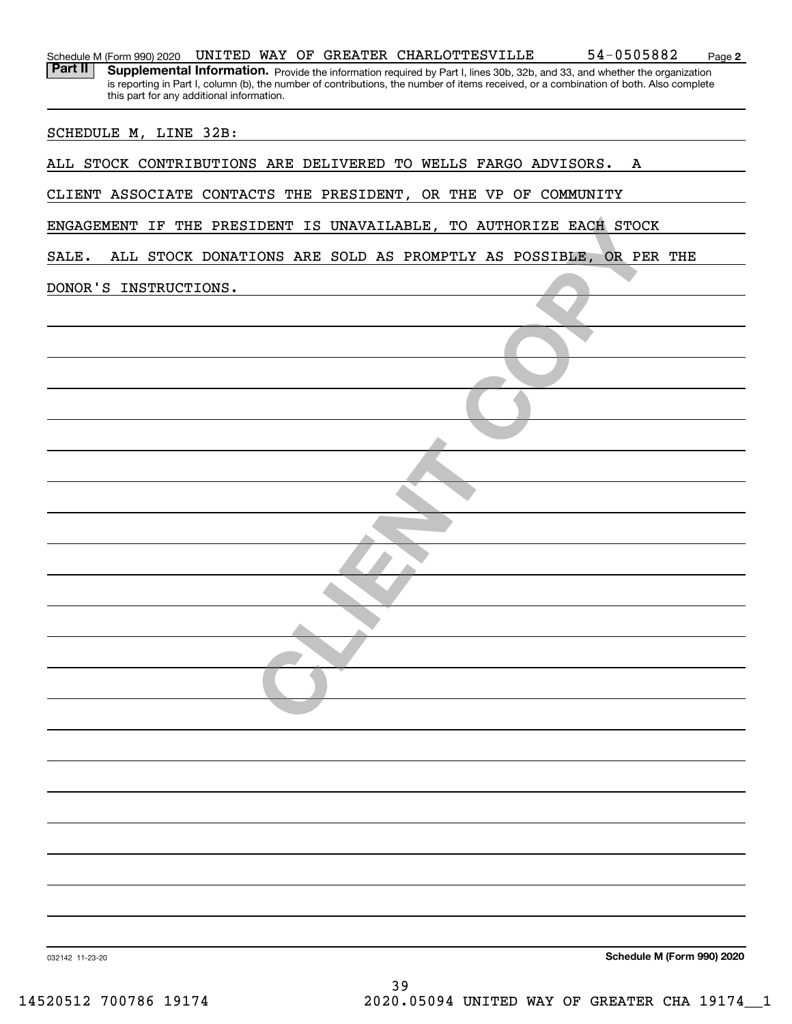| 54-0505882<br>UNITED WAY OF GREATER CHARLOTTESVILLE<br>Schedule M (Form 990) 2020<br>Page 2<br>Part II<br>Supplemental Information. Provide the information required by Part I, lines 30b, 32b, and 33, and whether the organization |
|--------------------------------------------------------------------------------------------------------------------------------------------------------------------------------------------------------------------------------------|
| is reporting in Part I, column (b), the number of contributions, the number of items received, or a combination of both. Also complete<br>this part for any additional information.                                                  |
| SCHEDULE M, LINE 32B:                                                                                                                                                                                                                |
| ALL STOCK CONTRIBUTIONS ARE DELIVERED TO WELLS FARGO ADVISORS.<br>A                                                                                                                                                                  |
| CLIENT ASSOCIATE CONTACTS THE PRESIDENT, OR THE VP OF COMMUNITY                                                                                                                                                                      |
| ENGAGEMENT IF THE PRESIDENT IS UNAVAILABLE, TO AUTHORIZE EACH STOCK                                                                                                                                                                  |
| ALL STOCK DONATIONS ARE SOLD AS PROMPTLY AS POSSIBLE,<br>SALE.<br>OR PER THE                                                                                                                                                         |
| DONOR'S INSTRUCTIONS.                                                                                                                                                                                                                |
|                                                                                                                                                                                                                                      |
|                                                                                                                                                                                                                                      |
|                                                                                                                                                                                                                                      |
|                                                                                                                                                                                                                                      |
|                                                                                                                                                                                                                                      |
|                                                                                                                                                                                                                                      |
|                                                                                                                                                                                                                                      |
|                                                                                                                                                                                                                                      |
|                                                                                                                                                                                                                                      |
|                                                                                                                                                                                                                                      |
|                                                                                                                                                                                                                                      |
|                                                                                                                                                                                                                                      |
|                                                                                                                                                                                                                                      |
|                                                                                                                                                                                                                                      |
|                                                                                                                                                                                                                                      |
|                                                                                                                                                                                                                                      |
|                                                                                                                                                                                                                                      |
|                                                                                                                                                                                                                                      |
|                                                                                                                                                                                                                                      |
|                                                                                                                                                                                                                                      |
| Schedule M (Form 990) 2020<br>032142 11-23-20                                                                                                                                                                                        |
| 39                                                                                                                                                                                                                                   |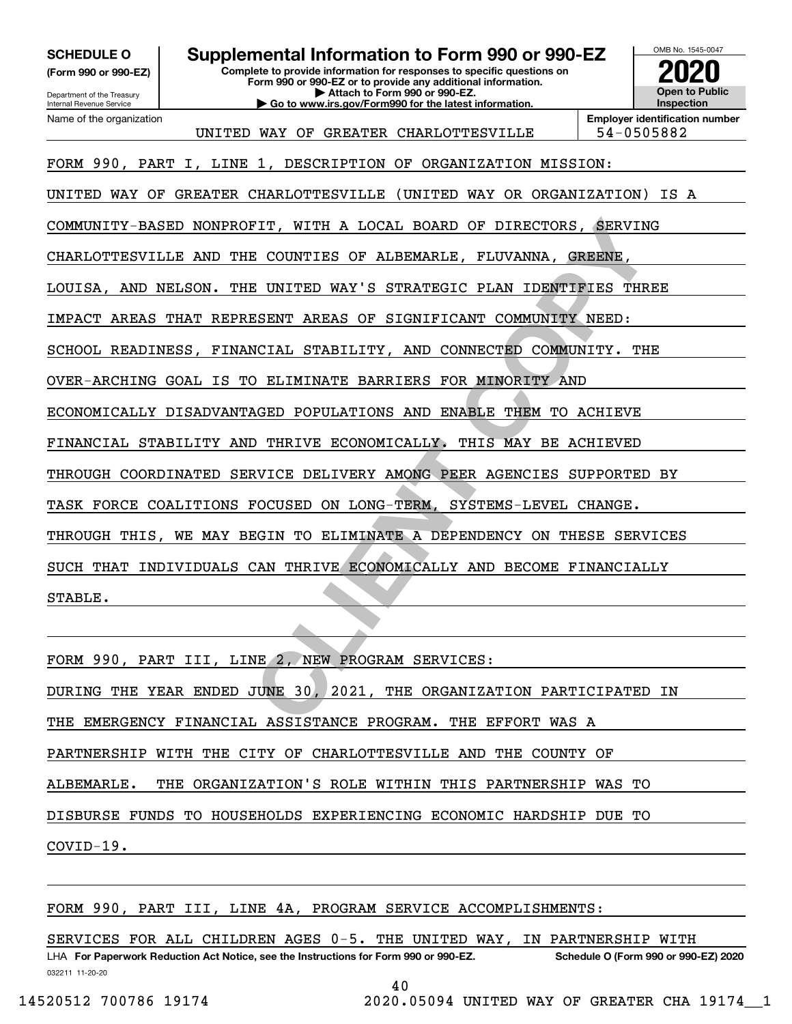**(Form 990 or 990-EZ)**

**SCHEDULE O Supplemental Information to Form 990 or 990-EZ**

**Complete to provide information for responses to specific questions on**

Department of the Treasury Internal Revenue Service Name of the organization **Form 990 or 990-EZ or to provide any additional information. | Attach to Form 990 or 990-EZ. | Go to www.irs.gov/Form990 for the latest information.**



UNITED WAY OF GREATER CHARLOTTESVILLE 54-0505882

**Employer identification number**

FIT, WITH A LOCAL BOARD OF DIRECTORS, SERVINE<br> **COUNTIES OF ALBEMARLE, FLUVANNA, GREENE, E UNITED WAY'S STRATEGIC PLAN IDENTIFIES THR**<br> **CESENT AREAS OF SIGNIFICANT COMMUNITY NEED:**<br>
NCIAL STABILITY, AND CONNECTED COMMUNIT FORM 990, PART I, LINE 1, DESCRIPTION OF ORGANIZATION MISSION: UNITED WAY OF GREATER CHARLOTTESVILLE (UNITED WAY OR ORGANIZATION) IS A COMMUNITY-BASED NONPROFIT, WITH A LOCAL BOARD OF DIRECTORS, SERVING CHARLOTTESVILLE AND THE COUNTIES OF ALBEMARLE, FLUVANNA, GREENE, LOUISA, AND NELSON. THE UNITED WAY'S STRATEGIC PLAN IDENTIFIES THREE IMPACT AREAS THAT REPRESENT AREAS OF SIGNIFICANT COMMUNITY NEED: SCHOOL READINESS, FINANCIAL STABILITY, AND CONNECTED COMMUNITY. THE OVER-ARCHING GOAL IS TO ELIMINATE BARRIERS FOR MINORITY AND ECONOMICALLY DISADVANTAGED POPULATIONS AND ENABLE THEM TO ACHIEVE FINANCIAL STABILITY AND THRIVE ECONOMICALLY. THIS MAY BE ACHIEVED THROUGH COORDINATED SERVICE DELIVERY AMONG PEER AGENCIES SUPPORTED BY TASK FORCE COALITIONS FOCUSED ON LONG-TERM, SYSTEMS-LEVEL CHANGE. THROUGH THIS, WE MAY BEGIN TO ELIMINATE A DEPENDENCY ON THESE SERVICES SUCH THAT INDIVIDUALS CAN THRIVE ECONOMICALLY AND BECOME FINANCIALLY STABLE.

FORM 990, PART III, LINE 2, NEW PROGRAM SERVICES: DURING THE YEAR ENDED JUNE 30, 2021, THE ORGANIZATION PARTICIPATED IN THE EMERGENCY FINANCIAL ASSISTANCE PROGRAM. THE EFFORT WAS A PARTNERSHIP WITH THE CITY OF CHARLOTTESVILLE AND THE COUNTY OF ALBEMARLE. THE ORGANIZATION'S ROLE WITHIN THIS PARTNERSHIP WAS TO DISBURSE FUNDS TO HOUSEHOLDS EXPERIENCING ECONOMIC HARDSHIP DUE TO COVID-19.

FORM 990, PART III, LINE 4A, PROGRAM SERVICE ACCOMPLISHMENTS:

SERVICES FOR ALL CHILDREN AGES 0-5. THE UNITED WAY, IN PARTNERSHIP WITH

032211 11-20-20 LHA For Paperwork Reduction Act Notice, see the Instructions for Form 990 or 990-EZ. Schedule O (Form 990 or 990-EZ) 2020

40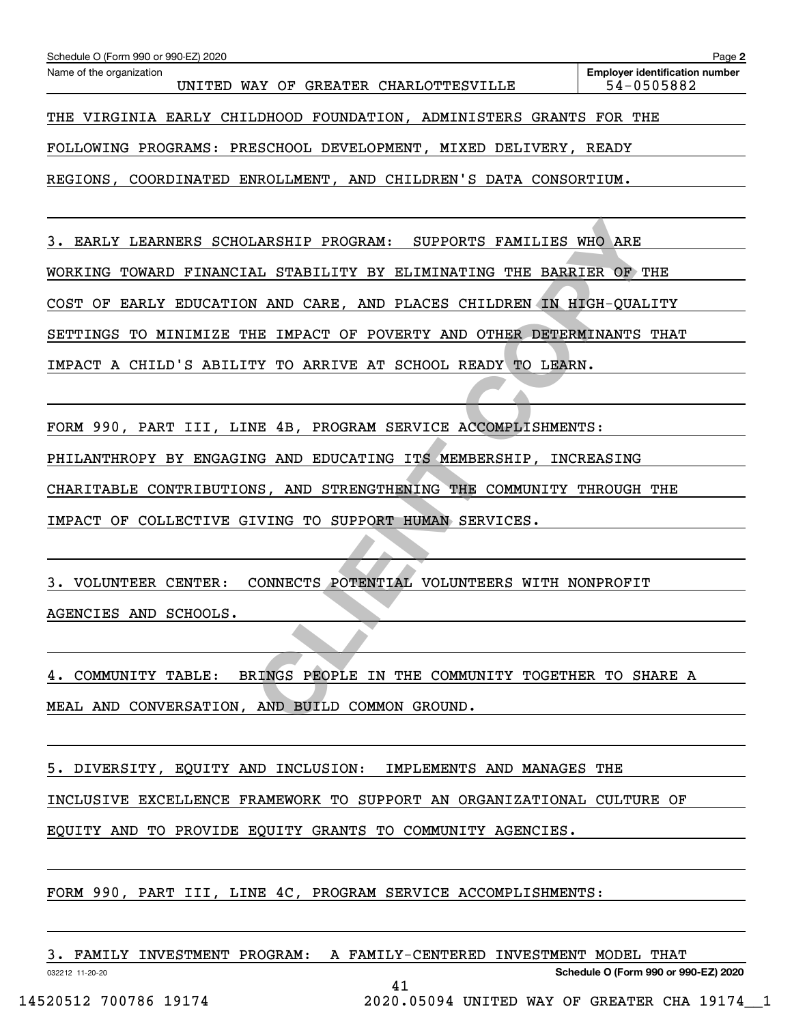| Schedule O (Form 990 or 990-EZ) 2020                                    | Page 2                                              |  |  |  |
|-------------------------------------------------------------------------|-----------------------------------------------------|--|--|--|
| Name of the organization<br>UNITED WAY OF GREATER CHARLOTTESVILLE       | <b>Employer identification number</b><br>54-0505882 |  |  |  |
| THE VIRGINIA EARLY CHILDHOOD FOUNDATION, ADMINISTERS GRANTS FOR THE     |                                                     |  |  |  |
| FOLLOWING PROGRAMS: PRESCHOOL DEVELOPMENT, MIXED DELIVERY, READY        |                                                     |  |  |  |
| REGIONS, COORDINATED ENROLLMENT, AND CHILDREN'S DATA CONSORTIUM.        |                                                     |  |  |  |
|                                                                         |                                                     |  |  |  |
| 3. EARLY LEARNERS SCHOLARSHIP PROGRAM: SUPPORTS FAMILIES WHO ARE        |                                                     |  |  |  |
| WORKING TOWARD FINANCIAL STABILITY BY ELIMINATING THE BARRIER OF THE    |                                                     |  |  |  |
| COST OF EARLY EDUCATION AND CARE, AND PLACES CHILDREN IN HIGH-QUALITY   |                                                     |  |  |  |
| SETTINGS TO MINIMIZE THE IMPACT OF POVERTY AND OTHER DETERMINANTS THAT  |                                                     |  |  |  |
| IMPACT A CHILD'S ABILITY TO ARRIVE AT SCHOOL READY TO LEARN.            |                                                     |  |  |  |
|                                                                         |                                                     |  |  |  |
| FORM 990, PART III, LINE 4B, PROGRAM SERVICE ACCOMPLISHMENTS:           |                                                     |  |  |  |
| PHILANTHROPY BY ENGAGING AND EDUCATING ITS MEMBERSHIP, INCREASING       |                                                     |  |  |  |
| CHARITABLE CONTRIBUTIONS, AND STRENGTHENING THE COMMUNITY THROUGH THE   |                                                     |  |  |  |
| IMPACT OF COLLECTIVE GIVING TO SUPPORT HUMAN SERVICES.                  |                                                     |  |  |  |
|                                                                         |                                                     |  |  |  |
| CONNECTS POTENTIAL VOLUNTEERS WITH NONPROFIT<br>VOLUNTEER CENTER:<br>3. |                                                     |  |  |  |
| AGENCIES AND SCHOOLS.                                                   |                                                     |  |  |  |
|                                                                         |                                                     |  |  |  |
| 4. COMMUNITY TABLE: BRINGS PEOPLE IN THE COMMUNITY TOGETHER TO SHARE A  |                                                     |  |  |  |
| MEAL AND CONVERSATION, AND BUILD COMMON GROUND.                         |                                                     |  |  |  |

5. DIVERSITY, EQUITY AND INCLUSION: IMPLEMENTS AND MANAGES THE INCLUSIVE EXCELLENCE FRAMEWORK TO SUPPORT AN ORGANIZATIONAL CULTURE OF EQUITY AND TO PROVIDE EQUITY GRANTS TO COMMUNITY AGENCIES.

FORM 990, PART III, LINE 4C, PROGRAM SERVICE ACCOMPLISHMENTS:

| FAMILY<br>INVESTMENT PROGRAM: | A  | FAMILY-CENTERED INVESTMENT MODEL THAT |
|-------------------------------|----|---------------------------------------|
| 032212 11-20-20               |    | Schedule O (Form 990 or 990-EZ) 2020  |
|                               | 4⊥ |                                       |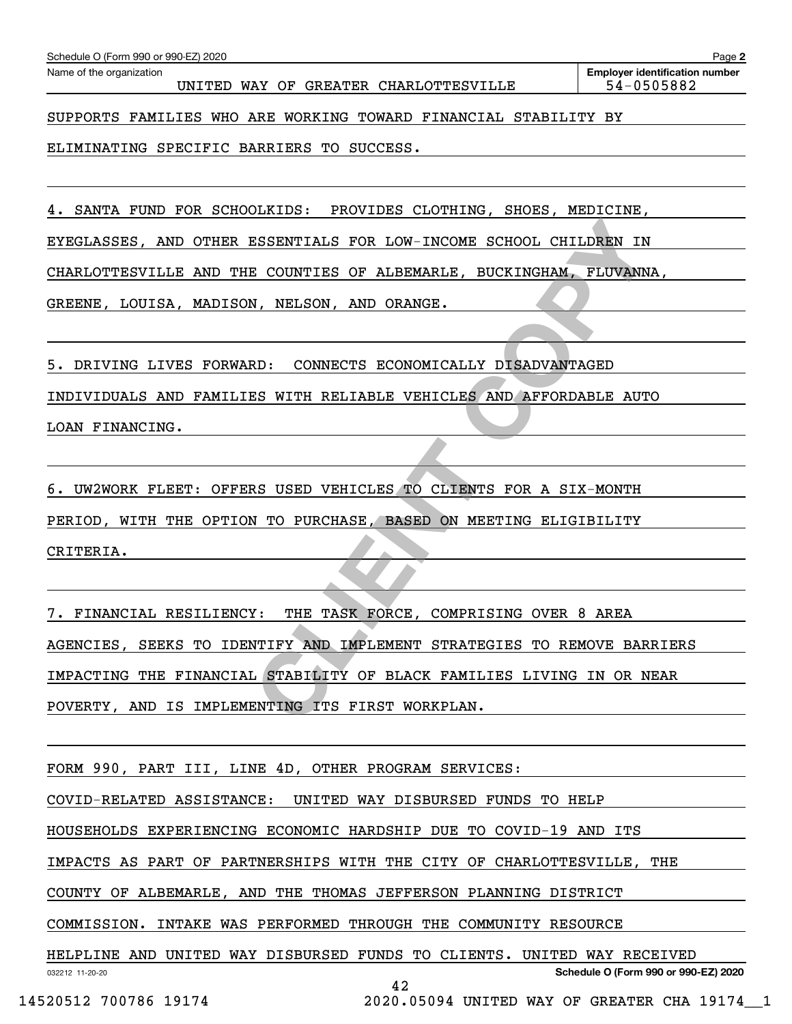| 4. SANTA FUND FOR SCHOOLKIDS: PROVIDES CLOTHING, SHOES, MEDICINE,                                                                  |
|------------------------------------------------------------------------------------------------------------------------------------|
| EYEGLASSES, AND OTHER ESSENTIALS FOR LOW-INCOME SCHOOL CHILDREN IN                                                                 |
| CHARLOTTESVILLE AND THE COUNTIES OF ALBEMARLE, BUCKINGHAM, FLUVANNA,                                                               |
| GREENE, LOUISA, MADISON, NELSON, AND ORANGE.                                                                                       |
|                                                                                                                                    |
| 5. DRIVING LIVES FORWARD: CONNECTS ECONOMICALLY DISADVANTAGED                                                                      |
| INDIVIDUALS AND FAMILIES WITH RELIABLE VEHICLES AND AFFORDABLE AUTO                                                                |
| LOAN FINANCING.                                                                                                                    |
|                                                                                                                                    |
|                                                                                                                                    |
| 6. UW2WORK FLEET: OFFERS USED VEHICLES TO CLIENTS FOR A SIX-MONTH                                                                  |
| PERIOD, WITH THE OPTION TO PURCHASE, BASED ON MEETING ELIGIBILITY                                                                  |
| CRITERIA.                                                                                                                          |
|                                                                                                                                    |
| 7. FINANCIAL RESILIENCY: THE TASK FORCE, COMPRISING OVER 8 AREA                                                                    |
| AGENCIES, SEEKS TO IDENTIFY AND IMPLEMENT STRATEGIES TO REMOVE BARRIERS                                                            |
| IMPACTING THE FINANCIAL STABILITY OF BLACK FAMILIES LIVING IN OR NEAR                                                              |
| POVERTY, AND IS IMPLEMENTING ITS FIRST WORKPLAN.                                                                                   |
|                                                                                                                                    |
| FORM 990, PART III, LINE 4D, OTHER PROGRAM SERVICES:                                                                               |
| COVID-RELATED ASSISTANCE:<br>UNITED WAY DISBURSED FUNDS TO HELP                                                                    |
| HOUSEHOLDS EXPERIENCING ECONOMIC HARDSHIP DUE TO COVID-19 AND ITS                                                                  |
| IMPACTS AS PART OF PARTNERSHIPS WITH THE CITY OF CHARLOTTESVILLE, THE                                                              |
|                                                                                                                                    |
| COUNTY OF ALBEMARLE, AND THE THOMAS JEFFERSON PLANNING DISTRICT                                                                    |
| COMMISSION. INTAKE WAS PERFORMED THROUGH THE COMMUNITY RESOURCE                                                                    |
| HELPLINE AND UNITED WAY DISBURSED FUNDS TO CLIENTS. UNITED WAY RECEIVED<br>Schedule O (Form 990 or 990-EZ) 2020<br>032212 11-20-20 |
| 42<br>14520512 700786 19174<br>2020.05094 UNITED WAY OF GREATER CHA 19174_1                                                        |
|                                                                                                                                    |

UNITED WAY OF GREATER CHARLOTTESVILLE  $\vert$  54-0505882

**2** Echedule O (Form 990 or 990-EZ) 2020<br>Name of the organization **number** Name of the organization **number** 

SUPPORTS FAMILIES WHO ARE WORKING TOWARD FINANCIAL STABILITY BY

ELIMINATING SPECIFIC BARRIERS TO SUCCESS.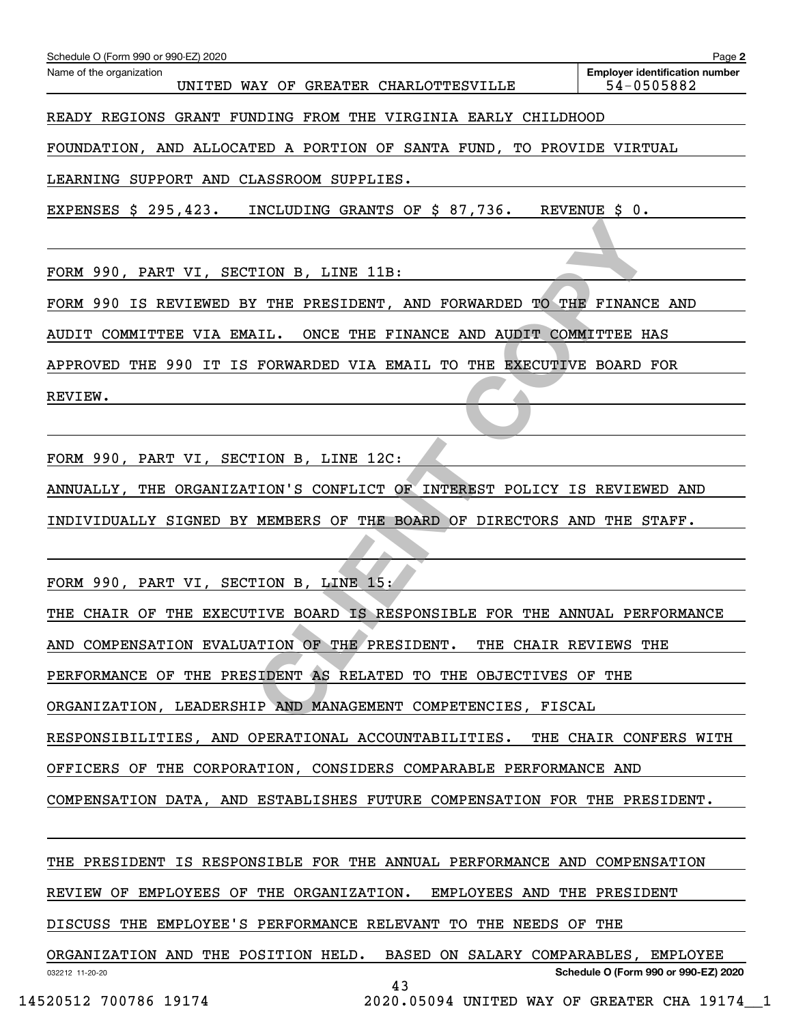| Name of the organization<br>UNITED WAY OF GREATER CHARLOTTESVILLE          | <b>Employer identification number</b><br>54-0505882                                  |
|----------------------------------------------------------------------------|--------------------------------------------------------------------------------------|
| READY REGIONS GRANT FUNDING FROM THE VIRGINIA EARLY CHILDHOOD              |                                                                                      |
| FOUNDATION, AND ALLOCATED A PORTION OF SANTA FUND, TO PROVIDE VIRTUAL      |                                                                                      |
| LEARNING SUPPORT AND CLASSROOM SUPPLIES.                                   |                                                                                      |
| EXPENSES \$ 295,423.<br>INCLUDING GRANTS OF \$ 87,736.                     | REVENUE \$ 0.                                                                        |
|                                                                            |                                                                                      |
| FORM 990, PART VI, SECTION B, LINE 11B:                                    |                                                                                      |
| FORM 990 IS REVIEWED BY THE PRESIDENT, AND FORWARDED TO THE FINANCE AND    |                                                                                      |
| AUDIT COMMITTEE VIA EMAIL.<br>ONCE THE FINANCE AND AUDIT COMMITTEE HAS     |                                                                                      |
| APPROVED THE 990 IT IS FORWARDED VIA EMAIL TO THE EXECUTIVE BOARD FOR      |                                                                                      |
| REVIEW.                                                                    |                                                                                      |
|                                                                            |                                                                                      |
| FORM 990, PART VI, SECTION B, LINE 12C:                                    |                                                                                      |
| ANNUALLY, THE ORGANIZATION'S CONFLICT OF INTEREST POLICY IS REVIEWED AND   |                                                                                      |
| INDIVIDUALLY SIGNED BY MEMBERS OF THE BOARD OF DIRECTORS AND THE STAFF.    |                                                                                      |
|                                                                            |                                                                                      |
| FORM 990, PART VI, SECTION B, LINE 15:                                     |                                                                                      |
| THE CHAIR OF THE EXECUTIVE BOARD IS RESPONSIBLE FOR THE ANNUAL PERFORMANCE |                                                                                      |
| AND COMPENSATION EVALUATION OF THE PRESIDENT.                              | THE CHAIR REVIEWS THE                                                                |
| PERFORMANCE OF THE PRESIDENT AS RELATED TO THE OBJECTIVES OF THE           |                                                                                      |
| ORGANIZATION, LEADERSHIP AND MANAGEMENT COMPETENCIES, FISCAL               |                                                                                      |
| RESPONSIBILITIES, AND OPERATIONAL ACCOUNTABILITIES. THE CHAIR CONFERS WITH |                                                                                      |
| OFFICERS OF THE CORPORATION, CONSIDERS COMPARABLE PERFORMANCE AND          |                                                                                      |
| COMPENSATION DATA, AND ESTABLISHES FUTURE COMPENSATION FOR THE PRESIDENT.  |                                                                                      |
|                                                                            |                                                                                      |
| THE PRESIDENT IS RESPONSIBLE FOR THE ANNUAL PERFORMANCE AND COMPENSATION   |                                                                                      |
| REVIEW OF EMPLOYEES OF THE ORGANIZATION. EMPLOYEES AND THE PRESIDENT       |                                                                                      |
| DISCUSS THE EMPLOYEE'S PERFORMANCE RELEVANT TO THE NEEDS OF THE            |                                                                                      |
| ORGANIZATION AND THE POSITION HELD. BASED ON SALARY COMPARABLES, EMPLOYEE  |                                                                                      |
| 032212 11-20-20<br>43<br>14520512 700786 19174                             | Schedule O (Form 990 or 990-EZ) 2020<br>2020.05094 UNITED WAY OF GREATER CHA 19174 1 |
|                                                                            |                                                                                      |

Schedule O (Form 990 or 990-EZ) 2020

**2**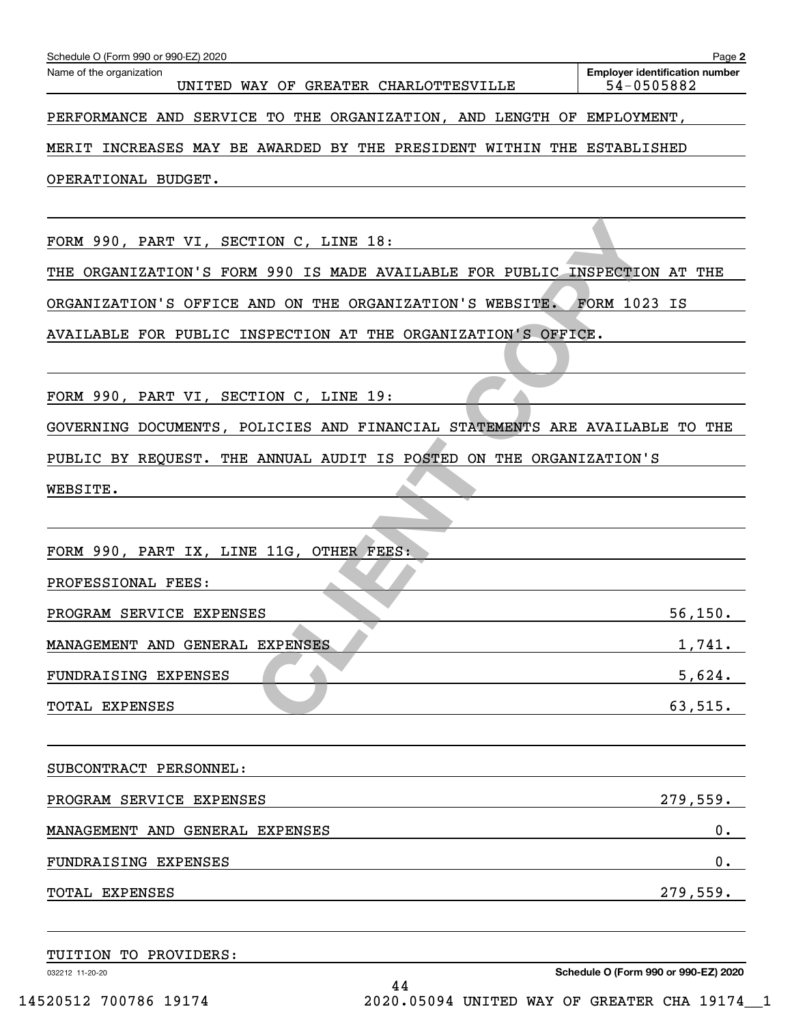| Schedule O (Form 990 or 990-EZ) 2020                                        | Page 2                                              |
|-----------------------------------------------------------------------------|-----------------------------------------------------|
| Name of the organization<br>UNITED WAY OF GREATER CHARLOTTESVILLE           | <b>Employer identification number</b><br>54-0505882 |
|                                                                             |                                                     |
| PERFORMANCE AND SERVICE TO THE ORGANIZATION, AND LENGTH OF EMPLOYMENT,      |                                                     |
| MERIT INCREASES MAY BE AWARDED BY THE PRESIDENT WITHIN THE ESTABLISHED      |                                                     |
| OPERATIONAL BUDGET.                                                         |                                                     |
|                                                                             |                                                     |
| FORM 990, PART VI, SECTION C, LINE 18:                                      |                                                     |
| THE ORGANIZATION'S FORM 990 IS MADE AVAILABLE FOR PUBLIC INSPECTION AT THE  |                                                     |
| ORGANIZATION'S OFFICE AND ON THE ORGANIZATION'S WEBSITE. FORM 1023 IS       |                                                     |
| AVAILABLE FOR PUBLIC INSPECTION AT THE ORGANIZATION'S OFFICE.               |                                                     |
|                                                                             |                                                     |
| FORM 990, PART VI, SECTION C, LINE 19:                                      |                                                     |
|                                                                             |                                                     |
| GOVERNING DOCUMENTS, POLICIES AND FINANCIAL STATEMENTS ARE AVAILABLE TO THE |                                                     |
| PUBLIC BY REQUEST. THE ANNUAL AUDIT IS POSTED ON THE ORGANIZATION'S         |                                                     |
| WEBSITE.                                                                    |                                                     |
|                                                                             |                                                     |
| FORM 990, PART IX, LINE 11G, OTHER FEES:                                    |                                                     |
| PROFESSIONAL FEES:                                                          |                                                     |
| PROGRAM SERVICE EXPENSES                                                    | 56, 150.                                            |
| MANAGEMENT AND GENERAL EXPENSES                                             | 1,741.                                              |
| FUNDRAISING EXPENSES                                                        | 5,624.                                              |
|                                                                             |                                                     |
| TOTAL EXPENSES                                                              | 63,515.                                             |
|                                                                             |                                                     |
| SUBCONTRACT PERSONNEL:                                                      |                                                     |
| PROGRAM SERVICE EXPENSES                                                    | 279,559.                                            |
| MANAGEMENT AND GENERAL EXPENSES                                             | $0$ .                                               |
| FUNDRAISING EXPENSES                                                        | $0$ .                                               |
| TOTAL EXPENSES                                                              | 279,559.                                            |
|                                                                             |                                                     |
|                                                                             |                                                     |

032212 11-20-20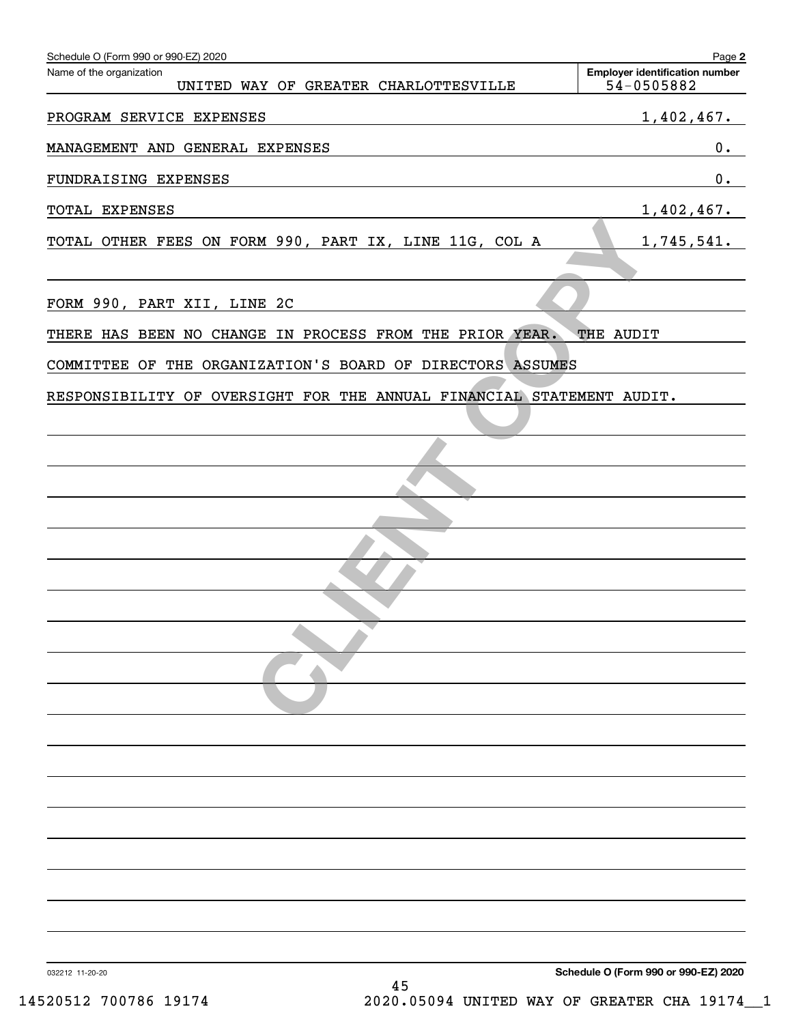| Schedule O (Form 990 or 990-EZ) 2020                                  | Page 2                                              |
|-----------------------------------------------------------------------|-----------------------------------------------------|
| Name of the organization<br>UNITED WAY OF GREATER CHARLOTTESVILLE     | <b>Employer identification number</b><br>54-0505882 |
| PROGRAM SERVICE EXPENSES                                              | 1,402,467.                                          |
| MANAGEMENT AND GENERAL EXPENSES                                       | $\mathbf 0$ .                                       |
| FUNDRAISING EXPENSES                                                  | $\mathbf 0$ .                                       |
| TOTAL EXPENSES                                                        | 1,402,467.                                          |
| TOTAL OTHER FEES ON FORM 990, PART IX, LINE 11G, COL A                | 1,745,541.                                          |
|                                                                       |                                                     |
| FORM 990, PART XII, LINE 2C                                           |                                                     |
| THERE HAS BEEN NO CHANGE IN PROCESS FROM THE PRIOR YEAR.              | THE AUDIT                                           |
| COMMITTEE OF THE ORGANIZATION'S BOARD OF DIRECTORS ASSUMES            |                                                     |
| RESPONSIBILITY OF OVERSIGHT FOR THE ANNUAL FINANCIAL STATEMENT AUDIT. |                                                     |
|                                                                       |                                                     |
|                                                                       |                                                     |
|                                                                       |                                                     |
|                                                                       |                                                     |
|                                                                       |                                                     |
|                                                                       |                                                     |
|                                                                       |                                                     |
|                                                                       |                                                     |
|                                                                       |                                                     |
|                                                                       |                                                     |
|                                                                       |                                                     |
|                                                                       |                                                     |
|                                                                       |                                                     |
|                                                                       |                                                     |
|                                                                       |                                                     |
|                                                                       |                                                     |
|                                                                       |                                                     |
|                                                                       |                                                     |
| 032212 11-20-20<br>45                                                 | Schedule O (Form 990 or 990-EZ) 2020                |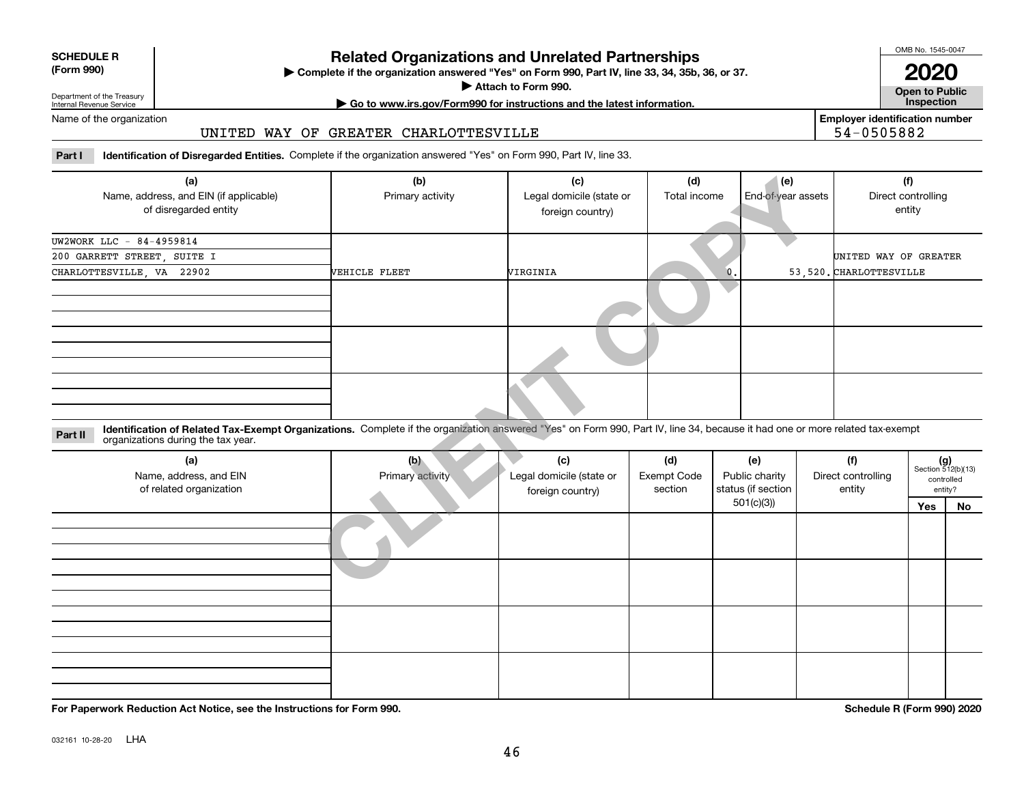| <b>SCHEDULE R</b>                          |  |
|--------------------------------------------|--|
| $\mathbf{r}$ , $\mathbf{r}$ , $\mathbf{r}$ |  |

### **(Form 990)**

# **Related Organizations and Unrelated Partnerships**

**Complete if the organization answered "Yes" on Form 990, Part IV, line 33, 34, 35b, 36, or 37.** |

**Attach to Form 990.**  |

OMB No. 1545-0047

**Open to Public 2020**

**Employer identification number**

54-0505882

Department of the Treasury Internal Revenue Service

# **| Go to www.irs.gov/Form990 for instructions and the latest information. Inspection**

Name of the organization

## UNITED WAY OF GREATER CHARLOTTESVILLE

**Part I Identification of Disregarded Entities.**  Complete if the organization answered "Yes" on Form 990, Part IV, line 33.

| (a)<br>Name, address, and EIN (if applicable)<br>of disregarded entity                                                                                                                                                        | (b)<br>Primary activity | (c)<br>Legal domicile (state or<br>foreign country) | (d)                                  | (e)<br>Total income<br>End-of-year assets   |  |                                     | (f)<br>Direct controlling<br>entity                  |           |  |
|-------------------------------------------------------------------------------------------------------------------------------------------------------------------------------------------------------------------------------|-------------------------|-----------------------------------------------------|--------------------------------------|---------------------------------------------|--|-------------------------------------|------------------------------------------------------|-----------|--|
|                                                                                                                                                                                                                               |                         |                                                     |                                      |                                             |  |                                     |                                                      |           |  |
| UW2WORK LLC - 84-4959814                                                                                                                                                                                                      |                         |                                                     |                                      |                                             |  |                                     |                                                      |           |  |
| 200 GARRETT STREET, SUITE I                                                                                                                                                                                                   |                         |                                                     |                                      |                                             |  | UNITED WAY OF GREATER               |                                                      |           |  |
| CHARLOTTESVILLE, VA 22902                                                                                                                                                                                                     | VEHICLE FLEET           | WIRGINIA                                            |                                      | 0.                                          |  | 53, 520. CHARLOTTESVILLE            |                                                      |           |  |
|                                                                                                                                                                                                                               |                         |                                                     |                                      |                                             |  |                                     |                                                      |           |  |
|                                                                                                                                                                                                                               |                         |                                                     |                                      |                                             |  |                                     |                                                      |           |  |
|                                                                                                                                                                                                                               |                         |                                                     |                                      |                                             |  |                                     |                                                      |           |  |
| Identification of Related Tax-Exempt Organizations. Complete if the organization answered "Yes" on Form 990, Part IV, line 34, because it had one or more related tax-exempt<br>Part II<br>organizations during the tax year. |                         |                                                     |                                      |                                             |  |                                     |                                                      |           |  |
| (a)<br>Name, address, and EIN<br>of related organization                                                                                                                                                                      | (b)<br>Primary activity | (c)<br>Legal domicile (state or<br>foreign country) | (d)<br><b>Exempt Code</b><br>section | (e)<br>Public charity<br>status (if section |  | (f)<br>Direct controlling<br>entity | $(g)$<br>Section 512(b)(13)<br>controlled<br>entity? |           |  |
|                                                                                                                                                                                                                               |                         |                                                     |                                      | 501(c)(3)                                   |  |                                     | Yes                                                  | <b>No</b> |  |
|                                                                                                                                                                                                                               |                         |                                                     |                                      |                                             |  |                                     |                                                      |           |  |
|                                                                                                                                                                                                                               |                         |                                                     |                                      |                                             |  |                                     |                                                      |           |  |

| (a)<br>Name, address, and EIN<br>of related organization | (b)<br>Primary activity | (c)<br>Legal domicile (state or<br>foreign country) | (d)<br><b>Exempt Code</b><br>section | (e)<br>Public charity<br>status (if section | (f)<br>Direct controlling<br>entity | $(g)$<br>Section 512(b)(13) | controlled<br>entity? |
|----------------------------------------------------------|-------------------------|-----------------------------------------------------|--------------------------------------|---------------------------------------------|-------------------------------------|-----------------------------|-----------------------|
|                                                          |                         |                                                     |                                      | 501(c)(3)                                   |                                     | Yes                         | No                    |
|                                                          |                         |                                                     |                                      |                                             |                                     |                             |                       |
|                                                          |                         |                                                     |                                      |                                             |                                     |                             |                       |

**For Paperwork Reduction Act Notice, see the Instructions for Form 990. Schedule R (Form 990) 2020**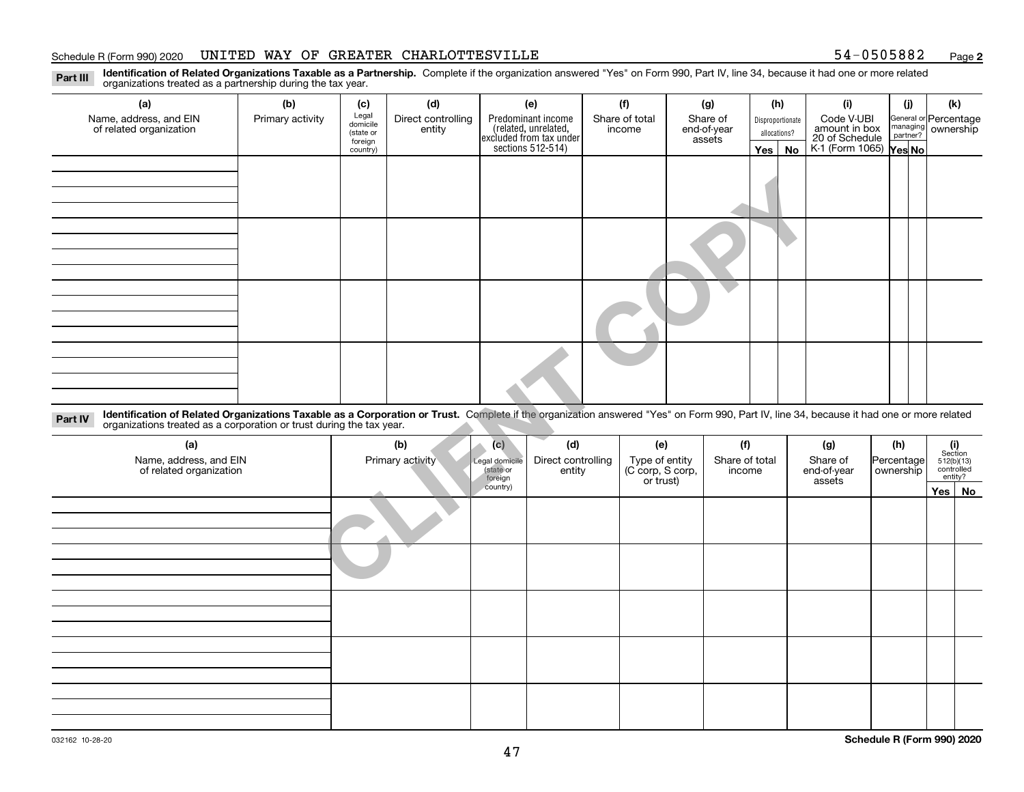### Schedule R (Form 990) 2020 UNITED WAY OF GREATER CHARLOTTESVILLE 54-0505882 <sub>Page</sub>

**2**

**Identification of Related Organizations Taxable as a Partnership.** Complete if the organization answered "Yes" on Form 990, Part IV, line 34, because it had one or more related **Part III** organizations treated as a partnership during the tax year.

| (a)                                                                                                                                                                                      | (b)              | (c)                                       | (d)                          |                     | (e)                                                                                        | (f)                      | (g)                               |                | (h)          |                  | (i)                                           |            | (i)                  | (k)                                |    |
|------------------------------------------------------------------------------------------------------------------------------------------------------------------------------------------|------------------|-------------------------------------------|------------------------------|---------------------|--------------------------------------------------------------------------------------------|--------------------------|-----------------------------------|----------------|--------------|------------------|-----------------------------------------------|------------|----------------------|------------------------------------|----|
| Name, address, and EIN<br>of related organization                                                                                                                                        | Primary activity | Legal<br>domicile<br>(state or<br>foreign | Direct controlling<br>entity |                     | Predominant income<br>(related, unrelated,<br>excluded from tax under<br>sections 512-514) | Share of total<br>income | Share of<br>end-of-year<br>assets |                | allocations? | Disproportionate | Code V-UBI<br>amount in box<br>20 of Schedule |            | managing<br>partner? | General or Percentage<br>ownership |    |
|                                                                                                                                                                                          |                  | country)                                  |                              |                     |                                                                                            |                          |                                   |                | Yes          | No               | K-1 (Form 1065) Yes No                        |            |                      |                                    |    |
|                                                                                                                                                                                          |                  |                                           |                              |                     |                                                                                            |                          |                                   |                |              |                  |                                               |            |                      |                                    |    |
|                                                                                                                                                                                          |                  |                                           |                              |                     |                                                                                            |                          |                                   |                |              |                  |                                               |            |                      |                                    |    |
|                                                                                                                                                                                          |                  |                                           |                              |                     |                                                                                            |                          |                                   |                |              |                  |                                               |            |                      |                                    |    |
|                                                                                                                                                                                          |                  |                                           |                              |                     |                                                                                            |                          |                                   |                |              |                  |                                               |            |                      |                                    |    |
|                                                                                                                                                                                          |                  |                                           |                              |                     |                                                                                            |                          |                                   |                |              |                  |                                               |            |                      |                                    |    |
|                                                                                                                                                                                          |                  |                                           |                              |                     |                                                                                            |                          |                                   |                |              |                  |                                               |            |                      |                                    |    |
|                                                                                                                                                                                          |                  |                                           |                              |                     |                                                                                            |                          |                                   |                |              |                  |                                               |            |                      |                                    |    |
|                                                                                                                                                                                          |                  |                                           |                              |                     |                                                                                            |                          |                                   |                |              |                  |                                               |            |                      |                                    |    |
|                                                                                                                                                                                          |                  |                                           |                              |                     |                                                                                            |                          |                                   |                |              |                  |                                               |            |                      |                                    |    |
|                                                                                                                                                                                          |                  |                                           |                              |                     |                                                                                            |                          |                                   |                |              |                  |                                               |            |                      |                                    |    |
|                                                                                                                                                                                          |                  |                                           |                              |                     |                                                                                            |                          |                                   |                |              |                  |                                               |            |                      |                                    |    |
|                                                                                                                                                                                          |                  |                                           |                              |                     |                                                                                            |                          |                                   |                |              |                  |                                               |            |                      |                                    |    |
|                                                                                                                                                                                          |                  |                                           |                              |                     |                                                                                            |                          |                                   |                |              |                  |                                               |            |                      |                                    |    |
|                                                                                                                                                                                          |                  |                                           |                              |                     |                                                                                            |                          |                                   |                |              |                  |                                               |            |                      |                                    |    |
| Identification of Related Organizations Taxable as a Corporation or Trust. Complete if the organization answered "Yes" on Form 990, Part IV, line 34, because it had one or more related |                  |                                           |                              |                     |                                                                                            |                          |                                   |                |              |                  |                                               |            |                      |                                    |    |
| Part IV<br>organizations treated as a corporation or trust during the tax year.                                                                                                          |                  |                                           |                              |                     |                                                                                            |                          |                                   |                |              |                  |                                               |            |                      |                                    |    |
| (a)                                                                                                                                                                                      |                  |                                           | (b)                          | (c)                 | (d)                                                                                        | (e)                      |                                   | (f)            |              |                  | (g)                                           | (h)        |                      | (i)<br>Section                     |    |
| Name, address, and EIN                                                                                                                                                                   |                  |                                           | Primary activity             | Legal domicile      | Direct controlling                                                                         | Type of entity           |                                   | Share of total |              |                  | Share of                                      | Percentage |                      | 512(b)(13)                         |    |
| of related organization                                                                                                                                                                  |                  |                                           |                              | (state or           | entity                                                                                     | (C corp, S corp,         |                                   | income         |              |                  | end-of-year                                   | ownership  |                      | controlled<br>entity?              |    |
|                                                                                                                                                                                          |                  |                                           |                              | foreign<br>country) |                                                                                            | or trust)                |                                   |                |              |                  | assets                                        |            |                      | Yes                                | No |
|                                                                                                                                                                                          |                  |                                           |                              |                     |                                                                                            |                          |                                   |                |              |                  |                                               |            |                      |                                    |    |
|                                                                                                                                                                                          |                  |                                           |                              |                     |                                                                                            |                          |                                   |                |              |                  |                                               |            |                      |                                    |    |
|                                                                                                                                                                                          |                  |                                           |                              |                     |                                                                                            |                          |                                   |                |              |                  |                                               |            |                      |                                    |    |
|                                                                                                                                                                                          |                  |                                           |                              |                     |                                                                                            |                          |                                   |                |              |                  |                                               |            |                      |                                    |    |
|                                                                                                                                                                                          |                  |                                           |                              |                     |                                                                                            |                          |                                   |                |              |                  |                                               |            |                      |                                    |    |
|                                                                                                                                                                                          |                  |                                           |                              |                     |                                                                                            |                          |                                   |                |              |                  |                                               |            |                      |                                    |    |
|                                                                                                                                                                                          |                  |                                           |                              |                     |                                                                                            |                          |                                   |                |              |                  |                                               |            |                      |                                    |    |

| (a)<br>Name, address, and EIN<br>of related organization | (b)<br>Primary activity | (c)<br>Legal domicile<br>(state or<br>foreign | (d)<br>Direct controlling<br>entity | (e)<br>Type of entity<br>(C corp, S corp,<br>or trust) | (f)<br>Share of total<br>income | (g)<br>Share of<br>end-of-year<br>assets | (h)<br>Percentage<br>ownership | $\begin{array}{c} \textbf{(i)}\\ \text{Section}\\ 512 \text{(b)} \text{(13)}\\ \text{controlled}\\ \text{entity?} \end{array}$ |
|----------------------------------------------------------|-------------------------|-----------------------------------------------|-------------------------------------|--------------------------------------------------------|---------------------------------|------------------------------------------|--------------------------------|--------------------------------------------------------------------------------------------------------------------------------|
|                                                          |                         | country)                                      |                                     |                                                        |                                 |                                          |                                | Yes No                                                                                                                         |
|                                                          |                         |                                               |                                     |                                                        |                                 |                                          |                                |                                                                                                                                |
|                                                          |                         |                                               |                                     |                                                        |                                 |                                          |                                |                                                                                                                                |
|                                                          |                         |                                               |                                     |                                                        |                                 |                                          |                                |                                                                                                                                |
|                                                          |                         |                                               |                                     |                                                        |                                 |                                          |                                |                                                                                                                                |
|                                                          |                         |                                               |                                     |                                                        |                                 |                                          |                                |                                                                                                                                |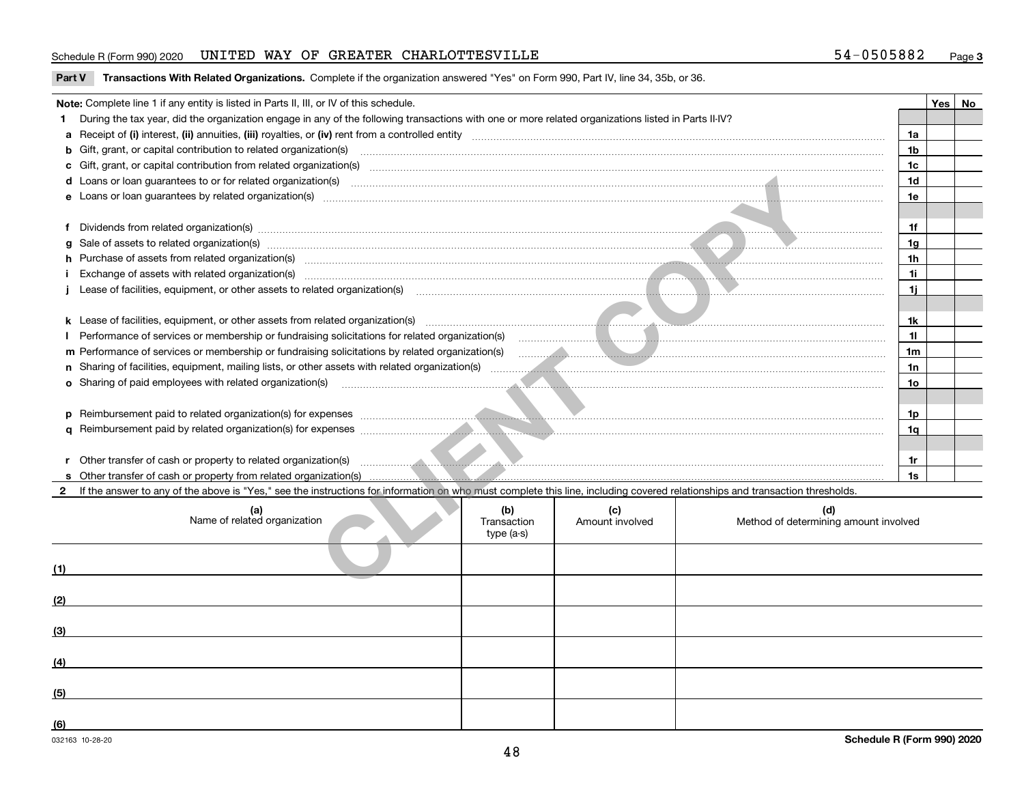# Schedule R (Form 990) 2020 UNITED WAY OF GREATER CHARLOTTESVILLE 54-0505882 <sub>Page</sub>

|  | Part V Transactions With Related Organizations. Complete if the organization answered "Yes" on Form 990, Part IV, line 34, 35b, or 36. |  |  |
|--|----------------------------------------------------------------------------------------------------------------------------------------|--|--|
|--|----------------------------------------------------------------------------------------------------------------------------------------|--|--|

|     | Note: Complete line 1 if any entity is listed in Parts II, III, or IV of this schedule.                                                                                                                                              |                        |                                              |                 | Yes | No |  |  |  |  |
|-----|--------------------------------------------------------------------------------------------------------------------------------------------------------------------------------------------------------------------------------------|------------------------|----------------------------------------------|-----------------|-----|----|--|--|--|--|
| 1.  | During the tax year, did the organization engage in any of the following transactions with one or more related organizations listed in Parts II-IV?                                                                                  |                        |                                              |                 |     |    |  |  |  |  |
|     |                                                                                                                                                                                                                                      |                        |                                              | 1a              |     |    |  |  |  |  |
|     | b Gift, grant, or capital contribution to related organization(s) manufaction contracts and contribution to related organization(s) manufaction contribution to related organization(s)                                              |                        |                                              | 1 <sub>b</sub>  |     |    |  |  |  |  |
|     |                                                                                                                                                                                                                                      |                        |                                              | 1 <sub>c</sub>  |     |    |  |  |  |  |
| d   |                                                                                                                                                                                                                                      |                        |                                              | 1 <sub>d</sub>  |     |    |  |  |  |  |
|     |                                                                                                                                                                                                                                      |                        |                                              | 1e              |     |    |  |  |  |  |
|     |                                                                                                                                                                                                                                      |                        |                                              |                 |     |    |  |  |  |  |
| f   |                                                                                                                                                                                                                                      |                        |                                              | 1f              |     |    |  |  |  |  |
| g   | Sale of assets to related organization(s) with an example and contract the contract of the contract of the contract of the contract of the contract of the contract of the contract of the contract of the contract of the con       |                        |                                              |                 |     |    |  |  |  |  |
|     | h Purchase of assets from related organization(s) manufactured and content to the content of the content of the content of the content of the content of the content of the content of the content of the content of the conte       |                        |                                              | 1 <sub>h</sub>  |     |    |  |  |  |  |
|     | Exchange of assets with related organization(s) www.communically.communically.communically.communically.communically.communically.communically.communically.communically.communically.communically.communically.communically.c       |                        |                                              | 1i              |     |    |  |  |  |  |
|     |                                                                                                                                                                                                                                      |                        |                                              | 1j              |     |    |  |  |  |  |
|     |                                                                                                                                                                                                                                      |                        |                                              |                 |     |    |  |  |  |  |
|     |                                                                                                                                                                                                                                      |                        |                                              | 1k              |     |    |  |  |  |  |
|     | Performance of services or membership or fundraising solicitations for related organization(s)                                                                                                                                       |                        |                                              | 11              |     |    |  |  |  |  |
|     | m Performance of services or membership or fundraising solicitations by related organization(s)                                                                                                                                      |                        |                                              | 1 <sub>m</sub>  |     |    |  |  |  |  |
|     |                                                                                                                                                                                                                                      |                        |                                              |                 |     |    |  |  |  |  |
|     | o Sharing of paid employees with related organization(s) manufactured and content to the content of the content of the content of the content of the content of the content of the content of the content of the content of th       |                        |                                              | 10 <sub>o</sub> |     |    |  |  |  |  |
|     |                                                                                                                                                                                                                                      |                        |                                              |                 |     |    |  |  |  |  |
| D.  | Reimbursement paid to related organization(s) for expenses <b>construction and construction</b> and construction and construction and construction and construction and construction and construction and construction and construc  |                        |                                              | 1p              |     |    |  |  |  |  |
|     | Reimbursement paid by related organization(s) for expenses <i>manufactured and the content of the content of the content of the content of the content of the content of the content of the content of the content of the conten</i> |                        |                                              | 1a              |     |    |  |  |  |  |
|     |                                                                                                                                                                                                                                      |                        |                                              |                 |     |    |  |  |  |  |
| r   | Other transfer of cash or property to related organization(s) encouragement of the contract of the contract of the contract of the contract of the contract of the contract of the contract of the contract of the contract of       |                        |                                              | 1r              |     |    |  |  |  |  |
|     |                                                                                                                                                                                                                                      |                        |                                              | 1s              |     |    |  |  |  |  |
|     | If the answer to any of the above is "Yes," see the instructions for information on who must complete this line, including covered relationships and transaction thresholds.                                                         |                        |                                              |                 |     |    |  |  |  |  |
|     | (b)<br>(a)<br>Name of related organization<br>Transaction<br>type (a-s)                                                                                                                                                              | (c)<br>Amount involved | (d)<br>Method of determining amount involved |                 |     |    |  |  |  |  |
| (1) |                                                                                                                                                                                                                                      |                        |                                              |                 |     |    |  |  |  |  |
|     |                                                                                                                                                                                                                                      |                        |                                              |                 |     |    |  |  |  |  |
| (2) |                                                                                                                                                                                                                                      |                        |                                              |                 |     |    |  |  |  |  |
| (3) |                                                                                                                                                                                                                                      |                        |                                              |                 |     |    |  |  |  |  |
| (4) |                                                                                                                                                                                                                                      |                        |                                              |                 |     |    |  |  |  |  |
|     |                                                                                                                                                                                                                                      |                        |                                              |                 |     |    |  |  |  |  |
| (5) |                                                                                                                                                                                                                                      |                        |                                              |                 |     |    |  |  |  |  |

**(6)**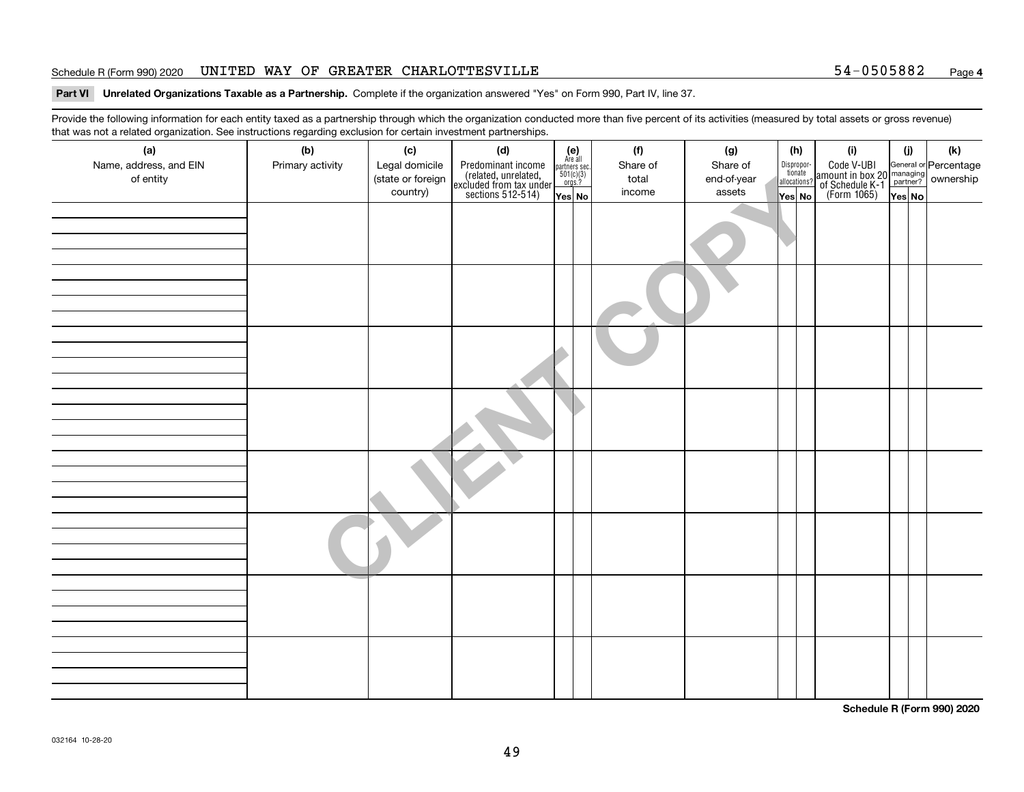### Schedule R (Form 990) 2020 Page UNITED WAY OF GREATER CHARLOTTESVILLE 54-0505882

# **4**

### **Part VI Unrelated Organizations Taxable as a Partnership. Complete if the organization answered "Yes" on Form 990, Part IV, line 37.**

Provide the following information for each entity taxed as a partnership through which the organization conducted more than five percent of its activities (measured by total assets or gross revenue) that was not a related organization. See instructions regarding exclusion for certain investment partnerships.

| (a)<br>Name, address, and EIN<br>of entity | ັ<br>(b)<br>Primary activity | (c)<br>Legal domicile<br>(state or foreign | (d)<br>Predominant income<br>(related, unrelated,<br>excluded from tax under<br>sections 512-514) | $\begin{array}{c}\n\text{partners} \sec.\n\\ \n501(c)(3)\n\\ \n0rgs.?\n\end{array}$ | $(e)$<br>Are all | (f)<br>Share of<br>total | (g)<br>Share of<br>end-of-year | (h)<br>Dispropor-<br>tionate<br>allocations? | (i)<br>Code V-UBI<br>amount in box 20 managing<br>of Schedule K-1<br>(Form 1065)<br>$\overline{Yes}$ No | (i)   | $(\mathsf{k})$ |
|--------------------------------------------|------------------------------|--------------------------------------------|---------------------------------------------------------------------------------------------------|-------------------------------------------------------------------------------------|------------------|--------------------------|--------------------------------|----------------------------------------------|---------------------------------------------------------------------------------------------------------|-------|----------------|
|                                            |                              | country)                                   |                                                                                                   | Yes No                                                                              |                  | income                   | assets                         | Yes No                                       |                                                                                                         | YesNO |                |
|                                            |                              |                                            |                                                                                                   |                                                                                     |                  |                          |                                |                                              |                                                                                                         |       |                |
|                                            |                              |                                            |                                                                                                   |                                                                                     |                  |                          |                                |                                              |                                                                                                         |       |                |
|                                            |                              |                                            |                                                                                                   |                                                                                     |                  |                          |                                |                                              |                                                                                                         |       |                |
|                                            |                              |                                            |                                                                                                   |                                                                                     |                  |                          |                                |                                              |                                                                                                         |       |                |
|                                            |                              |                                            |                                                                                                   |                                                                                     |                  |                          |                                |                                              |                                                                                                         |       |                |
|                                            |                              |                                            |                                                                                                   |                                                                                     |                  |                          |                                |                                              |                                                                                                         |       |                |
|                                            |                              |                                            |                                                                                                   |                                                                                     |                  |                          |                                |                                              |                                                                                                         |       |                |

**Schedule R (Form 990) 2020**